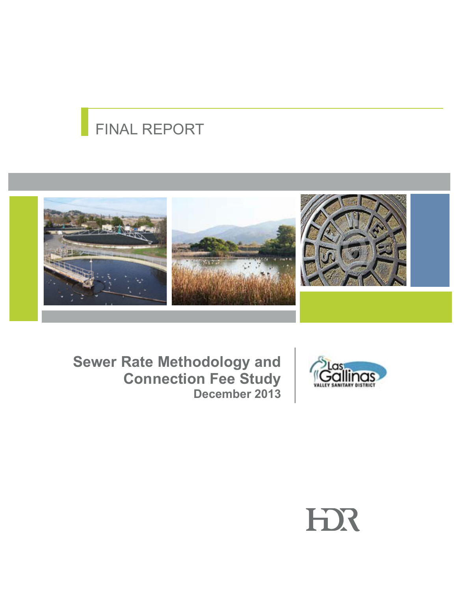# FINAL REPORT





**Sewer Rate Methodology and Connection Fee Study December 2013**

# HX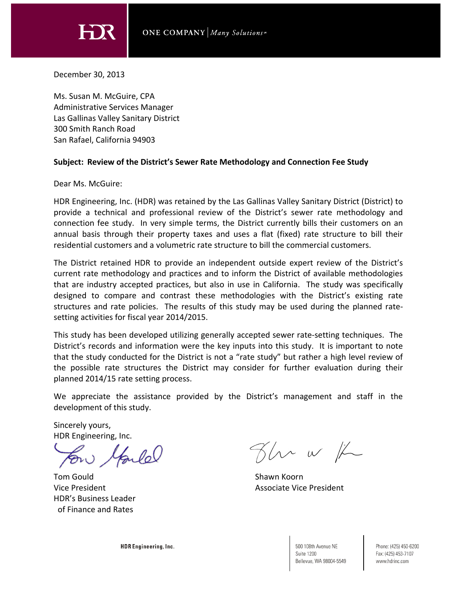HX

December 30, 2013

Ms. Susan M. McGuire, CPA Administrative Services Manager Las Gallinas Valley Sanitary District 300 Smith Ranch Road San Rafael, California 94903

### **Subject: Review of the District's Sewer Rate Methodology and Connection Fee Study**

Dear Ms. McGuire:

HDR Engineering, Inc. (HDR) was retained by the Las Gallinas Valley Sanitary District (District) to provide a technical and professional review of the District's sewer rate methodology and connection fee study. In very simple terms, the District currently bills their customers on an annual basis through their property taxes and uses a flat (fixed) rate structure to bill their residential customers and a volumetric rate structure to bill the commercial customers.

The District retained HDR to provide an independent outside expert review of the District's current rate methodology and practices and to inform the District of available methodologies that are industry accepted practices, but also in use in California. The study was specifically designed to compare and contrast these methodologies with the District's existing rate structures and rate policies. The results of this study may be used during the planned ratesetting activities for fiscal year 2014/2015.

This study has been developed utilizing generally accepted sewer rate‐setting techniques. The District's records and information were the key inputs into this study. It is important to note that the study conducted for the District is not a "rate study" but rather a high level review of the possible rate structures the District may consider for further evaluation during their planned 2014/15 rate setting process.

We appreciate the assistance provided by the District's management and staff in the development of this study.

Sincerely yours, HDR Engineering, Inc.

lande

Tom Gould **Shawn Koorn** Shawn Koorn Shawn Koorn Shawn Koorn Shawn Koorn Shawn Koorn Shawn Koorn Shawn Koorn Shawn Koorn Shawn Koorn Shawn Koorn Shawn Koorn Shawn Koorn Shawn Koorn Shawn Koorn Shawn Koorn Shawn Koorn Shawn HDR's Business Leader of Finance and Rates

Flu w /L

Vice President Associate Vice President Associate Vice President

HDR Engineering, Inc.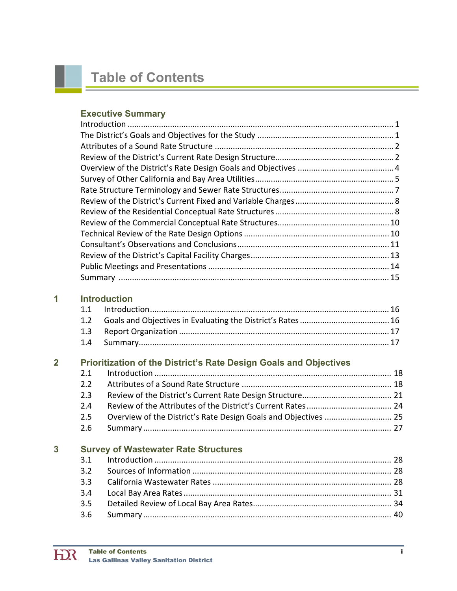# **Table of Contents**

### **Executive Summary**

### **1 Introduction**

## **2 Prioritization of the District's Rate Design Goals and Objectives**

| 2.3 |  |
|-----|--|
|     |  |
|     |  |
|     |  |

## **3 Survey of Wastewater Rate Structures**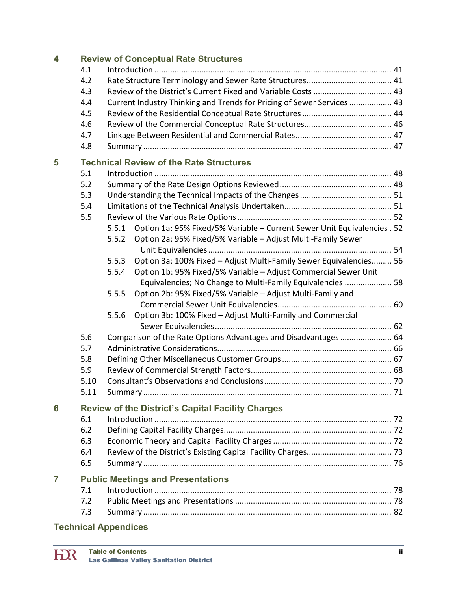| $\overline{\bf 4}$ |      |       | <b>Review of Conceptual Rate Structures</b>                              |  |
|--------------------|------|-------|--------------------------------------------------------------------------|--|
|                    | 4.1  |       |                                                                          |  |
|                    | 4.2  |       |                                                                          |  |
|                    | 4.3  |       |                                                                          |  |
|                    | 4.4  |       | Current Industry Thinking and Trends for Pricing of Sewer Services  43   |  |
|                    | 4.5  |       |                                                                          |  |
|                    | 4.6  |       |                                                                          |  |
|                    | 4.7  |       |                                                                          |  |
|                    | 4.8  |       |                                                                          |  |
| 5                  |      |       | <b>Technical Review of the Rate Structures</b>                           |  |
|                    | 5.1  |       |                                                                          |  |
|                    | 5.2  |       |                                                                          |  |
|                    | 5.3  |       |                                                                          |  |
|                    | 5.4  |       |                                                                          |  |
|                    | 5.5  |       |                                                                          |  |
|                    |      | 5.5.1 | Option 1a: 95% Fixed/5% Variable - Current Sewer Unit Equivalencies . 52 |  |
|                    |      | 5.5.2 | Option 2a: 95% Fixed/5% Variable - Adjust Multi-Family Sewer             |  |
|                    |      |       |                                                                          |  |
|                    |      | 5.5.3 | Option 3a: 100% Fixed - Adjust Multi-Family Sewer Equivalencies 56       |  |
|                    |      | 5.5.4 | Option 1b: 95% Fixed/5% Variable - Adjust Commercial Sewer Unit          |  |
|                    |      |       | Equivalencies; No Change to Multi-Family Equivalencies  58               |  |
|                    |      | 5.5.5 | Option 2b: 95% Fixed/5% Variable - Adjust Multi-Family and               |  |
|                    |      |       |                                                                          |  |
|                    |      | 5.5.6 | Option 3b: 100% Fixed - Adjust Multi-Family and Commercial               |  |
|                    |      |       |                                                                          |  |
|                    | 5.6  |       | Comparison of the Rate Options Advantages and Disadvantages  64          |  |
|                    | 5.7  |       |                                                                          |  |
|                    | 5.8  |       |                                                                          |  |
|                    | 5.9  |       |                                                                          |  |
|                    | 5.10 |       |                                                                          |  |
|                    | 5.11 |       |                                                                          |  |
| 6                  |      |       | <b>Review of the District's Capital Facility Charges</b>                 |  |
|                    | 6.1  |       |                                                                          |  |
|                    | 6.2  |       |                                                                          |  |
|                    | 6.3  |       |                                                                          |  |
|                    | 6.4  |       |                                                                          |  |
|                    | 6.5  |       |                                                                          |  |
|                    |      |       |                                                                          |  |
| 7                  |      |       | <b>Public Meetings and Presentations</b>                                 |  |
|                    | 7.1  |       |                                                                          |  |
|                    | 7.2  |       |                                                                          |  |
|                    | 7.3  |       |                                                                          |  |
|                    |      |       |                                                                          |  |

### **Technical Appendices**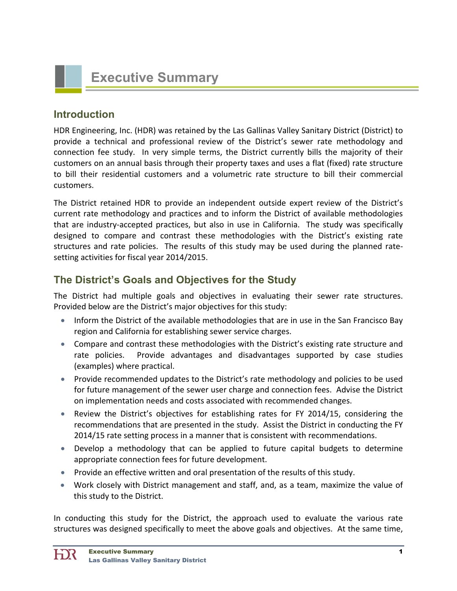

# **Introduction**

HDR Engineering, Inc. (HDR) was retained by the Las Gallinas Valley Sanitary District (District) to provide a technical and professional review of the District's sewer rate methodology and connection fee study. In very simple terms, the District currently bills the majority of their customers on an annual basis through their property taxes and uses a flat (fixed) rate structure to bill their residential customers and a volumetric rate structure to bill their commercial customers.

The District retained HDR to provide an independent outside expert review of the District's current rate methodology and practices and to inform the District of available methodologies that are industry-accepted practices, but also in use in California. The study was specifically designed to compare and contrast these methodologies with the District's existing rate structures and rate policies. The results of this study may be used during the planned ratesetting activities for fiscal year 2014/2015.

# **The District's Goals and Objectives for the Study**

The District had multiple goals and objectives in evaluating their sewer rate structures. Provided below are the District's major objectives for this study:

- Inform the District of the available methodologies that are in use in the San Francisco Bay region and California for establishing sewer service charges.
- Compare and contrast these methodologies with the District's existing rate structure and rate policies. Provide advantages and disadvantages supported by case studies (examples) where practical.
- Provide recommended updates to the District's rate methodology and policies to be used for future management of the sewer user charge and connection fees. Advise the District on implementation needs and costs associated with recommended changes.
- Review the District's objectives for establishing rates for FY 2014/15, considering the recommendations that are presented in the study. Assist the District in conducting the FY 2014/15 rate setting process in a manner that is consistent with recommendations.
- Develop a methodology that can be applied to future capital budgets to determine appropriate connection fees for future development.
- Provide an effective written and oral presentation of the results of this study.
- Work closely with District management and staff, and, as a team, maximize the value of this study to the District.

In conducting this study for the District, the approach used to evaluate the various rate structures was designed specifically to meet the above goals and objectives. At the same time,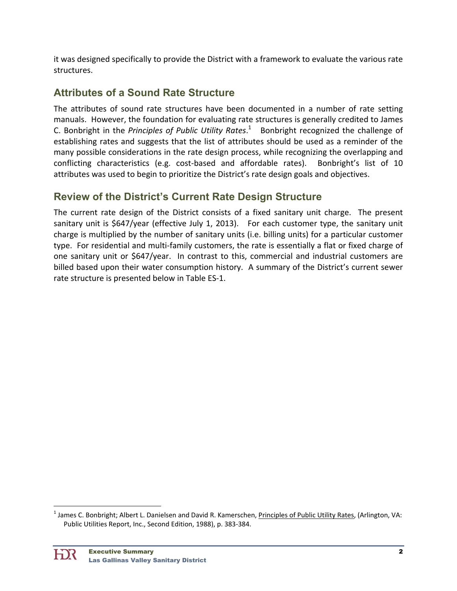it was designed specifically to provide the District with a framework to evaluate the various rate structures.

# **Attributes of a Sound Rate Structure**

The attributes of sound rate structures have been documented in a number of rate setting manuals. However, the foundation for evaluating rate structures is generally credited to James C. Bonbright in the *Principles of Public Utility Rates*.<sup>1</sup> Bonbright recognized the challenge of establishing rates and suggests that the list of attributes should be used as a reminder of the many possible considerations in the rate design process, while recognizing the overlapping and conflicting characteristics (e.g. cost‐based and affordable rates). Bonbright's list of 10 attributes was used to begin to prioritize the District's rate design goals and objectives.

# **Review of the District's Current Rate Design Structure**

The current rate design of the District consists of a fixed sanitary unit charge. The present sanitary unit is \$647/year (effective July 1, 2013). For each customer type, the sanitary unit charge is multiplied by the number of sanitary units (i.e. billing units) for a particular customer type. For residential and multi‐family customers, the rate is essentially a flat or fixed charge of one sanitary unit or \$647/year. In contrast to this, commercial and industrial customers are billed based upon their water consumption history. A summary of the District's current sewer rate structure is presented below in Table ES‐1.

<sup>&</sup>lt;sup>1</sup> James C. Bonbright; Albert L. Danielsen and David R. Kamerschen, *Principles of Public Utility Rates,* (Arlington, VA: Public Utilities Report, Inc., Second Edition, 1988), p. 383‐384.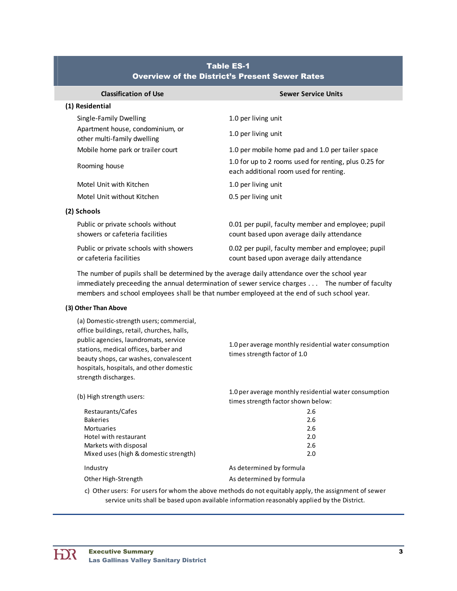| <b>Classification of Use</b>                                         | <b>Sewer Service Units</b>                                                                      |
|----------------------------------------------------------------------|-------------------------------------------------------------------------------------------------|
| (1) Residential                                                      |                                                                                                 |
| Single-Family Dwelling                                               | 1.0 per living unit                                                                             |
| Apartment house, condominium, or<br>other multi-family dwelling      | 1.0 per living unit                                                                             |
| Mobile home park or trailer court                                    | 1.0 per mobile home pad and 1.0 per tailer space                                                |
| Rooming house                                                        | 1.0 for up to 2 rooms used for renting, plus 0.25 for<br>each additional room used for renting. |
| Motel Unit with Kitchen                                              | 1.0 per living unit                                                                             |
| Motel Unit without Kitchen                                           | 0.5 per living unit                                                                             |
| (2) Schools                                                          |                                                                                                 |
| Public or private schools without<br>showers or cafeteria facilities | 0.01 per pupil, faculty member and employee; pupil<br>count based upon average daily attendance |
| Public or private schools with showers<br>or cafeteria facilities    | 0.02 per pupil, faculty member and employee; pupil<br>count based upon average daily attendance |

### Table ES-1 Overview of the District's Present Sewer Rates

The number of pupils shall be determined by the average daily attendance over the school year immediately preceeding the annual determination of sewer service charges . . . The number of faculty members and school employees shall be that number employeed at the end of such school year.

#### **(3) Other Than Above**

(a) Domestic‐strength users; commercial, office buildings, retail, churches, halls, public agencies, laundromats, service stations, medical offices, barber and beauty shops, car washes, convalescent hospitals, hospitals, and other domestic strength discharges.

1.0 per average monthly residential water consumption times strength factor of 1.0

| (b) High strength users:              | 1.0 per average monthly residential water consumption<br>times strength factor shown below: |
|---------------------------------------|---------------------------------------------------------------------------------------------|
| Restaurants/Cafes                     | 2.6                                                                                         |
| <b>Bakeries</b>                       | 2.6                                                                                         |
| <b>Mortuaries</b>                     | 2.6                                                                                         |
| Hotel with restaurant                 | 2.0                                                                                         |
| Markets with disposal                 | 2.6                                                                                         |
| Mixed uses (high & domestic strength) | 2.0                                                                                         |
| Industry                              | As determined by formula                                                                    |
| Other High-Strength                   | As determined by formula                                                                    |
|                                       |                                                                                             |

c) Other users: For users for whom the above methods do not equitably apply, the assignment of sewer service units shall be based upon available information reasonably applied by the District.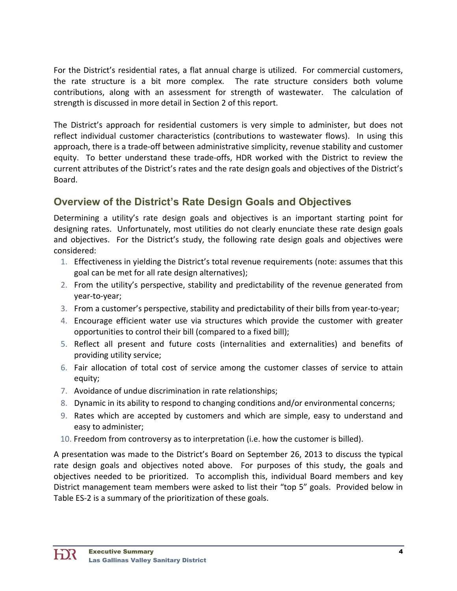For the District's residential rates, a flat annual charge is utilized. For commercial customers, the rate structure is a bit more complex. The rate structure considers both volume contributions, along with an assessment for strength of wastewater. The calculation of strength is discussed in more detail in Section 2 of this report.

The District's approach for residential customers is very simple to administer, but does not reflect individual customer characteristics (contributions to wastewater flows). In using this approach, there is a trade‐off between administrative simplicity, revenue stability and customer equity. To better understand these trade-offs, HDR worked with the District to review the current attributes of the District's rates and the rate design goals and objectives of the District's Board.

# **Overview of the District's Rate Design Goals and Objectives**

Determining a utility's rate design goals and objectives is an important starting point for designing rates. Unfortunately, most utilities do not clearly enunciate these rate design goals and objectives. For the District's study, the following rate design goals and objectives were considered:

- 1. Effectiveness in yielding the District's total revenue requirements (note: assumes that this goal can be met for all rate design alternatives);
- 2. From the utility's perspective, stability and predictability of the revenue generated from year‐to‐year;
- 3. From a customer's perspective, stability and predictability of their bills from year‐to‐year;
- 4. Encourage efficient water use via structures which provide the customer with greater opportunities to control their bill (compared to a fixed bill);
- 5. Reflect all present and future costs (internalities and externalities) and benefits of providing utility service;
- 6. Fair allocation of total cost of service among the customer classes of service to attain equity;
- 7. Avoidance of undue discrimination in rate relationships;
- 8. Dynamic in its ability to respond to changing conditions and/or environmental concerns;
- 9. Rates which are accepted by customers and which are simple, easy to understand and easy to administer;
- 10. Freedom from controversy as to interpretation (i.e. how the customer is billed).

A presentation was made to the District's Board on September 26, 2013 to discuss the typical rate design goals and objectives noted above. For purposes of this study, the goals and objectives needed to be prioritized. To accomplish this, individual Board members and key District management team members were asked to list their "top 5" goals. Provided below in Table ES‐2 is a summary of the prioritization of these goals.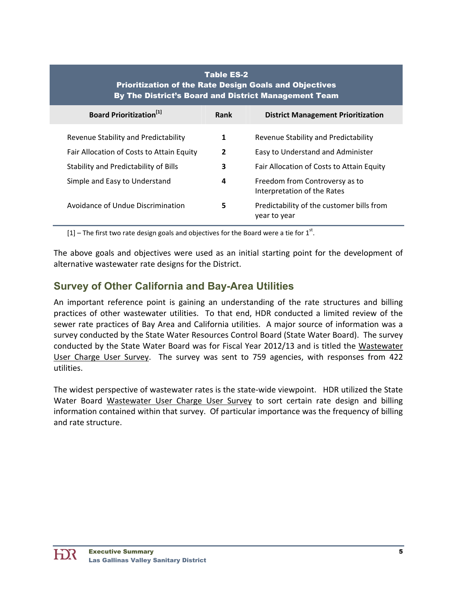| <b>Table ES-2</b><br><b>Prioritization of the Rate Design Goals and Objectives</b><br>By The District's Board and District Management Team |                |                                                               |  |  |
|--------------------------------------------------------------------------------------------------------------------------------------------|----------------|---------------------------------------------------------------|--|--|
| <b>Board Prioritization</b> <sup>[1]</sup>                                                                                                 | Rank           | <b>District Management Prioritization</b>                     |  |  |
| Revenue Stability and Predictability                                                                                                       | 1              | Revenue Stability and Predictability                          |  |  |
| Fair Allocation of Costs to Attain Equity                                                                                                  | $\overline{2}$ | Easy to Understand and Administer                             |  |  |
| Stability and Predictability of Bills                                                                                                      | 3              | Fair Allocation of Costs to Attain Equity                     |  |  |
| Simple and Easy to Understand                                                                                                              | 4              | Freedom from Controversy as to<br>Interpretation of the Rates |  |  |
| Avoidance of Undue Discrimination                                                                                                          | 5              | Predictability of the customer bills from<br>year to year     |  |  |

[1] – The first two rate design goals and objectives for the Board were a tie for  $1<sup>st</sup>$ .

The above goals and objectives were used as an initial starting point for the development of alternative wastewater rate designs for the District.

# **Survey of Other California and Bay-Area Utilities**

An important reference point is gaining an understanding of the rate structures and billing practices of other wastewater utilities. To that end, HDR conducted a limited review of the sewer rate practices of Bay Area and California utilities. A major source of information was a survey conducted by the State Water Resources Control Board (State Water Board). The survey conducted by the State Water Board was for Fiscal Year 2012/13 and is titled the Wastewater User Charge User Survey. The survey was sent to 759 agencies, with responses from 422 utilities.

The widest perspective of wastewater rates is the state‐wide viewpoint. HDR utilized the State Water Board Wastewater User Charge User Survey to sort certain rate design and billing information contained within that survey. Of particular importance was the frequency of billing and rate structure.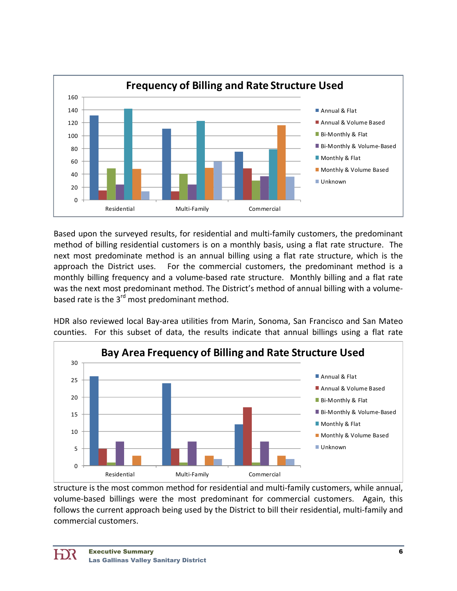

Based upon the surveyed results, for residential and multi‐family customers, the predominant method of billing residential customers is on a monthly basis, using a flat rate structure. The next most predominate method is an annual billing using a flat rate structure, which is the approach the District uses. For the commercial customers, the predominant method is a monthly billing frequency and a volume‐based rate structure. Monthly billing and a flat rate was the next most predominant method. The District's method of annual billing with a volume‐ based rate is the 3<sup>rd</sup> most predominant method.

HDR also reviewed local Bay‐area utilities from Marin, Sonoma, San Francisco and San Mateo counties. For this subset of data, the results indicate that annual billings using a flat rate



structure is the most common method for residential and multi-family customers, while annual, volume-based billings were the most predominant for commercial customers. Again, this follows the current approach being used by the District to bill their residential, multi-family and commercial customers.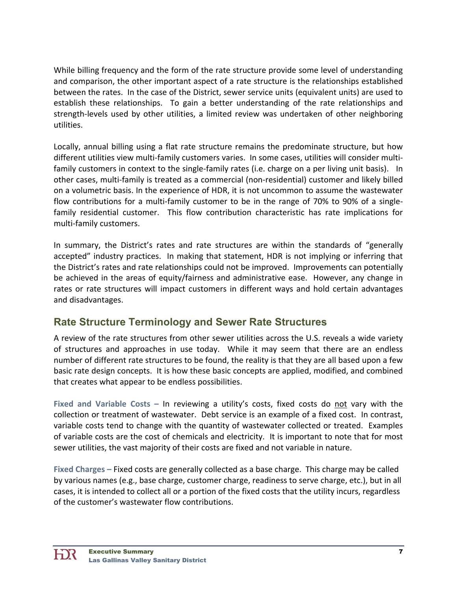While billing frequency and the form of the rate structure provide some level of understanding and comparison, the other important aspect of a rate structure is the relationships established between the rates. In the case of the District, sewer service units (equivalent units) are used to establish these relationships. To gain a better understanding of the rate relationships and strength-levels used by other utilities, a limited review was undertaken of other neighboring utilities.

Locally, annual billing using a flat rate structure remains the predominate structure, but how different utilities view multi‐family customers varies. In some cases, utilities will consider multi‐ family customers in context to the single-family rates (i.e. charge on a per living unit basis). In other cases, multi‐family is treated as a commercial (non‐residential) customer and likely billed on a volumetric basis. In the experience of HDR, it is not uncommon to assume the wastewater flow contributions for a multi-family customer to be in the range of 70% to 90% of a singlefamily residential customer. This flow contribution characteristic has rate implications for multi‐family customers.

In summary, the District's rates and rate structures are within the standards of "generally accepted" industry practices. In making that statement, HDR is not implying or inferring that the District's rates and rate relationships could not be improved. Improvements can potentially be achieved in the areas of equity/fairness and administrative ease. However, any change in rates or rate structures will impact customers in different ways and hold certain advantages and disadvantages.

# **Rate Structure Terminology and Sewer Rate Structures**

A review of the rate structures from other sewer utilities across the U.S. reveals a wide variety of structures and approaches in use today. While it may seem that there are an endless number of different rate structures to be found, the reality is that they are all based upon a few basic rate design concepts. It is how these basic concepts are applied, modified, and combined that creates what appear to be endless possibilities.

**Fixed and Variable Costs –** In reviewing a utility's costs, fixed costs do not vary with the collection or treatment of wastewater. Debt service is an example of a fixed cost. In contrast, variable costs tend to change with the quantity of wastewater collected or treated. Examples of variable costs are the cost of chemicals and electricity. It is important to note that for most sewer utilities, the vast majority of their costs are fixed and not variable in nature.

**Fixed Charges –** Fixed costs are generally collected as a base charge. This charge may be called by various names (e.g., base charge, customer charge, readiness to serve charge, etc.), but in all cases, it is intended to collect all or a portion of the fixed costs that the utility incurs, regardless of the customer's wastewater flow contributions.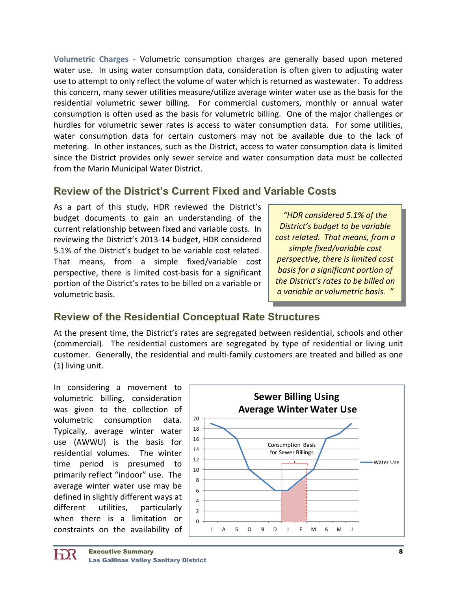**Volumetric Charges ‐** Volumetric consumption charges are generally based upon metered water use. In using water consumption data, consideration is often given to adjusting water use to attempt to only reflect the volume of water which is returned as wastewater. To address this concern, many sewer utilities measure/utilize average winter water use as the basis for the residential volumetric sewer billing. For commercial customers, monthly or annual water consumption is often used as the basis for volumetric billing. One of the major challenges or hurdles for volumetric sewer rates is access to water consumption data. For some utilities, water consumption data for certain customers may not be available due to the lack of metering. In other instances, such as the District, access to water consumption data is limited since the District provides only sewer service and water consumption data must be collected from the Marin Municipal Water District.

# **Review of the District's Current Fixed and Variable Costs**

As a part of this study, HDR reviewed the District's budget documents to gain an understanding of the current relationship between fixed and variable costs. In reviewing the District's 2013‐14 budget, HDR considered 5.1% of the District's budget to be variable cost related. That means, from a simple fixed/variable cost perspective, there is limited cost‐basis for a significant portion of the District's rates to be billed on a variable or volumetric basis.

*"HDR considered 5.1% of the District's budget to be variable cost related. That means, from a simple fixed/variable cost perspective, there is limited cost basis for a significant portion of the District's rates to be billed on a variable or volumetric basis. "*

# **Review of the Residential Conceptual Rate Structures**

At the present time, the District's rates are segregated between residential, schools and other (commercial). The residential customers are segregated by type of residential or living unit customer. Generally, the residential and multi‐family customers are treated and billed as one (1) living unit.

In considering a movement to volumetric billing, consideration was given to the collection of volumetric consumption data. Typically, average winter water use (AWWU) is the basis for residential volumes. The winter time period is presumed to primarily reflect "indoor" use. The average winter water use may be defined in slightly different ways at different utilities, particularly when there is a limitation or constraints on the availability of

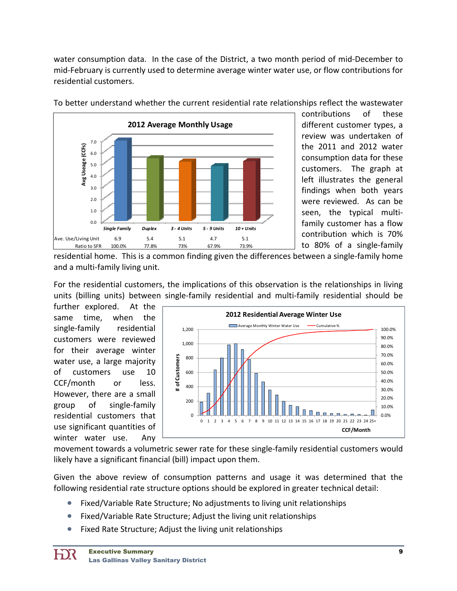water consumption data. In the case of the District, a two month period of mid‐December to mid‐February is currently used to determine average winter water use, or flow contributions for residential customers.



To better understand whether the current residential rate relationships reflect the wastewater

contributions of these different customer types, a review was undertaken of the 2011 and 2012 water consumption data for these customers. The graph at left illustrates the general findings when both years were reviewed. As can be seen, the typical multifamily customer has a flow contribution which is 70% to 80% of a single‐family

residential home. This is a common finding given the differences between a single‐family home and a multi‐family living unit.

For the residential customers, the implications of this observation is the relationships in living units (billing units) between single‐family residential and multi‐family residential should be

further explored. At the same time, when the single-family residential customers were reviewed for their average winter water use, a large majority of customers use 10 CCF/month or less. However, there are a small group of single‐family residential customers that use significant quantities of winter water use. Any



movement towards a volumetric sewer rate for these single‐family residential customers would likely have a significant financial (bill) impact upon them.

Given the above review of consumption patterns and usage it was determined that the following residential rate structure options should be explored in greater technical detail:

- Fixed/Variable Rate Structure; No adjustments to living unit relationships
- Fixed/Variable Rate Structure; Adjust the living unit relationships
- Fixed Rate Structure; Adjust the living unit relationships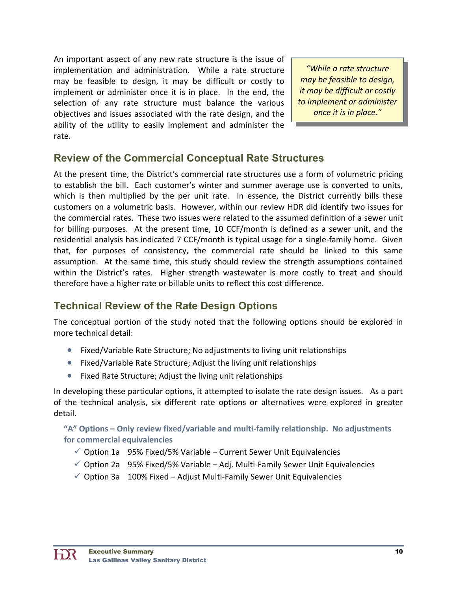An important aspect of any new rate structure is the issue of implementation and administration. While a rate structure may be feasible to design, it may be difficult or costly to implement or administer once it is in place. In the end, the selection of any rate structure must balance the various objectives and issues associated with the rate design, and the ability of the utility to easily implement and administer the rate.

*"While a rate structure may be feasible to design, it may be difficult or costly to implement or administer once it is in place."*

# **Review of the Commercial Conceptual Rate Structures**

At the present time, the District's commercial rate structures use a form of volumetric pricing to establish the bill. Each customer's winter and summer average use is converted to units, which is then multiplied by the per unit rate. In essence, the District currently bills these customers on a volumetric basis. However, within our review HDR did identify two issues for the commercial rates. These two issues were related to the assumed definition of a sewer unit for billing purposes. At the present time, 10 CCF/month is defined as a sewer unit, and the residential analysis has indicated 7 CCF/month is typical usage for a single‐family home. Given that, for purposes of consistency, the commercial rate should be linked to this same assumption. At the same time, this study should review the strength assumptions contained within the District's rates. Higher strength wastewater is more costly to treat and should therefore have a higher rate or billable units to reflect this cost difference.

# **Technical Review of the Rate Design Options**

The conceptual portion of the study noted that the following options should be explored in more technical detail:

- Fixed/Variable Rate Structure; No adjustments to living unit relationships
- Fixed/Variable Rate Structure; Adjust the living unit relationships
- Fixed Rate Structure; Adjust the living unit relationships

In developing these particular options, it attempted to isolate the rate design issues. As a part of the technical analysis, six different rate options or alternatives were explored in greater detail.

**"A" Options – Only review fixed/variable and multi‐family relationship. No adjustments for commercial equivalencies**

- $\checkmark$  Option 1a 95% Fixed/5% Variable Current Sewer Unit Equivalencies
- $\checkmark$  Option 2a 95% Fixed/5% Variable Adj. Multi-Family Sewer Unit Equivalencies
- $\checkmark$  Option 3a 100% Fixed Adjust Multi-Family Sewer Unit Equivalencies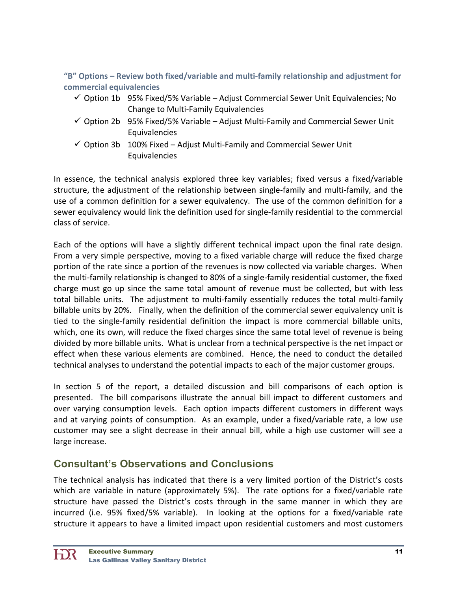**"B" Options – Review both fixed/variable and multi‐family relationship and adjustment for commercial equivalencies**

- $\checkmark$  Option 1b 95% Fixed/5% Variable Adjust Commercial Sewer Unit Equivalencies; No Change to Multi‐Family Equivalencies
- $\checkmark$  Option 2b 95% Fixed/5% Variable Adjust Multi-Family and Commercial Sewer Unit Equivalencies
- $\checkmark$  Option 3b 100% Fixed Adjust Multi-Family and Commercial Sewer Unit Equivalencies

In essence, the technical analysis explored three key variables; fixed versus a fixed/variable structure, the adjustment of the relationship between single‐family and multi‐family, and the use of a common definition for a sewer equivalency. The use of the common definition for a sewer equivalency would link the definition used for single‐family residential to the commercial class of service.

Each of the options will have a slightly different technical impact upon the final rate design. From a very simple perspective, moving to a fixed variable charge will reduce the fixed charge portion of the rate since a portion of the revenues is now collected via variable charges. When the multi‐family relationship is changed to 80% of a single‐family residential customer, the fixed charge must go up since the same total amount of revenue must be collected, but with less total billable units. The adjustment to multi-family essentially reduces the total multi-family billable units by 20%. Finally, when the definition of the commercial sewer equivalency unit is tied to the single‐family residential definition the impact is more commercial billable units, which, one its own, will reduce the fixed charges since the same total level of revenue is being divided by more billable units. What is unclear from a technical perspective is the net impact or effect when these various elements are combined. Hence, the need to conduct the detailed technical analyses to understand the potential impacts to each of the major customer groups.

In section 5 of the report, a detailed discussion and bill comparisons of each option is presented. The bill comparisons illustrate the annual bill impact to different customers and over varying consumption levels. Each option impacts different customers in different ways and at varying points of consumption. As an example, under a fixed/variable rate, a low use customer may see a slight decrease in their annual bill, while a high use customer will see a large increase.

# **Consultant's Observations and Conclusions**

The technical analysis has indicated that there is a very limited portion of the District's costs which are variable in nature (approximately 5%). The rate options for a fixed/variable rate structure have passed the District's costs through in the same manner in which they are incurred (i.e. 95% fixed/5% variable). In looking at the options for a fixed/variable rate structure it appears to have a limited impact upon residential customers and most customers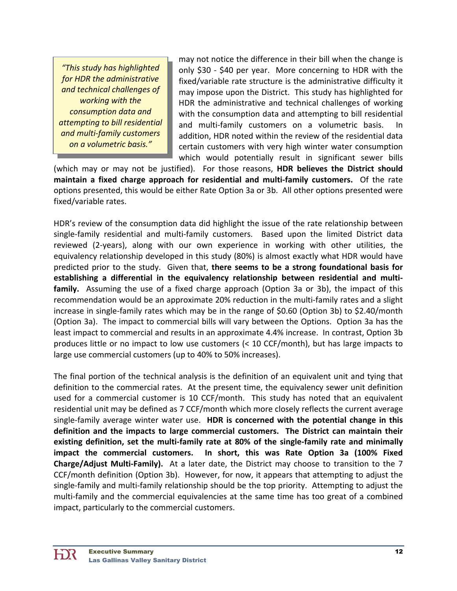*"This study has highlighted for HDR the administrative and technical challenges of working with the consumption data and attempting to bill residential and multi‐family customers on a volumetric basis."*

may not notice the difference in their bill when the change is only \$30 ‐ \$40 per year. More concerning to HDR with the fixed/variable rate structure is the administrative difficulty it may impose upon the District. This study has highlighted for HDR the administrative and technical challenges of working with the consumption data and attempting to bill residential and multi-family customers on a volumetric basis. In addition, HDR noted within the review of the residential data certain customers with very high winter water consumption which would potentially result in significant sewer bills

(which may or may not be justified). For those reasons, **HDR believes the District should maintain a fixed charge approach for residential and multi‐family customers.** Of the rate options presented, this would be either Rate Option 3a or 3b. All other options presented were fixed/variable rates.

HDR's review of the consumption data did highlight the issue of the rate relationship between single-family residential and multi-family customers. Based upon the limited District data reviewed (2‐years), along with our own experience in working with other utilities, the equivalency relationship developed in this study (80%) is almost exactly what HDR would have predicted prior to the study. Given that, **there seems to be a strong foundational basis for establishing a differential in the equivalency relationship between residential and multi‐** family. Assuming the use of a fixed charge approach (Option 3a or 3b), the impact of this recommendation would be an approximate 20% reduction in the multi‐family rates and a slight increase in single‐family rates which may be in the range of \$0.60 (Option 3b) to \$2.40/month (Option 3a). The impact to commercial bills will vary between the Options. Option 3a has the least impact to commercial and results in an approximate 4.4% increase. In contrast, Option 3b produces little or no impact to low use customers (< 10 CCF/month), but has large impacts to large use commercial customers (up to 40% to 50% increases).

The final portion of the technical analysis is the definition of an equivalent unit and tying that definition to the commercial rates. At the present time, the equivalency sewer unit definition used for a commercial customer is 10 CCF/month. This study has noted that an equivalent residential unit may be defined as 7 CCF/month which more closely reflects the current average single‐family average winter water use. **HDR is concerned with the potential change in this definition and the impacts to large commercial customers. The District can maintain their existing definition, set the multi‐family rate at 80% of the single‐family rate and minimally impact the commercial customers. In short, this was Rate Option 3a (100% Fixed Charge/Adjust Multi‐Family).** At a later date, the District may choose to transition to the 7 CCF/month definition (Option 3b). However, for now, it appears that attempting to adjust the single‐family and multi‐family relationship should be the top priority. Attempting to adjust the multi-family and the commercial equivalencies at the same time has too great of a combined impact, particularly to the commercial customers.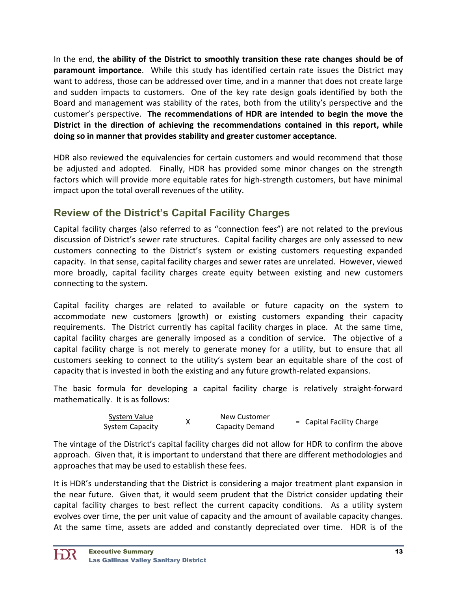In the end, **the ability of the District to smoothly transition these rate changes should be of paramount importance**. While this study has identified certain rate issues the District may want to address, those can be addressed over time, and in a manner that does not create large and sudden impacts to customers. One of the key rate design goals identified by both the Board and management was stability of the rates, both from the utility's perspective and the customer's perspective. **The recommendations of HDR are intended to begin the move the District in the direction of achieving the recommendations contained in this report, while doing so in manner that provides stability and greater customer acceptance**.

HDR also reviewed the equivalencies for certain customers and would recommend that those be adjusted and adopted. Finally, HDR has provided some minor changes on the strength factors which will provide more equitable rates for high-strength customers, but have minimal impact upon the total overall revenues of the utility.

# **Review of the District's Capital Facility Charges**

Capital facility charges (also referred to as "connection fees") are not related to the previous discussion of District's sewer rate structures. Capital facility charges are only assessed to new customers connecting to the District's system or existing customers requesting expanded capacity. In that sense, capital facility charges and sewer rates are unrelated. However, viewed more broadly, capital facility charges create equity between existing and new customers connecting to the system.

Capital facility charges are related to available or future capacity on the system to accommodate new customers (growth) or existing customers expanding their capacity requirements. The District currently has capital facility charges in place. At the same time, capital facility charges are generally imposed as a condition of service. The objective of a capital facility charge is not merely to generate money for a utility, but to ensure that all customers seeking to connect to the utility's system bear an equitable share of the cost of capacity that is invested in both the existing and any future growth‐related expansions.

The basic formula for developing a capital facility charge is relatively straight‐forward mathematically. It is as follows:

| System Value    | New Customer    |                           |
|-----------------|-----------------|---------------------------|
| System Capacity | Capacity Demand | = Capital Facility Charge |

The vintage of the District's capital facility charges did not allow for HDR to confirm the above approach. Given that, it is important to understand that there are different methodologies and approaches that may be used to establish these fees.

It is HDR's understanding that the District is considering a major treatment plant expansion in the near future. Given that, it would seem prudent that the District consider updating their capital facility charges to best reflect the current capacity conditions. As a utility system evolves over time, the per unit value of capacity and the amount of available capacity changes. At the same time, assets are added and constantly depreciated over time. HDR is of the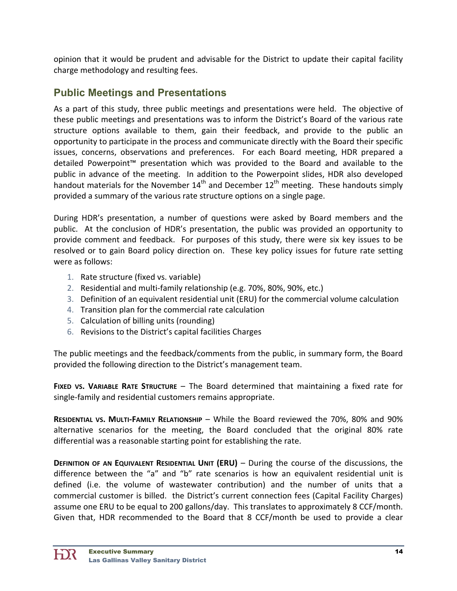opinion that it would be prudent and advisable for the District to update their capital facility charge methodology and resulting fees.

# **Public Meetings and Presentations**

As a part of this study, three public meetings and presentations were held. The objective of these public meetings and presentations was to inform the District's Board of the various rate structure options available to them, gain their feedback, and provide to the public an opportunity to participate in the process and communicate directly with the Board their specific issues, concerns, observations and preferences. For each Board meeting, HDR prepared a detailed Powerpoint™ presentation which was provided to the Board and available to the public in advance of the meeting. In addition to the Powerpoint slides, HDR also developed handout materials for the November  $14<sup>th</sup>$  and December  $12<sup>th</sup>$  meeting. These handouts simply provided a summary of the various rate structure options on a single page.

During HDR's presentation, a number of questions were asked by Board members and the public. At the conclusion of HDR's presentation, the public was provided an opportunity to provide comment and feedback. For purposes of this study, there were six key issues to be resolved or to gain Board policy direction on. These key policy issues for future rate setting were as follows:

- 1. Rate structure (fixed vs. variable)
- 2. Residential and multi‐family relationship (e.g. 70%, 80%, 90%, etc.)
- 3. Definition of an equivalent residential unit (ERU) for the commercial volume calculation
- 4. Transition plan for the commercial rate calculation
- 5. Calculation of billing units (rounding)
- 6. Revisions to the District's capital facilities Charges

The public meetings and the feedback/comments from the public, in summary form, the Board provided the following direction to the District's management team.

**FIXED VS. VARIABLE RATE STRUCTURE** – The Board determined that maintaining a fixed rate for single-family and residential customers remains appropriate.

**RESIDENTIAL VS. MULTI‐FAMILY RELATIONSHIP** – While the Board reviewed the 70%, 80% and 90% alternative scenarios for the meeting, the Board concluded that the original 80% rate differential was a reasonable starting point for establishing the rate.

**DEFINITION OF AN EQUIVALENT RESIDENTIAL UNIT (ERU)** – During the course of the discussions, the difference between the "a" and "b" rate scenarios is how an equivalent residential unit is defined (i.e. the volume of wastewater contribution) and the number of units that a commercial customer is billed. the District's current connection fees (Capital Facility Charges) assume one ERU to be equal to 200 gallons/day. This translates to approximately 8 CCF/month. Given that, HDR recommended to the Board that 8 CCF/month be used to provide a clear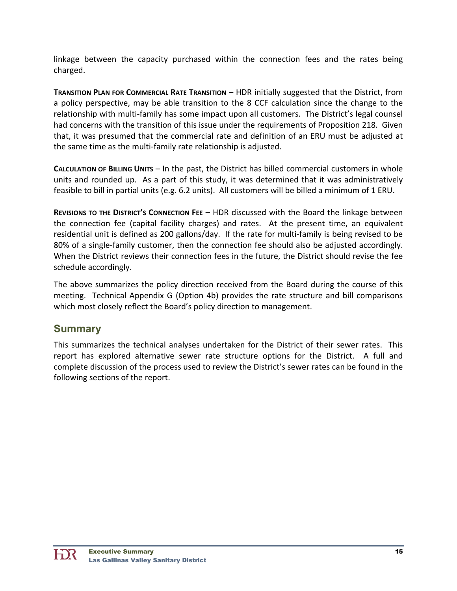linkage between the capacity purchased within the connection fees and the rates being charged.

**TRANSITION PLAN FOR COMMERCIAL RATE TRANSITION** – HDR initially suggested that the District, from a policy perspective, may be able transition to the 8 CCF calculation since the change to the relationship with multi‐family has some impact upon all customers. The District's legal counsel had concerns with the transition of this issue under the requirements of Proposition 218. Given that, it was presumed that the commercial rate and definition of an ERU must be adjusted at the same time as the multi‐family rate relationship is adjusted.

**CALCULATION OF BILLING UNITS** – In the past, the District has billed commercial customers in whole units and rounded up. As a part of this study, it was determined that it was administratively feasible to bill in partial units (e.g. 6.2 units). All customers will be billed a minimum of 1 ERU.

**REVISIONS TO THE DISTRICT'S CONNECTION FEE** – HDR discussed with the Board the linkage between the connection fee (capital facility charges) and rates. At the present time, an equivalent residential unit is defined as 200 gallons/day. If the rate for multi‐family is being revised to be 80% of a single-family customer, then the connection fee should also be adjusted accordingly. When the District reviews their connection fees in the future, the District should revise the fee schedule accordingly.

The above summarizes the policy direction received from the Board during the course of this meeting. Technical Appendix G (Option 4b) provides the rate structure and bill comparisons which most closely reflect the Board's policy direction to management.

# **Summary**

This summarizes the technical analyses undertaken for the District of their sewer rates. This report has explored alternative sewer rate structure options for the District. A full and complete discussion of the process used to review the District's sewer rates can be found in the following sections of the report.

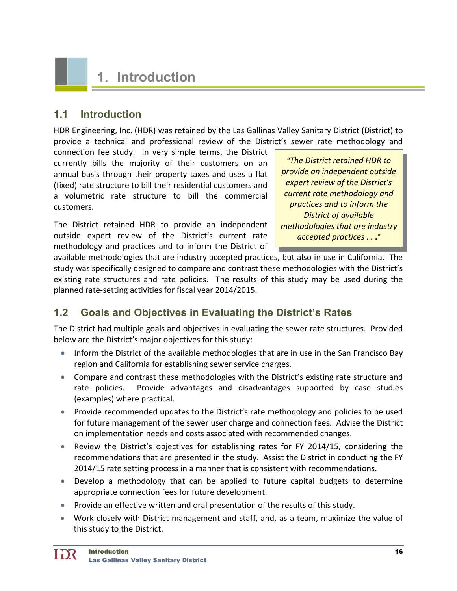# **1. Introduction**

# **1.1 Introduction**

HDR Engineering, Inc. (HDR) was retained by the Las Gallinas Valley Sanitary District (District) to provide a technical and professional review of the District's sewer rate methodology and

connection fee study. In very simple terms, the District currently bills the majority of their customers on an annual basis through their property taxes and uses a flat (fixed) rate structure to bill their residential customers and a volumetric rate structure to bill the commercial customers.

The District retained HDR to provide an independent outside expert review of the District's current rate methodology and practices and to inform the District of

*"The District retained HDR to provide an independent outside expert review of the District's current rate methodology and practices and to inform the District of available methodologies that are industry accepted practices . .* .*"* 

available methodologies that are industry accepted practices, but also in use in California. The study was specifically designed to compare and contrast these methodologies with the District's existing rate structures and rate policies. The results of this study may be used during the planned rate‐setting activities for fiscal year 2014/2015.

# **1.2 Goals and Objectives in Evaluating the District's Rates**

The District had multiple goals and objectives in evaluating the sewer rate structures. Provided below are the District's major objectives for this study:

- Inform the District of the available methodologies that are in use in the San Francisco Bay region and California for establishing sewer service charges.
- Compare and contrast these methodologies with the District's existing rate structure and rate policies. Provide advantages and disadvantages supported by case studies (examples) where practical.
- Provide recommended updates to the District's rate methodology and policies to be used for future management of the sewer user charge and connection fees. Advise the District on implementation needs and costs associated with recommended changes.
- Review the District's objectives for establishing rates for FY 2014/15, considering the recommendations that are presented in the study. Assist the District in conducting the FY 2014/15 rate setting process in a manner that is consistent with recommendations.
- Develop a methodology that can be applied to future capital budgets to determine appropriate connection fees for future development.
- Provide an effective written and oral presentation of the results of this study.
- Work closely with District management and staff, and, as a team, maximize the value of this study to the District.

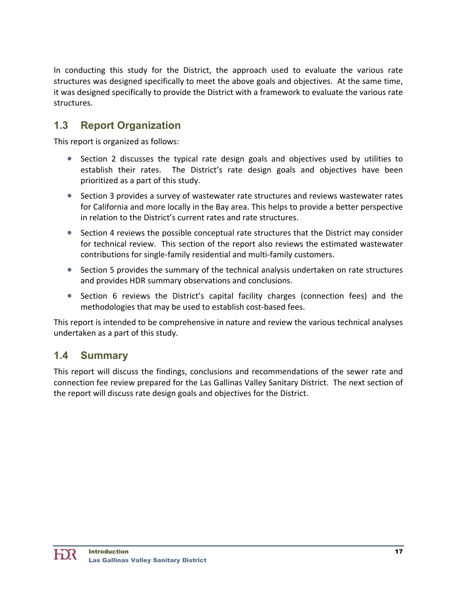In conducting this study for the District, the approach used to evaluate the various rate structures was designed specifically to meet the above goals and objectives. At the same time, it was designed specifically to provide the District with a framework to evaluate the various rate structures.

# **1.3 Report Organization**

This report is organized as follows:

- Section 2 discusses the typical rate design goals and objectives used by utilities to establish their rates. The District's rate design goals and objectives have been prioritized as a part of this study.
- Section 3 provides a survey of wastewater rate structures and reviews wastewater rates for California and more locally in the Bay area. This helps to provide a better perspective in relation to the District's current rates and rate structures.
- Section 4 reviews the possible conceptual rate structures that the District may consider for technical review. This section of the report also reviews the estimated wastewater contributions for single‐family residential and multi‐family customers.
- Section 5 provides the summary of the technical analysis undertaken on rate structures and provides HDR summary observations and conclusions.
- Section 6 reviews the District's capital facility charges (connection fees) and the methodologies that may be used to establish cost‐based fees.

This report is intended to be comprehensive in nature and review the various technical analyses undertaken as a part of this study.

# **1.4 Summary**

This report will discuss the findings, conclusions and recommendations of the sewer rate and connection fee review prepared for the Las Gallinas Valley Sanitary District. The next section of the report will discuss rate design goals and objectives for the District.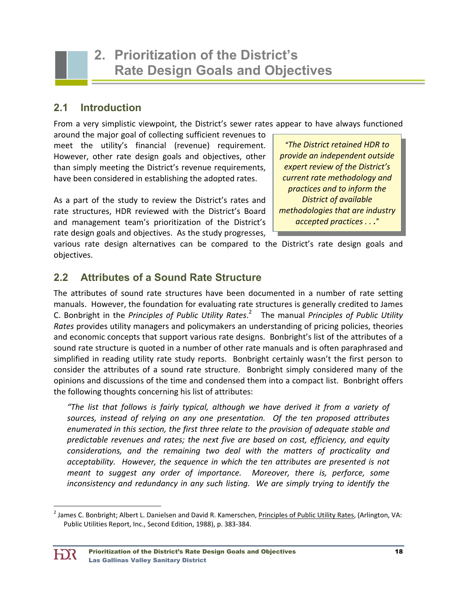# **2.1 Introduction**

From a very simplistic viewpoint, the District's sewer rates appear to have always functioned

around the major goal of collecting sufficient revenues to meet the utility's financial (revenue) requirement. However, other rate design goals and objectives, other than simply meeting the District's revenue requirements, have been considered in establishing the adopted rates.

As a part of the study to review the District's rates and rate structures, HDR reviewed with the District's Board and management team's prioritization of the District's rate design goals and objectives. As the study progresses,

*"The District retained HDR to provide an independent outside expert review of the District's current rate methodology and practices and to inform the District of available methodologies that are industry accepted practices . .* .*"* 

various rate design alternatives can be compared to the District's rate design goals and objectives.

# **2.2 Attributes of a Sound Rate Structure**

The attributes of sound rate structures have been documented in a number of rate setting manuals. However, the foundation for evaluating rate structures is generally credited to James C. Bonbright in the *Principles of Public Utility Rates*. <sup>2</sup> The manual *Principles of Public Utility Rates* provides utility managers and policymakers an understanding of pricing policies, theories and economic concepts that support various rate designs. Bonbright's list of the attributes of a sound rate structure is quoted in a number of other rate manuals and is often paraphrased and simplified in reading utility rate study reports. Bonbright certainly wasn't the first person to consider the attributes of a sound rate structure. Bonbright simply considered many of the opinions and discussions of the time and condensed them into a compact list. Bonbright offers the following thoughts concerning his list of attributes:

*"The list that follows is fairly typical, although we have derived it from a variety of sources, instead of relying on any one presentation. Of the ten proposed attributes enumerated in this section, the first three relate to the provision of adequate stable and predictable revenues and rates; the next five are based on cost, efficiency, and equity considerations, and the remaining two deal with the matters of practicality and acceptability. However, the sequence in which the ten attributes are presented is not meant to suggest any order of importance. Moreover, there is, perforce, some inconsistency and redundancy in any such listing. We are simply trying to identify the*

<sup>&</sup>lt;sup>2</sup> James C. Bonbright; Albert L. Danielsen and David R. Kamerschen, <u>Principles of Public Utility Rates</u>, (Arlington, VA: Public Utilities Report, Inc., Second Edition, 1988), p. 383‐384.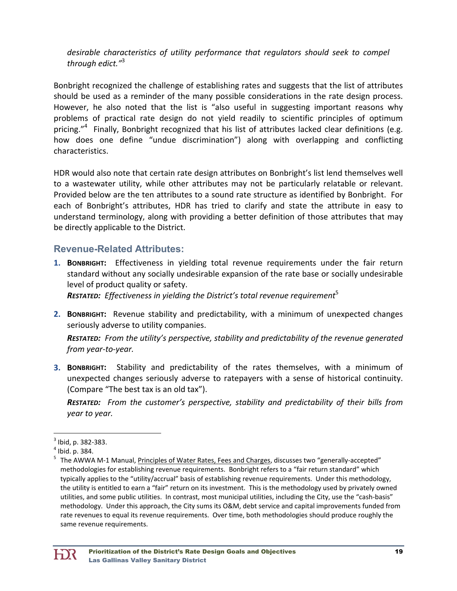*desirable characteristics of utility performance that regulators should seek to compel through edict."*<sup>3</sup>

Bonbright recognized the challenge of establishing rates and suggests that the list of attributes should be used as a reminder of the many possible considerations in the rate design process. However, he also noted that the list is "also useful in suggesting important reasons why problems of practical rate design do not yield readily to scientific principles of optimum pricing."<sup>4</sup> Finally, Bonbright recognized that his list of attributes lacked clear definitions (e.g. how does one define "undue discrimination") along with overlapping and conflicting characteristics.

HDR would also note that certain rate design attributes on Bonbright's list lend themselves well to a wastewater utility, while other attributes may not be particularly relatable or relevant. Provided below are the ten attributes to a sound rate structure as identified by Bonbright. For each of Bonbright's attributes, HDR has tried to clarify and state the attribute in easy to understand terminology, along with providing a better definition of those attributes that may be directly applicable to the District.

## **Revenue-Related Attributes:**

**1. BONBRIGHT:** Effectiveness in yielding total revenue requirements under the fair return standard without any socially undesirable expansion of the rate base or socially undesirable level of product quality or safety.

*RESTATED: Effectiveness in yielding the District's total revenue requirement*<sup>5</sup>

**2. BONBRIGHT:** Revenue stability and predictability, with a minimum of unexpected changes seriously adverse to utility companies.

*RESTATED: From the utility's perspective, stability and predictability of the revenue generated from year‐to‐year.* 

**3. BONBRIGHT:** Stability and predictability of the rates themselves, with a minimum of unexpected changes seriously adverse to ratepayers with a sense of historical continuity. (Compare "The best tax is an old tax").

*RESTATED: From the customer's perspective, stability and predictability of their bills from year to year.* 

  $^3$  Ibid, p. 382-383.<br> $^4$  Ibid. p. 384.

The AWWA M‐1 Manual, Principles of Water Rates, Fees and Charges, discusses two "generally‐accepted" methodologies for establishing revenue requirements. Bonbright refers to a "fair return standard" which typically applies to the "utility/accrual" basis of establishing revenue requirements. Under this methodology, the utility is entitled to earn a "fair" return on its investment. This is the methodology used by privately owned utilities, and some public utilities. In contrast, most municipal utilities, including the City, use the "cash‐basis" methodology. Under this approach, the City sums its O&M, debt service and capital improvements funded from rate revenues to equal its revenue requirements. Over time, both methodologies should produce roughly the same revenue requirements.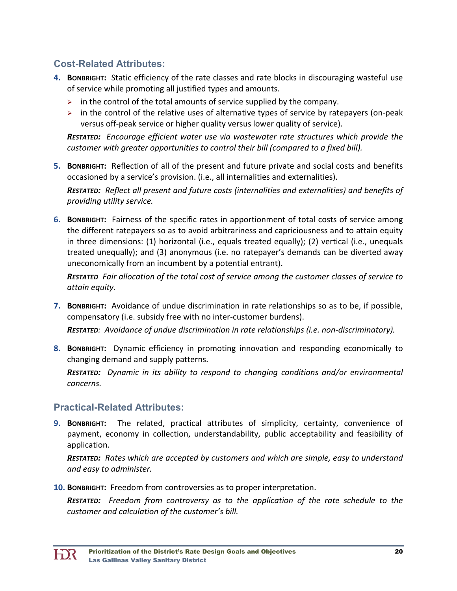# **Cost-Related Attributes:**

- **4. BONBRIGHT:** Static efficiency of the rate classes and rate blocks in discouraging wasteful use of service while promoting all justified types and amounts.
	- $\triangleright$  in the control of the total amounts of service supplied by the company.
	- $\triangleright$  in the control of the relative uses of alternative types of service by ratepayers (on-peak versus off‐peak service or higher quality versus lower quality of service).

*RESTATED: Encourage efficient water use via wastewater rate structures which provide the customer with greater opportunities to control their bill (compared to a fixed bill).*

**5. BONBRIGHT:** Reflection of all of the present and future private and social costs and benefits occasioned by a service's provision. (i.e., all internalities and externalities).

*RESTATED: Reflect all present and future costs (internalities and externalities) and benefits of providing utility service.*

**6. BONBRIGHT:** Fairness of the specific rates in apportionment of total costs of service among the different ratepayers so as to avoid arbitrariness and capriciousness and to attain equity in three dimensions: (1) horizontal (i.e., equals treated equally); (2) vertical (i.e., unequals treated unequally); and (3) anonymous (i.e. no ratepayer's demands can be diverted away uneconomically from an incumbent by a potential entrant).

*RESTATED Fair allocation of the total cost of service among the customer classes of service to attain equity.*

**7. BONBRIGHT:** Avoidance of undue discrimination in rate relationships so as to be, if possible, compensatory (i.e. subsidy free with no inter‐customer burdens).

*RESTATED: Avoidance of undue discrimination in rate relationships (i.e. non‐discriminatory).*

**8. BONBRIGHT:** Dynamic efficiency in promoting innovation and responding economically to changing demand and supply patterns.

*RESTATED: Dynamic in its ability to respond to changing conditions and/or environmental concerns.* 

## **Practical-Related Attributes:**

**9. BONBRIGHT:** The related, practical attributes of simplicity, certainty, convenience of payment, economy in collection, understandability, public acceptability and feasibility of application.

*RESTATED: Rates which are accepted by customers and which are simple, easy to understand and easy to administer.*

**10. BONBRIGHT:** Freedom from controversies as to proper interpretation.

*RESTATED: Freedom from controversy as to the application of the rate schedule to the customer and calculation of the customer's bill.*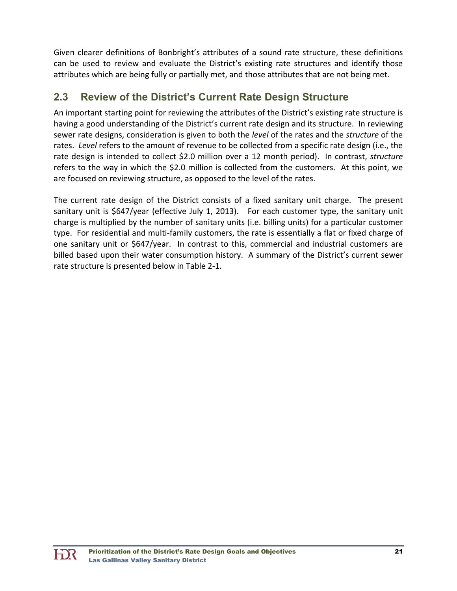Given clearer definitions of Bonbright's attributes of a sound rate structure, these definitions can be used to review and evaluate the District's existing rate structures and identify those attributes which are being fully or partially met, and those attributes that are not being met.

# **2.3 Review of the District's Current Rate Design Structure**

An important starting point for reviewing the attributes of the District's existing rate structure is having a good understanding of the District's current rate design and its structure. In reviewing sewer rate designs, consideration is given to both the *level* of the rates and the *structure* of the rates. *Level* refers to the amount of revenue to be collected from a specific rate design (i.e., the rate design is intended to collect \$2.0 million over a 12 month period). In contrast, *structure* refers to the way in which the \$2.0 million is collected from the customers. At this point, we are focused on reviewing structure, as opposed to the level of the rates.

The current rate design of the District consists of a fixed sanitary unit charge. The present sanitary unit is \$647/year (effective July 1, 2013). For each customer type, the sanitary unit charge is multiplied by the number of sanitary units (i.e. billing units) for a particular customer type. For residential and multi‐family customers, the rate is essentially a flat or fixed charge of one sanitary unit or \$647/year. In contrast to this, commercial and industrial customers are billed based upon their water consumption history. A summary of the District's current sewer rate structure is presented below in Table 2‐1.

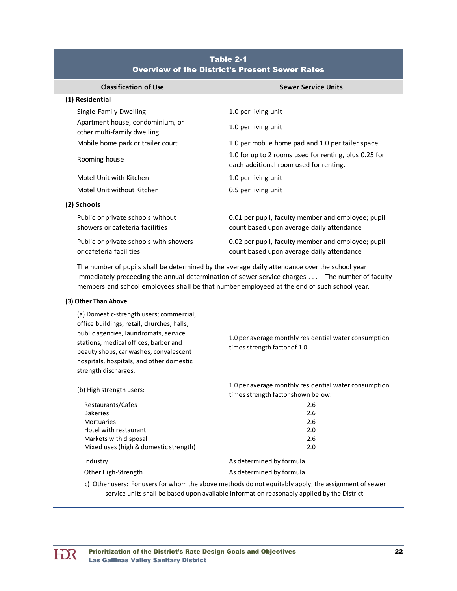| <b>Classification of Use</b>                                         | <b>Sewer Service Units</b>                                                                      |
|----------------------------------------------------------------------|-------------------------------------------------------------------------------------------------|
| (1) Residential                                                      |                                                                                                 |
| Single-Family Dwelling                                               | 1.0 per living unit                                                                             |
| Apartment house, condominium, or<br>other multi-family dwelling      | 1.0 per living unit                                                                             |
| Mobile home park or trailer court                                    | 1.0 per mobile home pad and 1.0 per tailer space                                                |
| Rooming house                                                        | 1.0 for up to 2 rooms used for renting, plus 0.25 for<br>each additional room used for renting. |
| Motel Unit with Kitchen                                              | 1.0 per living unit                                                                             |
| Motel Unit without Kitchen                                           | 0.5 per living unit                                                                             |
| (2) Schools                                                          |                                                                                                 |
| Public or private schools without<br>showers or cafeteria facilities | 0.01 per pupil, faculty member and employee; pupil<br>count based upon average daily attendance |
| Public or private schools with showers<br>or cafeteria facilities    | 0.02 per pupil, faculty member and employee; pupil<br>count based upon average daily attendance |

### Table 2-1 Overview of the District's Present Sewer Rates

The number of pupils shall be determined by the average daily attendance over the school year immediately preceeding the annual determination of sewer service charges . . . The number of faculty members and school employees shall be that number employeed at the end of such school year.

#### **(3) Other Than Above**

(a) Domestic‐strength users; commercial, office buildings, retail, churches, halls, public agencies, laundromats, service stations, medical offices, barber and beauty shops, car washes, convalescent hospitals, hospitals, and other domestic strength discharges.

1.0 per average monthly residential water consumption times strength factor of 1.0

| (b) High strength users:              | 1.0 per average monthly residential water consumption<br>times strength factor shown below: |
|---------------------------------------|---------------------------------------------------------------------------------------------|
| Restaurants/Cafes                     | 2.6                                                                                         |
| <b>Bakeries</b>                       | 2.6                                                                                         |
| <b>Mortuaries</b>                     | 2.6                                                                                         |
| Hotel with restaurant                 | 2.0                                                                                         |
| Markets with disposal                 | 2.6                                                                                         |
| Mixed uses (high & domestic strength) | 2.0                                                                                         |
| Industry                              | As determined by formula                                                                    |
| Other High-Strength                   | As determined by formula                                                                    |
|                                       |                                                                                             |

c) Other users: For users for whom the above methods do not equitably apply, the assignment of sewer service units shall be based upon available information reasonably applied by the District.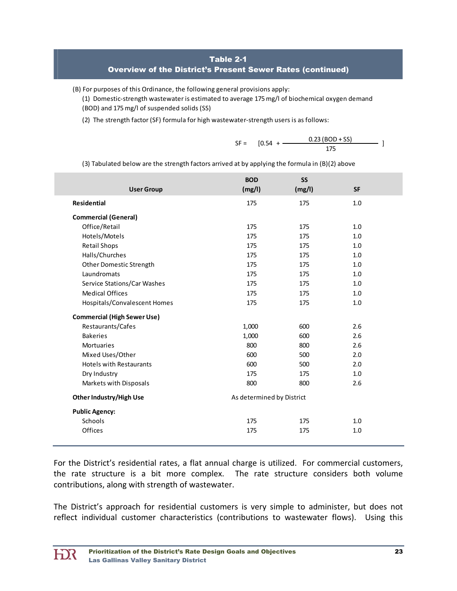### Table 2-1

### Overview of the District's Present Sewer Rates (continued)

(B) For purposes of this Ordinance, the following general provisions apply:

(1) Domestic‐strength wastewater is estimated to average 175mg/l of biochemical oxygen demand (BOD) and 175 mg/l of suspended solids (SS)

(2) The strength factor (SF) formula for high wastewater‐strength users is as follows:

SF = 
$$
[0.54 + \frac{0.23 (BOD + SS)}{175}]
$$

(3) Tabulated below are the strength factors arrived at by applying the formula in (B)(2) above

|                                    | <b>BOD</b>                | <b>SS</b> |           |  |
|------------------------------------|---------------------------|-----------|-----------|--|
| <b>User Group</b>                  | (mg/l)                    | (mg/l)    | <b>SF</b> |  |
| <b>Residential</b>                 | 175                       | 175       | 1.0       |  |
| <b>Commercial (General)</b>        |                           |           |           |  |
| Office/Retail                      | 175                       | 175       | 1.0       |  |
| Hotels/Motels                      | 175                       | 175       | 1.0       |  |
| <b>Retail Shops</b>                | 175                       | 175       | 1.0       |  |
| Halls/Churches                     | 175                       | 175       | 1.0       |  |
| Other Domestic Strength            | 175                       | 175       | 1.0       |  |
| Laundromats                        | 175                       | 175       | 1.0       |  |
| Service Stations/Car Washes        | 175                       | 175       | 1.0       |  |
| <b>Medical Offices</b>             | 175                       | 175       | 1.0       |  |
| Hospitals/Convalescent Homes       | 175                       | 175       | 1.0       |  |
| <b>Commercial (High Sewer Use)</b> |                           |           |           |  |
| Restaurants/Cafes                  | 1,000                     | 600       | 2.6       |  |
| <b>Bakeries</b>                    | 1,000                     | 600       | 2.6       |  |
| <b>Mortuaries</b>                  | 800                       | 800       | 2.6       |  |
| Mixed Uses/Other                   | 600                       | 500       | 2.0       |  |
| <b>Hotels with Restaurants</b>     | 600                       | 500       | 2.0       |  |
| Dry Industry                       | 175                       | 175       | 1.0       |  |
| Markets with Disposals             | 800                       | 800       | 2.6       |  |
| <b>Other Industry/High Use</b>     | As determined by District |           |           |  |
| <b>Public Agency:</b>              |                           |           |           |  |
| Schools                            | 175                       | 175       | 1.0       |  |
| Offices                            | 175                       | 175       | 1.0       |  |

For the District's residential rates, a flat annual charge is utilized. For commercial customers, the rate structure is a bit more complex. The rate structure considers both volume contributions, along with strength of wastewater.

The District's approach for residential customers is very simple to administer, but does not reflect individual customer characteristics (contributions to wastewater flows). Using this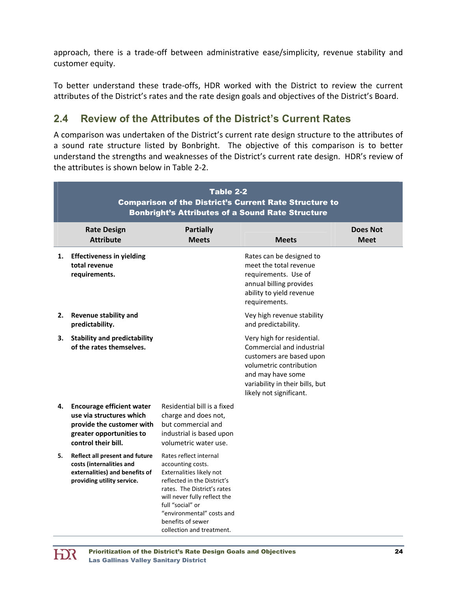approach, there is a trade‐off between administrative ease/simplicity, revenue stability and customer equity.

To better understand these trade‐offs, HDR worked with the District to review the current attributes of the District's rates and the rate design goals and objectives of the District's Board.

# **2.4 Review of the Attributes of the District's Current Rates**

A comparison was undertaken of the District's current rate design structure to the attributes of a sound rate structure listed by Bonbright. The objective of this comparison is to better understand the strengths and weaknesses of the District's current rate design. HDR's review of the attributes is shown below in Table 2‐2.

|    | Table 2-2<br><b>Comparison of the District's Current Rate Structure to</b><br><b>Bonbright's Attributes of a Sound Rate Structure</b>        |                                                                                                                                                                                                                                                                          |                                                                                                                                                                                                   |                                |  |
|----|----------------------------------------------------------------------------------------------------------------------------------------------|--------------------------------------------------------------------------------------------------------------------------------------------------------------------------------------------------------------------------------------------------------------------------|---------------------------------------------------------------------------------------------------------------------------------------------------------------------------------------------------|--------------------------------|--|
|    | <b>Rate Design</b><br><b>Attribute</b>                                                                                                       | <b>Partially</b><br><b>Meets</b>                                                                                                                                                                                                                                         | <b>Meets</b>                                                                                                                                                                                      | <b>Does Not</b><br><b>Meet</b> |  |
| 1. | <b>Effectiveness in yielding</b><br>total revenue<br>requirements.                                                                           |                                                                                                                                                                                                                                                                          | Rates can be designed to<br>meet the total revenue<br>requirements. Use of<br>annual billing provides<br>ability to yield revenue<br>requirements.                                                |                                |  |
| 2. | <b>Revenue stability and</b><br>predictability.                                                                                              |                                                                                                                                                                                                                                                                          | Vey high revenue stability<br>and predictability.                                                                                                                                                 |                                |  |
| 3. | <b>Stability and predictability</b><br>of the rates themselves.                                                                              |                                                                                                                                                                                                                                                                          | Very high for residential.<br>Commercial and industrial<br>customers are based upon<br>volumetric contribution<br>and may have some<br>variability in their bills, but<br>likely not significant. |                                |  |
| 4. | <b>Encourage efficient water</b><br>use via structures which<br>provide the customer with<br>greater opportunities to<br>control their bill. | Residential bill is a fixed<br>charge and does not,<br>but commercial and<br>industrial is based upon<br>volumetric water use.                                                                                                                                           |                                                                                                                                                                                                   |                                |  |
| 5. | Reflect all present and future<br>costs (internalities and<br>externalities) and benefits of<br>providing utility service.                   | Rates reflect internal<br>accounting costs.<br>Externalities likely not<br>reflected in the District's<br>rates. The District's rates<br>will never fully reflect the<br>full "social" or<br>"environmental" costs and<br>benefits of sewer<br>collection and treatment. |                                                                                                                                                                                                   |                                |  |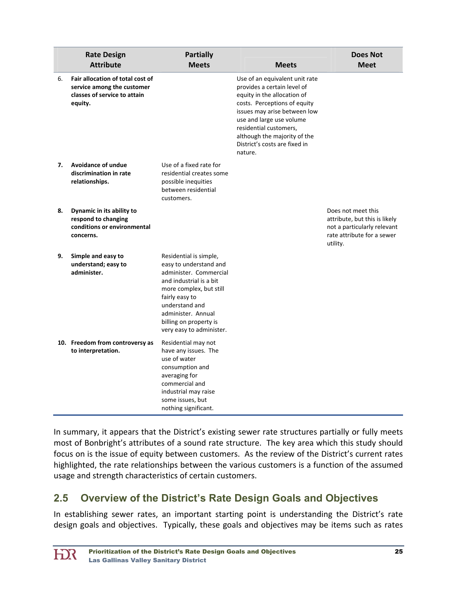|    | <b>Rate Design</b><br><b>Attribute</b>                                                                    | <b>Partially</b><br><b>Meets</b>                                                                                                                                                                                                                 | <b>Meets</b>                                                                                                                                                                                                                                                                                   | <b>Does Not</b><br><b>Meet</b>                                                                                               |
|----|-----------------------------------------------------------------------------------------------------------|--------------------------------------------------------------------------------------------------------------------------------------------------------------------------------------------------------------------------------------------------|------------------------------------------------------------------------------------------------------------------------------------------------------------------------------------------------------------------------------------------------------------------------------------------------|------------------------------------------------------------------------------------------------------------------------------|
| 6. | Fair allocation of total cost of<br>service among the customer<br>classes of service to attain<br>equity. |                                                                                                                                                                                                                                                  | Use of an equivalent unit rate<br>provides a certain level of<br>equity in the allocation of<br>costs. Perceptions of equity<br>issues may arise between low<br>use and large use volume<br>residential customers,<br>although the majority of the<br>District's costs are fixed in<br>nature. |                                                                                                                              |
| 7. | <b>Avoidance of undue</b><br>discrimination in rate<br>relationships.                                     | Use of a fixed rate for<br>residential creates some<br>possible inequities<br>between residential<br>customers.                                                                                                                                  |                                                                                                                                                                                                                                                                                                |                                                                                                                              |
| 8. | Dynamic in its ability to<br>respond to changing<br>conditions or environmental<br>concerns.              |                                                                                                                                                                                                                                                  |                                                                                                                                                                                                                                                                                                | Does not meet this<br>attribute, but this is likely<br>not a particularly relevant<br>rate attribute for a sewer<br>utility. |
| 9. | Simple and easy to<br>understand; easy to<br>administer.                                                  | Residential is simple,<br>easy to understand and<br>administer. Commercial<br>and industrial is a bit<br>more complex, but still<br>fairly easy to<br>understand and<br>administer. Annual<br>billing on property is<br>very easy to administer. |                                                                                                                                                                                                                                                                                                |                                                                                                                              |
|    | 10. Freedom from controversy as<br>to interpretation.                                                     | Residential may not<br>have any issues. The<br>use of water<br>consumption and<br>averaging for<br>commercial and<br>industrial may raise<br>some issues, but<br>nothing significant.                                                            |                                                                                                                                                                                                                                                                                                |                                                                                                                              |

In summary, it appears that the District's existing sewer rate structures partially or fully meets most of Bonbright's attributes of a sound rate structure. The key area which this study should focus on is the issue of equity between customers. As the review of the District's current rates highlighted, the rate relationships between the various customers is a function of the assumed usage and strength characteristics of certain customers.

# **2.5 Overview of the District's Rate Design Goals and Objectives**

In establishing sewer rates, an important starting point is understanding the District's rate design goals and objectives. Typically, these goals and objectives may be items such as rates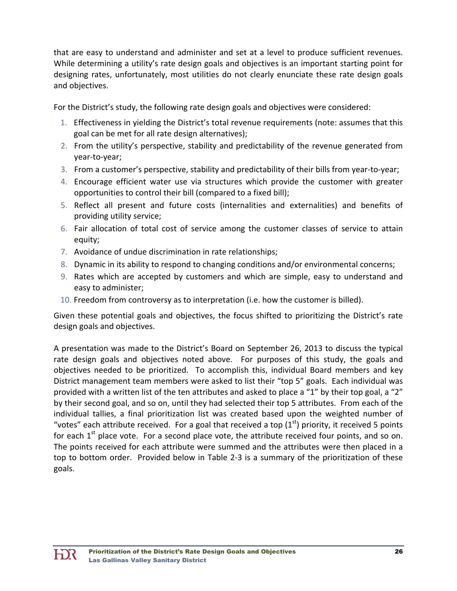that are easy to understand and administer and set at a level to produce sufficient revenues. While determining a utility's rate design goals and objectives is an important starting point for designing rates, unfortunately, most utilities do not clearly enunciate these rate design goals and objectives.

For the District's study, the following rate design goals and objectives were considered:

- 1. Effectiveness in yielding the District's total revenue requirements (note: assumes that this goal can be met for all rate design alternatives);
- 2. From the utility's perspective, stability and predictability of the revenue generated from year‐to‐year;
- 3. From a customer's perspective, stability and predictability of their bills from year‐to‐year;
- 4. Encourage efficient water use via structures which provide the customer with greater opportunities to control their bill (compared to a fixed bill);
- 5. Reflect all present and future costs (internalities and externalities) and benefits of providing utility service;
- 6. Fair allocation of total cost of service among the customer classes of service to attain equity;
- 7. Avoidance of undue discrimination in rate relationships;
- 8. Dynamic in its ability to respond to changing conditions and/or environmental concerns;
- 9. Rates which are accepted by customers and which are simple, easy to understand and easy to administer;
- 10. Freedom from controversy as to interpretation (i.e. how the customer is billed).

Given these potential goals and objectives, the focus shifted to prioritizing the District's rate design goals and objectives.

A presentation was made to the District's Board on September 26, 2013 to discuss the typical rate design goals and objectives noted above. For purposes of this study, the goals and objectives needed to be prioritized. To accomplish this, individual Board members and key District management team members were asked to list their "top 5" goals. Each individual was provided with a written list of the ten attributes and asked to place a "1" by their top goal, a "2" by their second goal, and so on, until they had selected their top 5 attributes. From each of the individual tallies, a final prioritization list was created based upon the weighted number of "votes" each attribute received. For a goal that received a top  $(1<sup>st</sup>)$  priority, it received 5 points for each  $1<sup>st</sup>$  place vote. For a second place vote, the attribute received four points, and so on. The points received for each attribute were summed and the attributes were then placed in a top to bottom order. Provided below in Table 2‐3 is a summary of the prioritization of these goals.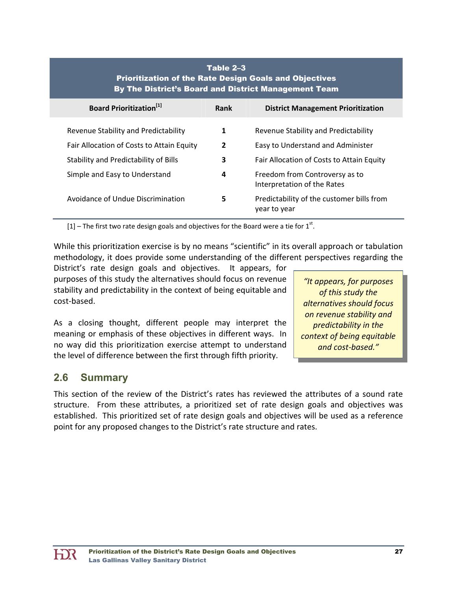| Table 2–3<br><b>Prioritization of the Rate Design Goals and Objectives</b><br>By The District's Board and District Management Team |                                                               |  |  |  |
|------------------------------------------------------------------------------------------------------------------------------------|---------------------------------------------------------------|--|--|--|
| Rank                                                                                                                               | <b>District Management Prioritization</b>                     |  |  |  |
| 1                                                                                                                                  | Revenue Stability and Predictability                          |  |  |  |
| $\overline{2}$                                                                                                                     | Easy to Understand and Administer                             |  |  |  |
| 3                                                                                                                                  | Fair Allocation of Costs to Attain Equity                     |  |  |  |
| 4                                                                                                                                  | Freedom from Controversy as to<br>Interpretation of the Rates |  |  |  |
| 5                                                                                                                                  | Predictability of the customer bills from<br>year to year     |  |  |  |
|                                                                                                                                    |                                                               |  |  |  |

[1] – The first two rate design goals and objectives for the Board were a tie for  $1<sup>st</sup>$ .

While this prioritization exercise is by no means "scientific" in its overall approach or tabulation methodology, it does provide some understanding of the different perspectives regarding the

District's rate design goals and objectives. It appears, for purposes of this study the alternatives should focus on revenue stability and predictability in the context of being equitable and cost‐based.

As a closing thought, different people may interpret the meaning or emphasis of these objectives in different ways. In no way did this prioritization exercise attempt to understand the level of difference between the first through fifth priority.

*"It appears, for purposes of this study the alternatives should focus on revenue stability and predictability in the context of being equitable and cost‐based."*

# **2.6 Summary**

HX

This section of the review of the District's rates has reviewed the attributes of a sound rate structure. From these attributes, a prioritized set of rate design goals and objectives was established. This prioritized set of rate design goals and objectives will be used as a reference point for any proposed changes to the District's rate structure and rates.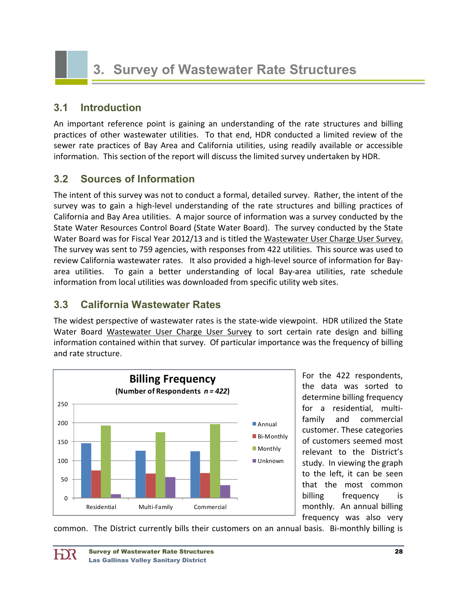# **3.1 Introduction**

An important reference point is gaining an understanding of the rate structures and billing practices of other wastewater utilities. To that end, HDR conducted a limited review of the sewer rate practices of Bay Area and California utilities, using readily available or accessible information. This section of the report will discuss the limited survey undertaken by HDR.

# **3.2 Sources of Information**

The intent of this survey was not to conduct a formal, detailed survey. Rather, the intent of the survey was to gain a high‐level understanding of the rate structures and billing practices of California and Bay Area utilities. A major source of information was a survey conducted by the State Water Resources Control Board (State Water Board). The survey conducted by the State Water Board was for Fiscal Year 2012/13 and is titled the Wastewater User Charge User Survey. The survey was sent to 759 agencies, with responses from 422 utilities. This source was used to review California wastewater rates. It also provided a high-level source of information for Bayarea utilities. To gain a better understanding of local Bay-area utilities, rate schedule information from local utilities was downloaded from specific utility web sites.

# **3.3 California Wastewater Rates**

The widest perspective of wastewater rates is the state‐wide viewpoint. HDR utilized the State Water Board Wastewater User Charge User Survey to sort certain rate design and billing information contained within that survey. Of particular importance was the frequency of billing and rate structure.



For the 422 respondents, the data was sorted to determine billing frequency for a residential, multi‐ family and commercial customer. These categories of customers seemed most relevant to the District's study. In viewing the graph to the left, it can be seen that the most common billing frequency is monthly. An annual billing frequency was also very

common. The District currently bills their customers on an annual basis. Bi-monthly billing is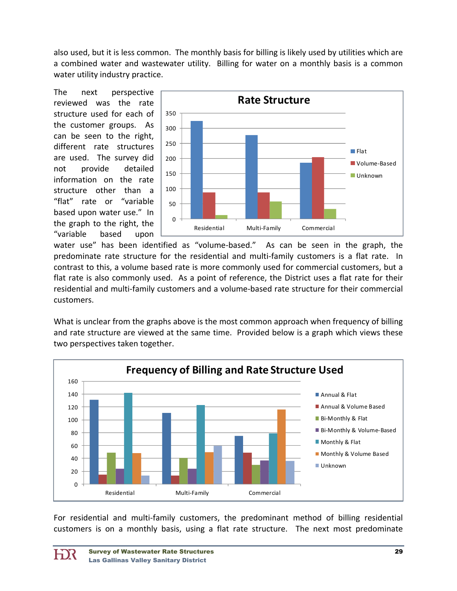also used, but it is less common. The monthly basis for billing is likely used by utilities which are a combined water and wastewater utility. Billing for water on a monthly basis is a common water utility industry practice.

The next perspective reviewed was the rate structure used for each of the customer groups. As can be seen to the right, different rate structures are used. The survey did not provide detailed information on the rate structure other than a "flat" rate or "variable based upon water use." In the graph to the right, the "variable based upon



water use" has been identified as "volume-based." As can be seen in the graph, the predominate rate structure for the residential and multi-family customers is a flat rate. In contrast to this, a volume based rate is more commonly used for commercial customers, but a flat rate is also commonly used. As a point of reference, the District uses a flat rate for their residential and multi‐family customers and a volume‐based rate structure for their commercial customers.

What is unclear from the graphs above is the most common approach when frequency of billing and rate structure are viewed at the same time. Provided below is a graph which views these two perspectives taken together.



For residential and multi-family customers, the predominant method of billing residential customers is on a monthly basis, using a flat rate structure. The next most predominate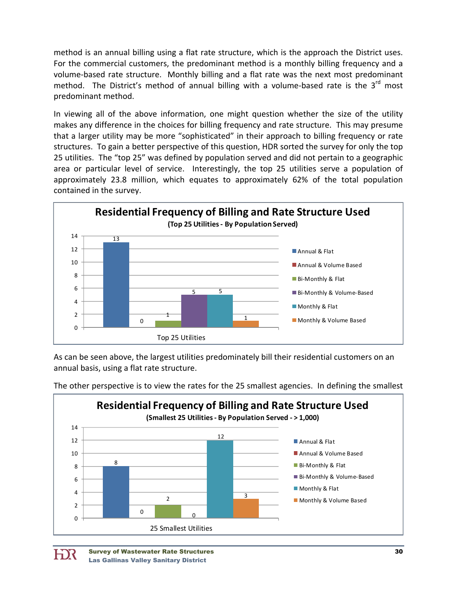method is an annual billing using a flat rate structure, which is the approach the District uses. For the commercial customers, the predominant method is a monthly billing frequency and a volume‐based rate structure. Monthly billing and a flat rate was the next most predominant method. The District's method of annual billing with a volume-based rate is the  $3<sup>rd</sup>$  most predominant method.

In viewing all of the above information, one might question whether the size of the utility makes any difference in the choices for billing frequency and rate structure. This may presume that a larger utility may be more "sophisticated" in their approach to billing frequency or rate structures. To gain a better perspective of this question, HDR sorted the survey for only the top 25 utilities. The "top 25" was defined by population served and did not pertain to a geographic area or particular level of service. Interestingly, the top 25 utilities serve a population of approximately 23.8 million, which equates to approximately 62% of the total population contained in the survey.



As can be seen above, the largest utilities predominately bill their residential customers on an annual basis, using a flat rate structure.

The other perspective is to view the rates for the 25 smallest agencies. In defining the smallest



HX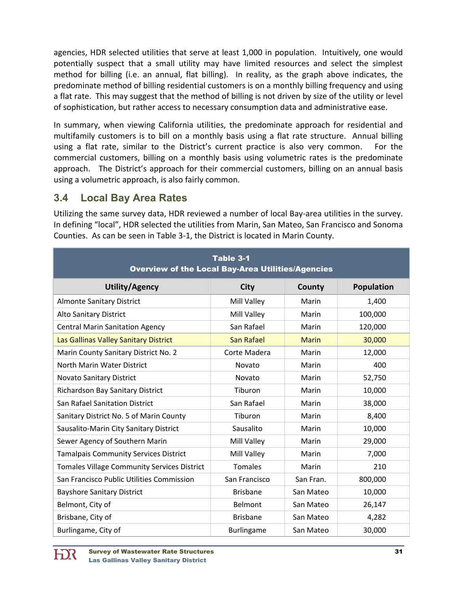agencies, HDR selected utilities that serve at least 1,000 in population. Intuitively, one would potentially suspect that a small utility may have limited resources and select the simplest method for billing (i.e. an annual, flat billing). In reality, as the graph above indicates, the predominate method of billing residential customers is on a monthly billing frequency and using a flat rate. This may suggest that the method of billing is not driven by size of the utility or level of sophistication, but rather access to necessary consumption data and administrative ease.

In summary, when viewing California utilities, the predominate approach for residential and multifamily customers is to bill on a monthly basis using a flat rate structure. Annual billing using a flat rate, similar to the District's current practice is also very common. For the commercial customers, billing on a monthly basis using volumetric rates is the predominate approach. The District's approach for their commercial customers, billing on an annual basis using a volumetric approach, is also fairly common.

# **3.4 Local Bay Area Rates**

Utilizing the same survey data, HDR reviewed a number of local Bay-area utilities in the survey. In defining "local", HDR selected the utilities from Marin, San Mateo, San Francisco and Sonoma Counties. As can be seen in Table 3‐1, the District is located in Marin County.

| Table 3-1<br><b>Overview of the Local Bay-Area Utilities/Agencies</b> |                   |              |                   |  |
|-----------------------------------------------------------------------|-------------------|--------------|-------------------|--|
| <b>Utility/Agency</b>                                                 | <b>City</b>       | County       | <b>Population</b> |  |
| <b>Almonte Sanitary District</b>                                      | Mill Valley       | Marin        | 1,400             |  |
| Alto Sanitary District                                                | Mill Valley       | Marin        | 100,000           |  |
| <b>Central Marin Sanitation Agency</b>                                | San Rafael        | Marin        | 120,000           |  |
| Las Gallinas Valley Sanitary District                                 | San Rafael        | <b>Marin</b> | 30,000            |  |
| Marin County Sanitary District No. 2                                  | Corte Madera      | Marin        | 12,000            |  |
| North Marin Water District                                            | Novato            | Marin        | 400               |  |
| <b>Novato Sanitary District</b>                                       | Novato            | Marin        | 52,750            |  |
| Richardson Bay Sanitary District                                      | Tiburon           | Marin        | 10,000            |  |
| San Rafael Sanitation District                                        | San Rafael        | Marin        | 38,000            |  |
| Sanitary District No. 5 of Marin County                               | Tiburon           | Marin        | 8,400             |  |
| Sausalito-Marin City Sanitary District                                | Sausalito         | Marin        | 10,000            |  |
| Sewer Agency of Southern Marin                                        | Mill Valley       | Marin        | 29,000            |  |
| <b>Tamalpais Community Services District</b>                          | Mill Valley       | Marin        | 7,000             |  |
| <b>Tomales Village Community Services District</b>                    | Tomales           | Marin        | 210               |  |
| San Francisco Public Utilities Commission                             | San Francisco     | San Fran.    | 800,000           |  |
| <b>Bayshore Sanitary District</b>                                     | <b>Brisbane</b>   | San Mateo    | 10,000            |  |
| Belmont, City of                                                      | Belmont           | San Mateo    | 26,147            |  |
| Brisbane, City of                                                     | <b>Brisbane</b>   | San Mateo    | 4,282             |  |
| Burlingame, City of                                                   | <b>Burlingame</b> | San Mateo    | 30,000            |  |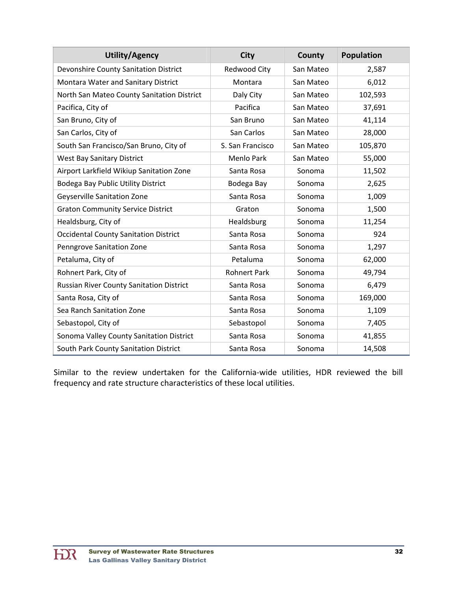| <b>Utility/Agency</b>                           | <b>City</b>         | <b>County</b> | <b>Population</b> |
|-------------------------------------------------|---------------------|---------------|-------------------|
| Devonshire County Sanitation District           | <b>Redwood City</b> | San Mateo     | 2,587             |
| Montara Water and Sanitary District             | Montara             | San Mateo     | 6,012             |
| North San Mateo County Sanitation District      | Daly City           | San Mateo     | 102,593           |
| Pacifica, City of                               | Pacifica            | San Mateo     | 37,691            |
| San Bruno, City of                              | San Bruno           | San Mateo     | 41,114            |
| San Carlos, City of                             | San Carlos          | San Mateo     | 28,000            |
| South San Francisco/San Bruno, City of          | S. San Francisco    | San Mateo     | 105,870           |
| West Bay Sanitary District                      | Menlo Park          | San Mateo     | 55,000            |
| Airport Larkfield Wikiup Sanitation Zone        | Santa Rosa          | Sonoma        | 11,502            |
| Bodega Bay Public Utility District              | Bodega Bay          | Sonoma        | 2,625             |
| Geyserville Sanitation Zone                     | Santa Rosa          | Sonoma        | 1,009             |
| <b>Graton Community Service District</b>        | Graton              | Sonoma        | 1,500             |
| Healdsburg, City of                             | Healdsburg          | Sonoma        | 11,254            |
| <b>Occidental County Sanitation District</b>    | Santa Rosa          | Sonoma        | 924               |
| <b>Penngrove Sanitation Zone</b>                | Santa Rosa          | Sonoma        | 1,297             |
| Petaluma, City of                               | Petaluma            | Sonoma        | 62,000            |
| Rohnert Park, City of                           | <b>Rohnert Park</b> | Sonoma        | 49,794            |
| <b>Russian River County Sanitation District</b> | Santa Rosa          | Sonoma        | 6,479             |
| Santa Rosa, City of                             | Santa Rosa          | Sonoma        | 169,000           |
| Sea Ranch Sanitation Zone                       | Santa Rosa          | Sonoma        | 1,109             |
| Sebastopol, City of                             | Sebastopol          | Sonoma        | 7,405             |
| Sonoma Valley County Sanitation District        | Santa Rosa          | Sonoma        | 41,855            |
| South Park County Sanitation District           | Santa Rosa          | Sonoma        | 14,508            |

Similar to the review undertaken for the California‐wide utilities, HDR reviewed the bill frequency and rate structure characteristics of these local utilities.

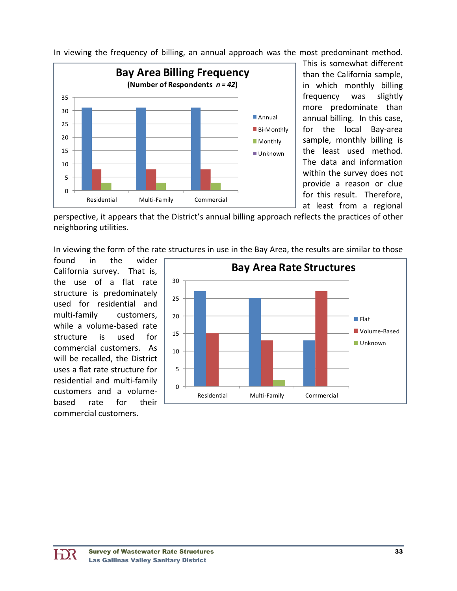

In viewing the frequency of billing, an annual approach was the most predominant method.

This is somewhat different than the California sample, in which monthly billing frequency was slightly more predominate than annual billing. In this case, for the local Bay‐area sample, monthly billing is the least used method. The data and information within the survey does not provide a reason or clue for this result. Therefore, at least from a regional

perspective, it appears that the District's annual billing approach reflects the practices of other neighboring utilities.

In viewing the form of the rate structures in use in the Bay Area, the results are similar to those

found in the wider California survey. That is, the use of a flat rate structure is predominately used for residential and multi-family customers, while a volume‐based rate structure is used for commercial customers. As will be recalled, the District uses a flat rate structure for residential and multi‐family customers and a volume‐ based rate for their commercial customers.

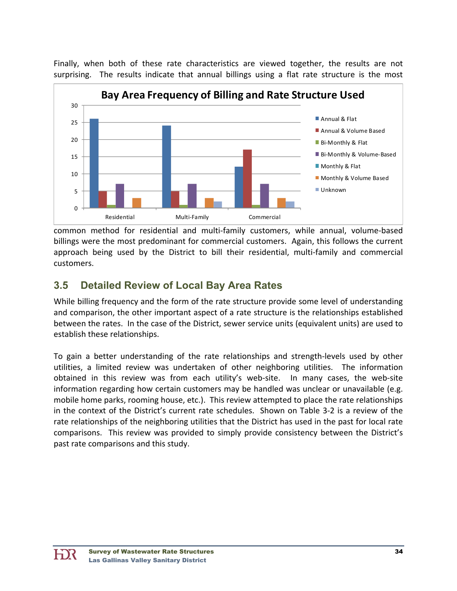Finally, when both of these rate characteristics are viewed together, the results are not surprising. The results indicate that annual billings using a flat rate structure is the most



common method for residential and multi‐family customers, while annual, volume‐based billings were the most predominant for commercial customers. Again, this follows the current approach being used by the District to bill their residential, multi‐family and commercial customers.

# **3.5 Detailed Review of Local Bay Area Rates**

While billing frequency and the form of the rate structure provide some level of understanding and comparison, the other important aspect of a rate structure is the relationships established between the rates. In the case of the District, sewer service units (equivalent units) are used to establish these relationships.

To gain a better understanding of the rate relationships and strength‐levels used by other utilities, a limited review was undertaken of other neighboring utilities. The information obtained in this review was from each utility's web-site. In many cases, the web-site information regarding how certain customers may be handled was unclear or unavailable (e.g. mobile home parks, rooming house, etc.). This review attempted to place the rate relationships in the context of the District's current rate schedules. Shown on Table 3‐2 is a review of the rate relationships of the neighboring utilities that the District has used in the past for local rate comparisons. This review was provided to simply provide consistency between the District's past rate comparisons and this study.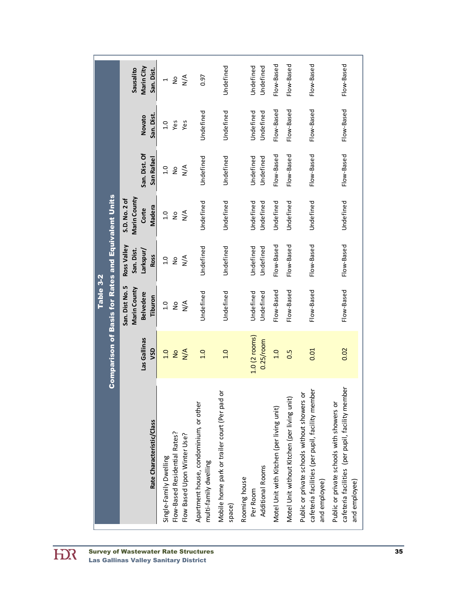| Table 3-2 | <b>Comparison of Basis for Rates and Equivalent Units</b> | Marin City<br>Sausalito<br>San. Dist.<br>San. Dist.<br>Novato<br>San. Dist. Of<br>San Rafael<br>Marin County<br>S.D. No. 2 of<br>Madera<br>Corte<br>Ross Valley<br>San. Dist.<br>Larkspur/<br>Ross<br>San. Dist No. 5<br>Marin County<br><b>Belvedere</b><br>Tiburon<br>Las Gallinas<br>VSD | $\frac{4}{2}$<br>$\frac{1}{2}$<br>$\overline{\phantom{0}}$<br>ves<br>$\overline{c}$<br>Yes<br>$\sum_{N}$<br>1.0<br>$\frac{1}{2}$<br>$\frac{4}{\sqrt{2}}$<br>1.0<br>$\frac{1}{2}$<br>$\sum_{N}$<br>1.0<br>$\frac{1}{2}$<br>$\sum_{i=1}^{n}$<br>1.0<br>9<br>N/A<br>0.1<br>$\frac{1}{2}$ | 0.97<br>Undefined<br>Undefined<br>Undefined<br>Undefined<br>Undefined<br>1.0 | Undefined<br>Undefined<br>Undefined<br>Undefined<br>Undefined<br>Undefined<br>0.1 | Undefined<br>Undefined<br>Undefined<br>Undefined<br>Undefined<br>Undefined<br>Undefined<br>Undefined<br>Undefined<br>Undefined<br>Undefined<br>Undefined<br>$1.0(2$ rooms)<br>$0.25$ /room | Flow-Based<br>Flow-Based<br>Flow-Based<br>Undefined<br>Flow-Based<br>Flow-Based<br>0.1 | Flow-Based<br>Flow-Based<br>Flow-Based<br>Undefined<br>Flow-Based<br>Flow-Based<br>0.5 | Flow-Based<br>Flow-Based<br>Flow-Based<br>Undefined<br>Flow-Based<br>Flow-Based<br>0.01                          | Flow-Based<br>Flow-Based<br>Flow-Based<br>Undefined<br>Flow-Based<br>Flow-Based<br>0.02                        |
|-----------|-----------------------------------------------------------|---------------------------------------------------------------------------------------------------------------------------------------------------------------------------------------------------------------------------------------------------------------------------------------------|---------------------------------------------------------------------------------------------------------------------------------------------------------------------------------------------------------------------------------------------------------------------------------------|------------------------------------------------------------------------------|-----------------------------------------------------------------------------------|--------------------------------------------------------------------------------------------------------------------------------------------------------------------------------------------|----------------------------------------------------------------------------------------|----------------------------------------------------------------------------------------|------------------------------------------------------------------------------------------------------------------|----------------------------------------------------------------------------------------------------------------|
|           |                                                           | Rate Characteristic/Class                                                                                                                                                                                                                                                                   | Flow-Based Residential Rates?<br>Flow Based Upon Winter Use?<br>Single-Family Dwelling                                                                                                                                                                                                | Apartment house, condominium, or other<br>multi-family dwelling              | Mobile home park or trailer court (Per pad or<br>space)                           | Additional Rooms<br>Rooming house<br>Per Room                                                                                                                                              | Motel Unit with Kitchen (per living unit)                                              | Motel Unit without Kitchen (per living unit)                                           | cafeteria facilities (per pupil, facility membe<br>Public or private schools without showers or<br>and employee) | cafeteria facilities (per pupil, facility member<br>Public or private schools with showers or<br>and employee) |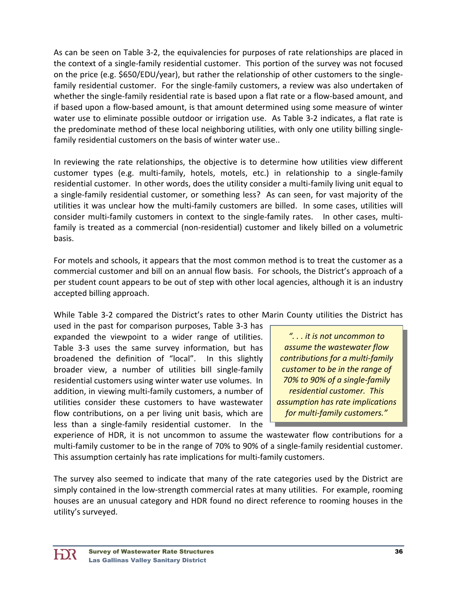As can be seen on Table 3‐2, the equivalencies for purposes of rate relationships are placed in the context of a single‐family residential customer. This portion of the survey was not focused on the price (e.g. \$650/EDU/year), but rather the relationship of other customers to the single‐ family residential customer. For the single-family customers, a review was also undertaken of whether the single-family residential rate is based upon a flat rate or a flow-based amount, and if based upon a flow‐based amount, is that amount determined using some measure of winter water use to eliminate possible outdoor or irrigation use. As Table 3-2 indicates, a flat rate is the predominate method of these local neighboring utilities, with only one utility billing single‐ family residential customers on the basis of winter water use..

In reviewing the rate relationships, the objective is to determine how utilities view different customer types (e.g. multi‐family, hotels, motels, etc.) in relationship to a single‐family residential customer. In other words, does the utility consider a multi-family living unit equal to a single‐family residential customer, or something less? As can seen, for vast majority of the utilities it was unclear how the multi‐family customers are billed. In some cases, utilities will consider multi-family customers in context to the single-family rates. In other cases, multifamily is treated as a commercial (non‐residential) customer and likely billed on a volumetric basis.

For motels and schools, it appears that the most common method is to treat the customer as a commercial customer and bill on an annual flow basis. For schools, the District's approach of a per student count appears to be out of step with other local agencies, although it is an industry accepted billing approach.

While Table 3‐2 compared the District's rates to other Marin County utilities the District has

used in the past for comparison purposes, Table 3‐3 has expanded the viewpoint to a wider range of utilities. Table 3‐3 uses the same survey information, but has broadened the definition of "local". In this slightly broader view, a number of utilities bill single‐family residential customers using winter water use volumes. In addition, in viewing multi‐family customers, a number of utilities consider these customers to have wastewater flow contributions, on a per living unit basis, which are less than a single‐family residential customer. In the

*". . . it is not uncommon to assume the wastewater flow contributions for a multi‐family customer to be in the range of 70% to 90% of a single‐family residential customer. This assumption has rate implications for multi‐family customers."*

experience of HDR, it is not uncommon to assume the wastewater flow contributions for a multi-family customer to be in the range of 70% to 90% of a single-family residential customer. This assumption certainly has rate implications for multi‐family customers.

The survey also seemed to indicate that many of the rate categories used by the District are simply contained in the low-strength commercial rates at many utilities. For example, rooming houses are an unusual category and HDR found no direct reference to rooming houses in the utility's surveyed.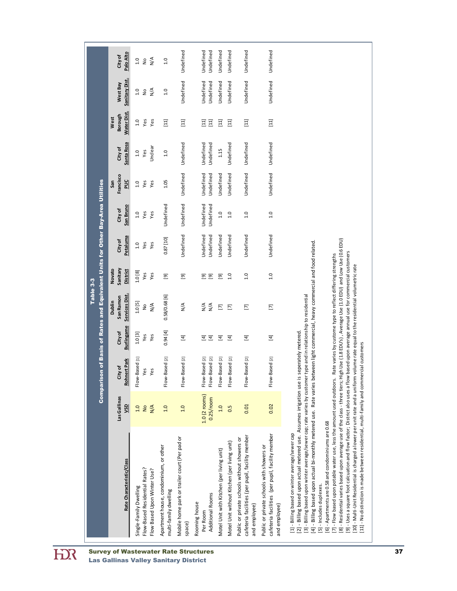| Comparison of Basis of Rates and Equivalent Units for Other Bay-Area Utilities | <b>Burlingame</b><br>City of<br><b>Rohnert Park</b><br>City of<br>Las Gallinas<br><b>OSN</b><br>Rate Characteristic/Class | 1.0[3]<br>Yes<br>Yes<br>Flow-Based [1]<br>Yes<br>Yes<br>N/A<br>0.1<br>$\frac{1}{2}$<br>Flow-Based Residential Rates?<br>Flow Based Upon Winter Use?<br>Single-Family Dwelling | 0.94[4]<br>$\Xi$<br>Flow-Based [2]<br>Flow-Based [2]<br>1.0<br>1.0<br>Mobile home park or trailer court (Per pad or<br>Apartment house, condominium, or other<br>multi-family dwelling | $\boxed{4}$<br>$\boxed{4}$<br>Flow-Based [2]<br>Flow-Based [2]<br>$1.0$ (2 rooms)<br>$0.25$ /room<br>Additional Rooms<br>Rooming house<br>Per Room | $\boxed{4}$<br>Flow-Based [2]<br>1.0<br>Motel Unit with Kitchen (per living unit) | Ξ<br>Flow-Based [2]<br>0.5<br>Motel Unit without Kitchen (per living unit) | $\Xi$<br>Flow-Based [2]<br>0.01<br>cafeteria facilities (per pupil, facility member<br>Public or private schools without showers or<br>and employee) | $\boxed{4}$<br>Flow-Based [2]<br>0.02<br>cafeteria facilities (per pupil, facility member<br>Public or private schools with showers or<br>and employee) | High Use (1.8 EDU's), Average Use (1.0 EDU) and Low Use (0.6 EDU)<br>4] - Billing based upon actual bi-monthly metered use. Rate varies between light commercial, heavy commercial and food related.<br>[9] - Uses a square foot calcuation and flow factor; District also uses a flow based upon average annual use for commercial customers<br>Rate varies by custome type to reflect differing strengths<br>10] - Multi-Unit Residential is charged a lower per unit rate and a uniform volume rate equal to the residential volumetric rate<br>[3] - Billing based upon winter average/sewer cap; rate varies by customer type and in relationship to residential<br>[2] - Billing based upon actual metered use. Assumes imigation use is seperately metered.<br>[7] - Flow based upon potable water use, less the amount used outdoors.<br>[8] - Residential varies based upon average use of the class - three tiers;<br>[6] - Apartments are 0.58 and condominiums are 0.68<br>[1] - Billing based on winter average/sewer cap<br>[5] - Includes duplexes. |
|--------------------------------------------------------------------------------|---------------------------------------------------------------------------------------------------------------------------|-------------------------------------------------------------------------------------------------------------------------------------------------------------------------------|----------------------------------------------------------------------------------------------------------------------------------------------------------------------------------------|----------------------------------------------------------------------------------------------------------------------------------------------------|-----------------------------------------------------------------------------------|----------------------------------------------------------------------------|------------------------------------------------------------------------------------------------------------------------------------------------------|---------------------------------------------------------------------------------------------------------------------------------------------------------|--------------------------------------------------------------------------------------------------------------------------------------------------------------------------------------------------------------------------------------------------------------------------------------------------------------------------------------------------------------------------------------------------------------------------------------------------------------------------------------------------------------------------------------------------------------------------------------------------------------------------------------------------------------------------------------------------------------------------------------------------------------------------------------------------------------------------------------------------------------------------------------------------------------------------------------------------------------------------------------------------------------------------------------------------------------------|
| Table 3-3                                                                      | Services Dist.<br>San Ramon<br>Dublin                                                                                     | 1.0[5]<br>$\frac{4}{2}$<br>$\frac{1}{2}$                                                                                                                                      | 0.58/0.68 [6]<br>$\frac{4}{2}$                                                                                                                                                         | $\frac{4}{\pi}$<br>$\frac{4}{2}$                                                                                                                   | $\boldsymbol{\Sigma}$                                                             | Σ                                                                          | Σ                                                                                                                                                    | $\overline{\Xi}$                                                                                                                                        |                                                                                                                                                                                                                                                                                                                                                                                                                                                                                                                                                                                                                                                                                                                                                                                                                                                                                                                                                                                                                                                                    |
|                                                                                | Sanitary<br>Novato<br><b>District</b>                                                                                     | 1.0 [8]<br>Yes<br>Yes                                                                                                                                                         | Ξ<br>මු                                                                                                                                                                                | මු<br>මු                                                                                                                                           | මු                                                                                | 1.0                                                                        | 1.0                                                                                                                                                  | 1.0                                                                                                                                                     |                                                                                                                                                                                                                                                                                                                                                                                                                                                                                                                                                                                                                                                                                                                                                                                                                                                                                                                                                                                                                                                                    |
|                                                                                | Petaluma<br>City of                                                                                                       | Yes<br>Yes<br>1.0                                                                                                                                                             | Undefined<br>0.87 [10]                                                                                                                                                                 | <b>Undefined</b><br><b>Jndefined</b>                                                                                                               | Undefined                                                                         | Undefined                                                                  | Undefined                                                                                                                                            | Undefined                                                                                                                                               |                                                                                                                                                                                                                                                                                                                                                                                                                                                                                                                                                                                                                                                                                                                                                                                                                                                                                                                                                                                                                                                                    |
|                                                                                | San Bruno<br><b>City of</b>                                                                                               | Yes<br>Yes<br>1.0                                                                                                                                                             | Undefined<br>Undefined                                                                                                                                                                 | Undefined<br>Undefined                                                                                                                             | 1.0                                                                               | 1.0                                                                        | 1.0                                                                                                                                                  | 1.0                                                                                                                                                     |                                                                                                                                                                                                                                                                                                                                                                                                                                                                                                                                                                                                                                                                                                                                                                                                                                                                                                                                                                                                                                                                    |
|                                                                                | Francisco<br>$\frac{1}{2}$<br>San                                                                                         | Yes<br>Yes<br>1.0                                                                                                                                                             | Undefined<br>1.05                                                                                                                                                                      | Undefined<br>Undefined                                                                                                                             | Undefined                                                                         | Undefined                                                                  | Undefined                                                                                                                                            | Undefined                                                                                                                                               |                                                                                                                                                                                                                                                                                                                                                                                                                                                                                                                                                                                                                                                                                                                                                                                                                                                                                                                                                                                                                                                                    |
|                                                                                | Santa Rosa<br>City of                                                                                                     | Unclear<br>Yes<br>1.0                                                                                                                                                         | Undefined<br>1.0                                                                                                                                                                       | Undefined<br>Undefined                                                                                                                             | 1.15                                                                              | Undefined                                                                  | Undefined                                                                                                                                            | Undefined                                                                                                                                               |                                                                                                                                                                                                                                                                                                                                                                                                                                                                                                                                                                                                                                                                                                                                                                                                                                                                                                                                                                                                                                                                    |
|                                                                                | <b>Water Dist.</b><br>Borough<br>West                                                                                     | Yes<br>1.0<br>Yes                                                                                                                                                             | $\Xi$<br>$\Xi$                                                                                                                                                                         | $\boxed{11}$<br>$\Xi$                                                                                                                              | $\Xi$                                                                             | $\Xi$                                                                      | $\Xi$                                                                                                                                                | $\boxed{11}$                                                                                                                                            |                                                                                                                                                                                                                                                                                                                                                                                                                                                                                                                                                                                                                                                                                                                                                                                                                                                                                                                                                                                                                                                                    |
|                                                                                | <b>Sanitary Dist.</b><br>West Bay                                                                                         | N/A<br>1.0<br>$\frac{1}{2}$                                                                                                                                                   | Undefined<br>1.0                                                                                                                                                                       | Undefined<br>Undefined                                                                                                                             | Undefined                                                                         | Undefined                                                                  | Undefined                                                                                                                                            | Undefined                                                                                                                                               |                                                                                                                                                                                                                                                                                                                                                                                                                                                                                                                                                                                                                                                                                                                                                                                                                                                                                                                                                                                                                                                                    |
|                                                                                | Palo Alto<br>City of                                                                                                      | N/A<br>1.0<br>$\frac{1}{2}$                                                                                                                                                   | Undefined<br>1.0                                                                                                                                                                       | Undefined<br>Undefined                                                                                                                             | Undefined                                                                         | Undefined                                                                  | Undefined                                                                                                                                            | Undefined                                                                                                                                               |                                                                                                                                                                                                                                                                                                                                                                                                                                                                                                                                                                                                                                                                                                                                                                                                                                                                                                                                                                                                                                                                    |

 $\overline{H}$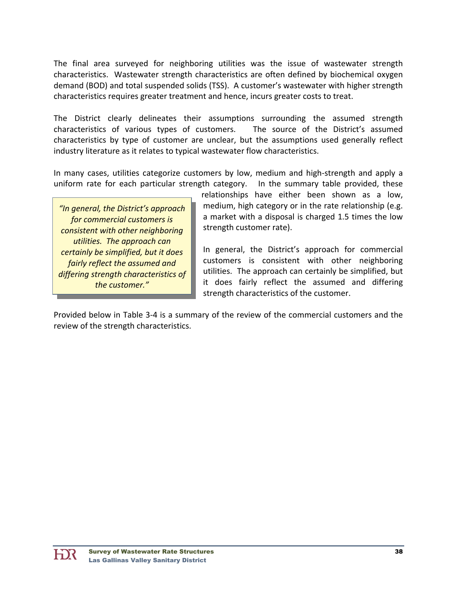The final area surveyed for neighboring utilities was the issue of wastewater strength characteristics. Wastewater strength characteristics are often defined by biochemical oxygen demand (BOD) and total suspended solids (TSS). A customer's wastewater with higher strength characteristics requires greater treatment and hence, incurs greater costs to treat.

The District clearly delineates their assumptions surrounding the assumed strength characteristics of various types of customers. The source of the District's assumed characteristics by type of customer are unclear, but the assumptions used generally reflect industry literature as it relates to typical wastewater flow characteristics.

In many cases, utilities categorize customers by low, medium and high‐strength and apply a uniform rate for each particular strength category. In the summary table provided, these

*"In general, the District's approach for commercial customers is consistent with other neighboring utilities. The approach can certainly be simplified, but it does fairly reflect the assumed and differing strength characteristics of the customer."*

relationships have either been shown as a low, medium, high category or in the rate relationship (e.g. a market with a disposal is charged 1.5 times the low strength customer rate).

In general, the District's approach for commercial customers is consistent with other neighboring utilities. The approach can certainly be simplified, but it does fairly reflect the assumed and differing strength characteristics of the customer.

Provided below in Table 3‐4 is a summary of the review of the commercial customers and the review of the strength characteristics.

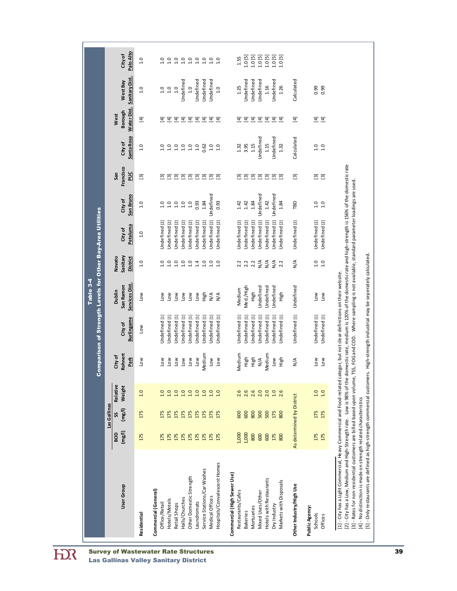| Services Dist.<br>San Ramon<br>Dublin<br>High<br>$\sum_{i=1}^{\infty}$<br>Low<br>$\sum_{i=1}^{\infty}$<br>Low<br>Low<br>Low<br><b>NOT</b><br>Undefined [1]<br><b>Jndefined</b> [1]<br>Undefined [1]<br>Undefined [1]<br><b>Jndefined</b> [1]<br>Undefined [1]<br>Undefined [1]<br><b>Burlingame</b><br>City of<br>Low<br>Rohnert<br>Medium<br>City of<br>Park<br>Low<br>Low<br>$\overline{a}$<br>Low<br>Low<br><b>NOT</b><br>Low<br>Relative<br>Weight<br>1.0<br>2222222<br>10<br>Las Gallinas<br>(mg/l)<br>175<br>175<br>175<br>175<br>175<br>175<br>175<br>175<br>SS<br>(mg/l)<br>600<br>175<br>175<br>175<br>175<br>175<br>175<br>175<br>175<br>Service Stations/Car Washes<br>Other Domestic Strength<br>User Group<br>Commercial (General)<br>Halls/Churches<br>Hotels/Motels<br>Laundromats<br>Office/Retail<br>Retail Shops<br>Residential | Sanitary<br>Novato<br><b>District</b><br>1.0<br>1.0<br>1.0<br>1.0<br>1.0<br>10<br>1.4<br>1.0<br>1.0<br>1.0 | Indefined [2]<br>Indefined [2]<br>Indefined [2]<br>Indefined [2]<br>Indefined [2]<br>Indefined [2]<br>Jndefined [2]<br>Petaluma<br>City of<br>1.0 | San Bruno<br><b>City of</b><br>1.0<br>1.0<br>10<br>1.0<br>1.0<br>10 | Francisco<br><b>PUC</b><br>San<br>$\Xi$ |                  |                  |                |                  |
|---------------------------------------------------------------------------------------------------------------------------------------------------------------------------------------------------------------------------------------------------------------------------------------------------------------------------------------------------------------------------------------------------------------------------------------------------------------------------------------------------------------------------------------------------------------------------------------------------------------------------------------------------------------------------------------------------------------------------------------------------------------------------------------------------------------------------------------------------|------------------------------------------------------------------------------------------------------------|---------------------------------------------------------------------------------------------------------------------------------------------------|---------------------------------------------------------------------|-----------------------------------------|------------------|------------------|----------------|------------------|
|                                                                                                                                                                                                                                                                                                                                                                                                                                                                                                                                                                                                                                                                                                                                                                                                                                                   |                                                                                                            |                                                                                                                                                   |                                                                     |                                         | City of          | Borough<br>West  | West Bay       | City of          |
|                                                                                                                                                                                                                                                                                                                                                                                                                                                                                                                                                                                                                                                                                                                                                                                                                                                   |                                                                                                            |                                                                                                                                                   |                                                                     |                                         | Santa Rosa       | Water Dist.      | Sanitary Dist. | Palo Alto        |
|                                                                                                                                                                                                                                                                                                                                                                                                                                                                                                                                                                                                                                                                                                                                                                                                                                                   |                                                                                                            |                                                                                                                                                   |                                                                     |                                         | 1.0              | $\boxed{4}$      | 1.0            | 1.0              |
|                                                                                                                                                                                                                                                                                                                                                                                                                                                                                                                                                                                                                                                                                                                                                                                                                                                   |                                                                                                            |                                                                                                                                                   |                                                                     |                                         |                  |                  |                |                  |
|                                                                                                                                                                                                                                                                                                                                                                                                                                                                                                                                                                                                                                                                                                                                                                                                                                                   |                                                                                                            |                                                                                                                                                   |                                                                     | 冠                                       | 1.0              | Ξ                | 1.0            | 1.0              |
|                                                                                                                                                                                                                                                                                                                                                                                                                                                                                                                                                                                                                                                                                                                                                                                                                                                   |                                                                                                            |                                                                                                                                                   |                                                                     | $\overline{\mathbb{E}}$                 | 1.0              | ਤ                | 1.0            | 10               |
|                                                                                                                                                                                                                                                                                                                                                                                                                                                                                                                                                                                                                                                                                                                                                                                                                                                   |                                                                                                            |                                                                                                                                                   |                                                                     | $\overline{5}$                          | 1.0              | ਤ ਤ              | 1.0            | 1.0              |
|                                                                                                                                                                                                                                                                                                                                                                                                                                                                                                                                                                                                                                                                                                                                                                                                                                                   |                                                                                                            |                                                                                                                                                   |                                                                     | $\Xi$                                   | 1.0              |                  | Undefined      | 1.0              |
|                                                                                                                                                                                                                                                                                                                                                                                                                                                                                                                                                                                                                                                                                                                                                                                                                                                   |                                                                                                            |                                                                                                                                                   |                                                                     | $\Xi$ $\Xi$ $\Xi$ $\Xi$                 | 1.0              | ਤ ਤ ਤ ਤ          | 1.0            | 1.0              |
|                                                                                                                                                                                                                                                                                                                                                                                                                                                                                                                                                                                                                                                                                                                                                                                                                                                   |                                                                                                            |                                                                                                                                                   | 0.93                                                                |                                         | 1.0              |                  | Undefined      | 10               |
|                                                                                                                                                                                                                                                                                                                                                                                                                                                                                                                                                                                                                                                                                                                                                                                                                                                   |                                                                                                            |                                                                                                                                                   | 1.84                                                                |                                         | 0.62             |                  | Undefined      | 1.0              |
| N/A<br>Undefined [1]<br>LOW<br>175<br>175<br>Medical Offices                                                                                                                                                                                                                                                                                                                                                                                                                                                                                                                                                                                                                                                                                                                                                                                      |                                                                                                            | Jndefined [2]                                                                                                                                     | Undefined                                                           |                                         | 1.0              |                  | Undefined      | 1.0              |
| N/A<br>Undefined [1]<br>Low<br>175<br>175<br>Hospitals/Convalescent Homes                                                                                                                                                                                                                                                                                                                                                                                                                                                                                                                                                                                                                                                                                                                                                                         |                                                                                                            | <b>Jndefined</b> [2]                                                                                                                              | 0.93                                                                | $\Xi$                                   | 1.0              | ਤੁ               | 1.0            | $\overline{1.0}$ |
| Commercial (High Sewer Use)                                                                                                                                                                                                                                                                                                                                                                                                                                                                                                                                                                                                                                                                                                                                                                                                                       |                                                                                                            |                                                                                                                                                   |                                                                     |                                         |                  |                  |                |                  |
| Medium<br>Undefined [1]<br>Medium<br>2.6<br>600<br>1,000<br>Restaurants/Cafes                                                                                                                                                                                                                                                                                                                                                                                                                                                                                                                                                                                                                                                                                                                                                                     | 2.2                                                                                                        | <b>Jndefined</b> [2]                                                                                                                              | 1.42                                                                | $\Xi$                                   | 1.32             | ਤ                | 1.25           | 1.55             |
| Med./High<br><b>Jndefined</b> [1]<br>High<br>2.6<br>600<br>1,000<br><b>Bakeries</b>                                                                                                                                                                                                                                                                                                                                                                                                                                                                                                                                                                                                                                                                                                                                                               | 2.2                                                                                                        | <b>Jndefined</b> [2]                                                                                                                              | 1.42                                                                | Ξ                                       | 3.95             | ਤ                | Undefined      | 1.0[5]           |
| High<br><b>Jndefined</b> [1]<br>High<br>2.6<br>800<br>800<br>Mortuaries                                                                                                                                                                                                                                                                                                                                                                                                                                                                                                                                                                                                                                                                                                                                                                           | 2.2                                                                                                        | Indefined [2]                                                                                                                                     | 1.84                                                                |                                         | 1.15             |                  | Undefined      | 1.0[5]           |
| Undefined<br><b>Jndefined</b> [1]<br>$\frac{4}{2}$<br>2.0<br>500<br>600<br>Mixed Uses/Other                                                                                                                                                                                                                                                                                                                                                                                                                                                                                                                                                                                                                                                                                                                                                       | $\frac{4}{2}$                                                                                              | Indefined [2]                                                                                                                                     | Undefined                                                           | 邑 邑                                     | <b>Jndefined</b> | ਤ ਤ              | Undefined      | 1.0 [5]          |
| Undefined<br>Undefined [1]<br>Medium<br>2.0<br>500<br>600<br>Hotels with Restaurants                                                                                                                                                                                                                                                                                                                                                                                                                                                                                                                                                                                                                                                                                                                                                              | $\frac{4}{2}$                                                                                              | Indefined [2]                                                                                                                                     | 1.42                                                                | $\Xi$                                   | 1.15             | ਤੁ               | $1.16$         | 1.0 [5]          |
| Undefined<br>Undefined [1]<br><b>NOT</b><br>10<br>175<br>175<br>Dry Industry                                                                                                                                                                                                                                                                                                                                                                                                                                                                                                                                                                                                                                                                                                                                                                      | $\frac{4}{2}$                                                                                              | Indefined [2]                                                                                                                                     | Undefined                                                           | $\Xi$                                   | Undefined        | Ξ                | Undefined      | 1.0 [5]          |
| High<br>Undefined [1]<br>High<br>2.6<br>800<br>800<br>Markets with Disposals                                                                                                                                                                                                                                                                                                                                                                                                                                                                                                                                                                                                                                                                                                                                                                      | 2.2                                                                                                        | Indefined [2]                                                                                                                                     | 1.84                                                                | $\overline{m}$                          | 1.32             | ਤ                | 1.26           | 1.0 [5]          |
| Undefined<br>Undefined [1]<br>$\frac{4}{2}$<br>As determined by District<br>Other Industry/High Use                                                                                                                                                                                                                                                                                                                                                                                                                                                                                                                                                                                                                                                                                                                                               | $\frac{4}{2}$                                                                                              | Undefined [2]                                                                                                                                     | TВD                                                                 | Ξ                                       | Calculated       | $\boxed{4}$      | Calculated     |                  |
| Public Agency:                                                                                                                                                                                                                                                                                                                                                                                                                                                                                                                                                                                                                                                                                                                                                                                                                                    |                                                                                                            |                                                                                                                                                   |                                                                     |                                         |                  |                  |                |                  |
| $\sum$<br>Undefined [1]<br>Low<br>175<br>175<br>Schools                                                                                                                                                                                                                                                                                                                                                                                                                                                                                                                                                                                                                                                                                                                                                                                           | $\frac{0}{1}$                                                                                              | Undefined [2]                                                                                                                                     | 1.0                                                                 | $\Xi$                                   |                  | $[\overline{4}]$ | 0.99           |                  |
| Low<br>Undefined [1]<br>Low<br>$\begin{array}{c} 2.0 \\ 1.0 \end{array}$<br>175<br>175<br>Offices                                                                                                                                                                                                                                                                                                                                                                                                                                                                                                                                                                                                                                                                                                                                                 | 1.0                                                                                                        | Undefined [2]                                                                                                                                     | 10                                                                  | $\boxed{3}$                             | $1.0$<br>$1.0$   | $\Xi$            | 0.99           |                  |

 $\overline{H}$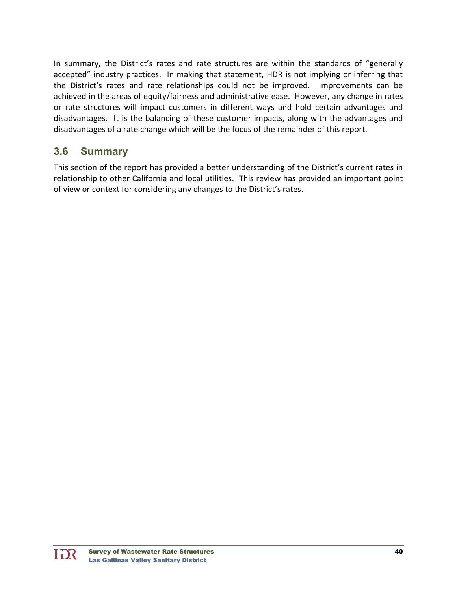In summary, the District's rates and rate structures are within the standards of "generally accepted" industry practices. In making that statement, HDR is not implying or inferring that the District's rates and rate relationships could not be improved. Improvements can be achieved in the areas of equity/fairness and administrative ease. However, any change in rates or rate structures will impact customers in different ways and hold certain advantages and disadvantages. It is the balancing of these customer impacts, along with the advantages and disadvantages of a rate change which will be the focus of the remainder of this report.

### **3.6 Summary**

This section of the report has provided a better understanding of the District's current rates in relationship to other California and local utilities. This review has provided an important point of view or context for considering any changes to the District's rates.

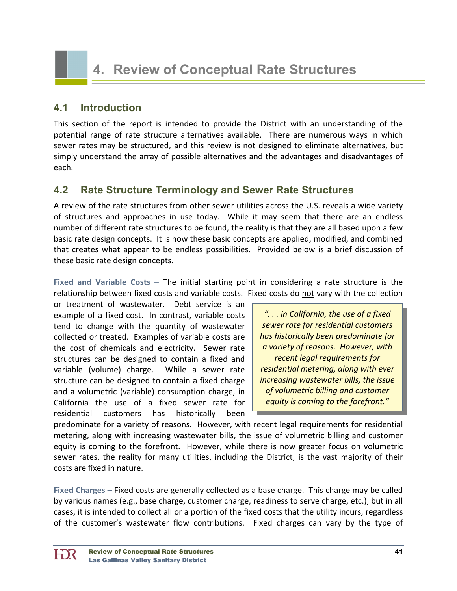# **4. Review of Conceptual Rate Structures**

#### **4.1 Introduction**

This section of the report is intended to provide the District with an understanding of the potential range of rate structure alternatives available. There are numerous ways in which sewer rates may be structured, and this review is not designed to eliminate alternatives, but simply understand the array of possible alternatives and the advantages and disadvantages of each.

### **4.2 Rate Structure Terminology and Sewer Rate Structures**

A review of the rate structures from other sewer utilities across the U.S. reveals a wide variety of structures and approaches in use today. While it may seem that there are an endless number of different rate structures to be found, the reality is that they are all based upon a few basic rate design concepts. It is how these basic concepts are applied, modified, and combined that creates what appear to be endless possibilities. Provided below is a brief discussion of these basic rate design concepts.

**Fixed and Variable Costs –** The initial starting point in considering a rate structure is the relationship between fixed costs and variable costs. Fixed costs do not vary with the collection

or treatment of wastewater. Debt service is an example of a fixed cost. In contrast, variable costs tend to change with the quantity of wastewater collected or treated. Examples of variable costs are the cost of chemicals and electricity. Sewer rate structures can be designed to contain a fixed and variable (volume) charge. While a sewer rate structure can be designed to contain a fixed charge and a volumetric (variable) consumption charge, in California the use of a fixed sewer rate for residential customers has historically been

*". . . in California, the use of a fixed sewer rate for residential customers has historically been predominate for a variety of reasons. However, with recent legal requirements for residential metering, along with ever increasing wastewater bills, the issue of volumetric billing and customer equity is coming to the forefront."*

predominate for a variety of reasons. However, with recent legal requirements for residential metering, along with increasing wastewater bills, the issue of volumetric billing and customer equity is coming to the forefront. However, while there is now greater focus on volumetric sewer rates, the reality for many utilities, including the District, is the vast majority of their costs are fixed in nature.

**Fixed Charges –** Fixed costs are generally collected as a base charge. This charge may be called by various names (e.g., base charge, customer charge, readiness to serve charge, etc.), but in all cases, it is intended to collect all or a portion of the fixed costs that the utility incurs, regardless of the customer's wastewater flow contributions. Fixed charges can vary by the type of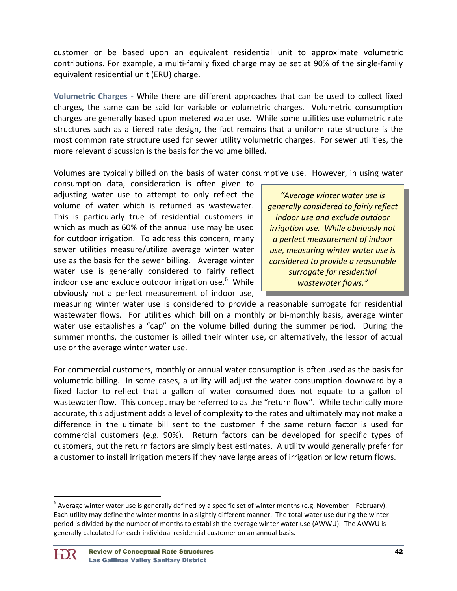customer or be based upon an equivalent residential unit to approximate volumetric contributions. For example, a multi‐family fixed charge may be set at 90% of the single‐family equivalent residential unit (ERU) charge.

**Volumetric Charges ‐** While there are different approaches that can be used to collect fixed charges, the same can be said for variable or volumetric charges. Volumetric consumption charges are generally based upon metered water use. While some utilities use volumetric rate structures such as a tiered rate design, the fact remains that a uniform rate structure is the most common rate structure used for sewer utility volumetric charges. For sewer utilities, the more relevant discussion is the basis for the volume billed.

Volumes are typically billed on the basis of water consumptive use. However, in using water

consumption data, consideration is often given to adjusting water use to attempt to only reflect the volume of water which is returned as wastewater. This is particularly true of residential customers in which as much as 60% of the annual use may be used for outdoor irrigation. To address this concern, many sewer utilities measure/utilize average winter water use as the basis for the sewer billing. Average winter water use is generally considered to fairly reflect indoor use and exclude outdoor irrigation use.<sup>6</sup> While obviously not a perfect measurement of indoor use,

*"Average winter water use is generally considered to fairly reflect indoor use and exclude outdoor irrigation use. While obviously not a perfect measurement of indoor use, measuring winter water use is considered to provide a reasonable surrogate for residential wastewater flows."*

measuring winter water use is considered to provide a reasonable surrogate for residential wastewater flows. For utilities which bill on a monthly or bi-monthly basis, average winter water use establishes a "cap" on the volume billed during the summer period. During the summer months, the customer is billed their winter use, or alternatively, the lessor of actual use or the average winter water use.

For commercial customers, monthly or annual water consumption is often used as the basis for volumetric billing. In some cases, a utility will adjust the water consumption downward by a fixed factor to reflect that a gallon of water consumed does not equate to a gallon of wastewater flow. This concept may be referred to as the "return flow". While technically more accurate, this adjustment adds a level of complexity to the rates and ultimately may not make a difference in the ultimate bill sent to the customer if the same return factor is used for commercial customers (e.g. 90%). Return factors can be developed for specific types of customers, but the return factors are simply best estimates. A utility would generally prefer for a customer to install irrigation meters if they have large areas of irrigation or low return flows.

 $^6$  Average winter water use is generally defined by a specific set of winter months (e.g. November – February). Each utility may define the winter months in a slightly different manner. The total water use during the winter period is divided by the number of months to establish the average winter water use (AWWU). The AWWU is generally calculated for each individual residential customer on an annual basis.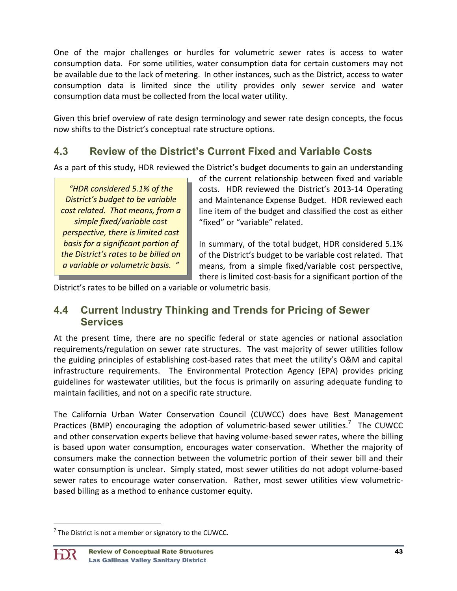One of the major challenges or hurdles for volumetric sewer rates is access to water consumption data. For some utilities, water consumption data for certain customers may not be available due to the lack of metering. In other instances, such as the District, access to water consumption data is limited since the utility provides only sewer service and water consumption data must be collected from the local water utility.

Given this brief overview of rate design terminology and sewer rate design concepts, the focus now shifts to the District's conceptual rate structure options.

# **4.3 Review of the District's Current Fixed and Variable Costs**

As a part of this study, HDR reviewed the District's budget documents to gain an understanding

*"HDR considered 5.1% of the District's budget to be variable cost related. That means, from a simple fixed/variable cost perspective, there is limited cost basis for a significant portion of the District's rates to be billed on a variable or volumetric basis. "*

of the current relationship between fixed and variable costs. HDR reviewed the District's 2013‐14 Operating and Maintenance Expense Budget. HDR reviewed each line item of the budget and classified the cost as either "fixed" or "variable" related.

In summary, of the total budget, HDR considered 5.1% of the District's budget to be variable cost related. That means, from a simple fixed/variable cost perspective, there is limited cost‐basis for a significant portion of the

District's rates to be billed on a variable or volumetric basis.

### **4.4 Current Industry Thinking and Trends for Pricing of Sewer Services**

At the present time, there are no specific federal or state agencies or national association requirements/regulation on sewer rate structures. The vast majority of sewer utilities follow the guiding principles of establishing cost‐based rates that meet the utility's O&M and capital infrastructure requirements. The Environmental Protection Agency (EPA) provides pricing guidelines for wastewater utilities, but the focus is primarily on assuring adequate funding to maintain facilities, and not on a specific rate structure.

The California Urban Water Conservation Council (CUWCC) does have Best Management Practices (BMP) encouraging the adoption of volumetric-based sewer utilities.<sup>7</sup> The CUWCC and other conservation experts believe that having volume‐based sewer rates, where the billing is based upon water consumption, encourages water conservation. Whether the majority of consumers make the connection between the volumetric portion of their sewer bill and their water consumption is unclear. Simply stated, most sewer utilities do not adopt volume-based sewer rates to encourage water conservation. Rather, most sewer utilities view volumetricbased billing as a method to enhance customer equity.

  $7$  The District is not a member or signatory to the CUWCC.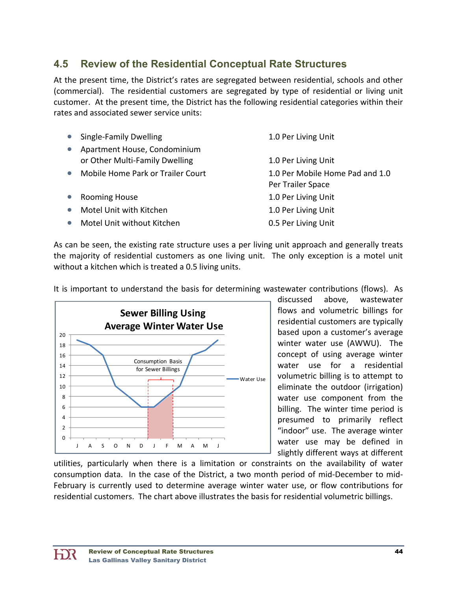# **4.5 Review of the Residential Conceptual Rate Structures**

At the present time, the District's rates are segregated between residential, schools and other (commercial). The residential customers are segregated by type of residential or living unit customer. At the present time, the District has the following residential categories within their rates and associated sewer service units:

| Single-Family Dwelling                                         | 1.0 Per Living Unit                                  |
|----------------------------------------------------------------|------------------------------------------------------|
| Apartment House, Condominium<br>or Other Multi-Family Dwelling | 1.0 Per Living Unit                                  |
| Mobile Home Park or Trailer Court                              | 1.0 Per Mobile Home Pad and 1.0<br>Per Trailer Space |
| <b>Rooming House</b>                                           | 1.0 Per Living Unit                                  |
| Motel Unit with Kitchen                                        | 1.0 Per Living Unit                                  |
| Motel Unit without Kitchen                                     | 0.5 Per Living Unit                                  |
|                                                                |                                                      |

As can be seen, the existing rate structure uses a per living unit approach and generally treats the majority of residential customers as one living unit. The only exception is a motel unit without a kitchen which is treated a 0.5 living units.

It is important to understand the basis for determining wastewater contributions (flows). As



discussed above, wastewater flows and volumetric billings for residential customers are typically based upon a customer's average winter water use (AWWU). The concept of using average winter water use for a residential volumetric billing is to attempt to eliminate the outdoor (irrigation) water use component from the billing. The winter time period is presumed to primarily reflect "indoor" use. The average winter water use may be defined in slightly different ways at different

utilities, particularly when there is a limitation or constraints on the availability of water consumption data. In the case of the District, a two month period of mid‐December to mid‐ February is currently used to determine average winter water use, or flow contributions for residential customers. The chart above illustrates the basis for residential volumetric billings.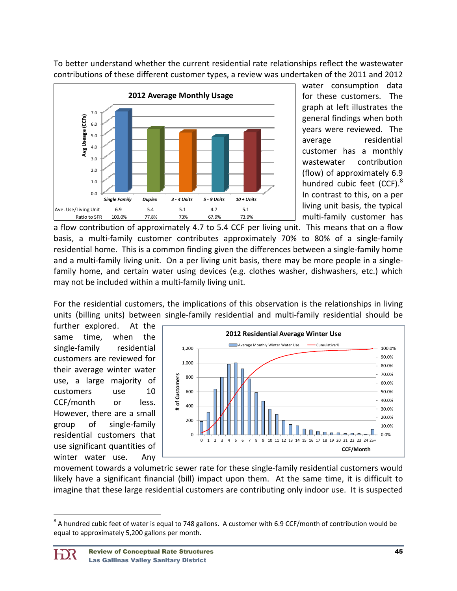To better understand whether the current residential rate relationships reflect the wastewater contributions of these different customer types, a review was undertaken of the 2011 and 2012



water consumption data for these customers. The graph at left illustrates the general findings when both years were reviewed. The average residential customer has a monthly wastewater contribution (flow) of approximately 6.9 hundred cubic feet (CCF). $^8$ In contrast to this, on a per living unit basis, the typical multi‐family customer has

a flow contribution of approximately 4.7 to 5.4 CCF per living unit. This means that on a flow basis, a multi-family customer contributes approximately 70% to 80% of a single-family residential home. This is a common finding given the differences between a single‐family home and a multi-family living unit. On a per living unit basis, there may be more people in a singlefamily home, and certain water using devices (e.g. clothes washer, dishwashers, etc.) which may not be included within a multi-family living unit.

For the residential customers, the implications of this observation is the relationships in living units (billing units) between single‐family residential and multi‐family residential should be

further explored. At the same time, when the single-family residential customers are reviewed for their average winter water use, a large majority of customers use 10 CCF/month or less. However, there are a small group of single‐family residential customers that use significant quantities of winter water use. Any



movement towards a volumetric sewer rate for these single‐family residential customers would likely have a significant financial (bill) impact upon them. At the same time, it is difficult to imagine that these large residential customers are contributing only indoor use. It is suspected

 $8$  A hundred cubic feet of water is equal to 748 gallons. A customer with 6.9 CCF/month of contribution would be equal to approximately 5,200 gallons per month.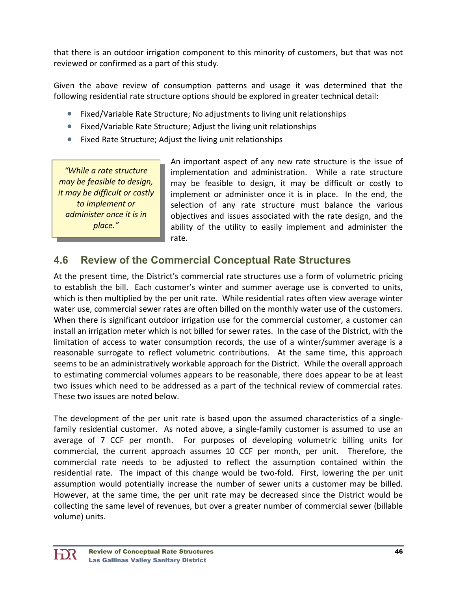that there is an outdoor irrigation component to this minority of customers, but that was not reviewed or confirmed as a part of this study.

Given the above review of consumption patterns and usage it was determined that the following residential rate structure options should be explored in greater technical detail:

- Fixed/Variable Rate Structure; No adjustments to living unit relationships
- Fixed/Variable Rate Structure; Adjust the living unit relationships
- Fixed Rate Structure; Adjust the living unit relationships

*"While a rate structure may be feasible to design, it may be difficult or costly to implement or administer once it is in place."*

An important aspect of any new rate structure is the issue of implementation and administration. While a rate structure may be feasible to design, it may be difficult or costly to implement or administer once it is in place. In the end, the selection of any rate structure must balance the various objectives and issues associated with the rate design, and the ability of the utility to easily implement and administer the rate.

### **4.6 Review of the Commercial Conceptual Rate Structures**

At the present time, the District's commercial rate structures use a form of volumetric pricing to establish the bill. Each customer's winter and summer average use is converted to units, which is then multiplied by the per unit rate. While residential rates often view average winter water use, commercial sewer rates are often billed on the monthly water use of the customers. When there is significant outdoor irrigation use for the commercial customer, a customer can install an irrigation meter which is not billed for sewer rates. In the case of the District, with the limitation of access to water consumption records, the use of a winter/summer average is a reasonable surrogate to reflect volumetric contributions. At the same time, this approach seems to be an administratively workable approach for the District. While the overall approach to estimating commercial volumes appears to be reasonable, there does appear to be at least two issues which need to be addressed as a part of the technical review of commercial rates. These two issues are noted below.

The development of the per unit rate is based upon the assumed characteristics of a single‐ family residential customer. As noted above, a single-family customer is assumed to use an average of 7 CCF per month. For purposes of developing volumetric billing units for commercial, the current approach assumes 10 CCF per month, per unit. Therefore, the commercial rate needs to be adjusted to reflect the assumption contained within the residential rate. The impact of this change would be two-fold. First, lowering the per unit assumption would potentially increase the number of sewer units a customer may be billed. However, at the same time, the per unit rate may be decreased since the District would be collecting the same level of revenues, but over a greater number of commercial sewer (billable volume) units.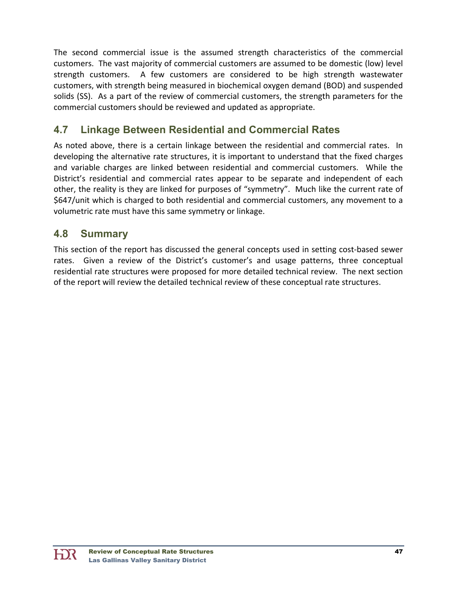The second commercial issue is the assumed strength characteristics of the commercial customers. The vast majority of commercial customers are assumed to be domestic (low) level strength customers. A few customers are considered to be high strength wastewater customers, with strength being measured in biochemical oxygen demand (BOD) and suspended solids (SS). As a part of the review of commercial customers, the strength parameters for the commercial customers should be reviewed and updated as appropriate.

# **4.7 Linkage Between Residential and Commercial Rates**

As noted above, there is a certain linkage between the residential and commercial rates. In developing the alternative rate structures, it is important to understand that the fixed charges and variable charges are linked between residential and commercial customers. While the District's residential and commercial rates appear to be separate and independent of each other, the reality is they are linked for purposes of "symmetry". Much like the current rate of \$647/unit which is charged to both residential and commercial customers, any movement to a volumetric rate must have this same symmetry or linkage.

### **4.8 Summary**

This section of the report has discussed the general concepts used in setting cost-based sewer rates. Given a review of the District's customer's and usage patterns, three conceptual residential rate structures were proposed for more detailed technical review. The next section of the report will review the detailed technical review of these conceptual rate structures.

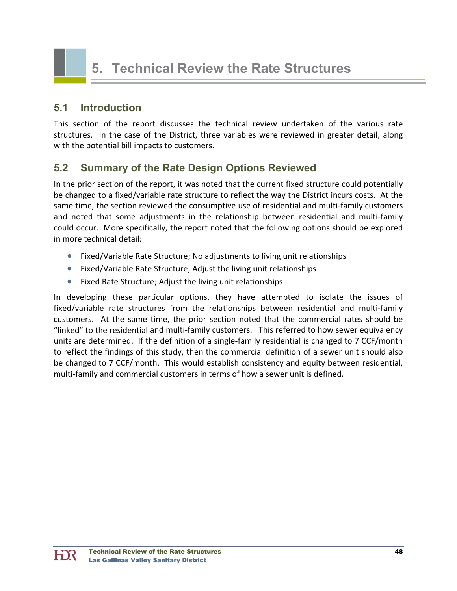# **5. Technical Review the Rate Structures**

#### **5.1 Introduction**

This section of the report discusses the technical review undertaken of the various rate structures. In the case of the District, three variables were reviewed in greater detail, along with the potential bill impacts to customers.

### **5.2 Summary of the Rate Design Options Reviewed**

In the prior section of the report, it was noted that the current fixed structure could potentially be changed to a fixed/variable rate structure to reflect the way the District incurs costs. At the same time, the section reviewed the consumptive use of residential and multi-family customers and noted that some adjustments in the relationship between residential and multi-family could occur. More specifically, the report noted that the following options should be explored in more technical detail:

- Fixed/Variable Rate Structure; No adjustments to living unit relationships
- Fixed/Variable Rate Structure; Adjust the living unit relationships
- Fixed Rate Structure; Adjust the living unit relationships

In developing these particular options, they have attempted to isolate the issues of fixed/variable rate structures from the relationships between residential and multi-family customers. At the same time, the prior section noted that the commercial rates should be "linked" to the residential and multi‐family customers. This referred to how sewer equivalency units are determined. If the definition of a single‐family residential is changed to 7 CCF/month to reflect the findings of this study, then the commercial definition of a sewer unit should also be changed to 7 CCF/month. This would establish consistency and equity between residential, multi-family and commercial customers in terms of how a sewer unit is defined.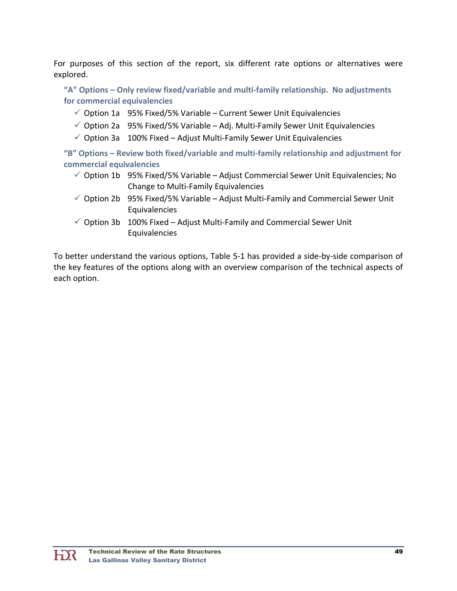For purposes of this section of the report, six different rate options or alternatives were explored.

**"A" Options – Only review fixed/variable and multi‐family relationship. No adjustments for commercial equivalencies**

- $\checkmark$  Option 1a 95% Fixed/5% Variable Current Sewer Unit Equivalencies
- $\checkmark$  Option 2a 95% Fixed/5% Variable Adj. Multi-Family Sewer Unit Equivalencies
- $\checkmark$  Option 3a 100% Fixed Adjust Multi-Family Sewer Unit Equivalencies

**"B" Options – Review both fixed/variable and multi‐family relationship and adjustment for commercial equivalencies**

- $\checkmark$  Option 1b 95% Fixed/5% Variable Adjust Commercial Sewer Unit Equivalencies; No Change to Multi‐Family Equivalencies
- $\checkmark$  Option 2b 95% Fixed/5% Variable Adjust Multi-Family and Commercial Sewer Unit Equivalencies
- $\checkmark$  Option 3b 100% Fixed Adjust Multi-Family and Commercial Sewer Unit Equivalencies

To better understand the various options, Table 5‐1 has provided a side‐by‐side comparison of the key features of the options along with an overview comparison of the technical aspects of each option.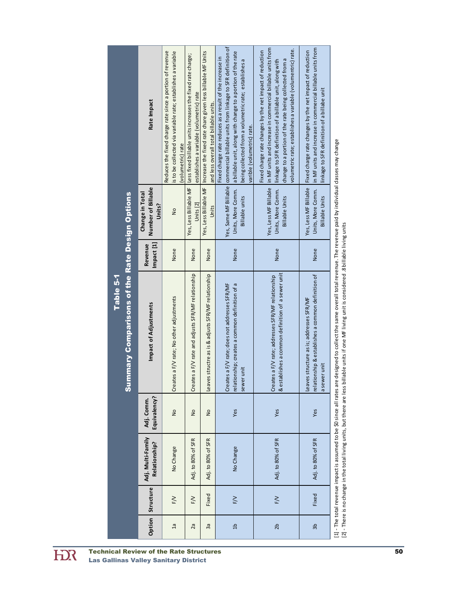|                                                                    | Rate Impact                                     | Reduces the fixed charge rate since a portion of revenue<br>s to be collected via variable rate; establishes a variable<br>(volumetric) rate | Less fixed billable units increases the fixed rate charge;<br>establishes a variable (volumetric) rate | Yes, Less Billable MF   Increase the fixed rate chare given less billable MF Units<br>and less overall total billable units. | Yes, Same MF Billable commercial billable units from linkage to SFR definition of<br>a billable unit, along with change to a portion of the rate<br>Fixed charge rate reduces as a result of the increase in<br>being collected from a volumetric rate; establishes a<br>varible (volumetric) rate. | in MF units and increase in commercial billable units from<br>volumetric rate; establishes a variable (volumentric) rate.<br>Fixed charge rate changes by the net impact of reduction<br>change to a portion of the rate being collected from a<br>linkage to SFR definition of a billable unit, along with | in MF units and increase in commercial billable units from<br>Fixed charge rate changes by the net impact of reduction<br>linkage to SFR definition of a billabe unit |
|--------------------------------------------------------------------|-------------------------------------------------|----------------------------------------------------------------------------------------------------------------------------------------------|--------------------------------------------------------------------------------------------------------|------------------------------------------------------------------------------------------------------------------------------|-----------------------------------------------------------------------------------------------------------------------------------------------------------------------------------------------------------------------------------------------------------------------------------------------------|-------------------------------------------------------------------------------------------------------------------------------------------------------------------------------------------------------------------------------------------------------------------------------------------------------------|-----------------------------------------------------------------------------------------------------------------------------------------------------------------------|
|                                                                    | Number of Billable<br>Change in Total<br>Units? | $\frac{1}{2}$                                                                                                                                | Yes, Less Billable MF<br>Units $[2]$                                                                   | Units                                                                                                                        | Units, More Comm.<br><b>Billable units</b>                                                                                                                                                                                                                                                          | Yes, Less MF Billable<br>Units, More Comm.<br><b>Billable Units</b>                                                                                                                                                                                                                                         | Yes, Less MF Billable<br>Units, More Comm.<br><b>Billable Units</b>                                                                                                   |
|                                                                    | Impact [1]<br>Revenue                           | None                                                                                                                                         | None                                                                                                   | None                                                                                                                         | None                                                                                                                                                                                                                                                                                                | None                                                                                                                                                                                                                                                                                                        | None                                                                                                                                                                  |
| <b>Summary Comparisons of the Rate Design Options</b><br>Table 5-1 | Impact of Adjustments                           | Creates a F/V rate; No other adjustments                                                                                                     | Creates a F/V rate and adjusts SFR/MF relationship                                                     | s structre as is & adjusts SFR/MF relationship<br>Leaves                                                                     | relationship; creates a common definition of a<br>Creates a F/V rate; does not addresses SFR/MF<br>sewer unit                                                                                                                                                                                       | & establishes a common definition of a sewer unit<br>Creates a F/V rate; addresses SFR/MF relationship                                                                                                                                                                                                      | relationship & establishes a common definition of<br>Leaves structure as is; addresses SFR/MF<br>a sewer unit                                                         |
|                                                                    | Equivalency?<br>Adj. Comm.                      | $\frac{1}{2}$                                                                                                                                | $\frac{1}{2}$                                                                                          | $\frac{1}{2}$                                                                                                                | Yes                                                                                                                                                                                                                                                                                                 | Yes                                                                                                                                                                                                                                                                                                         | Yes                                                                                                                                                                   |
|                                                                    | Adj. Multi-Family<br>Relationship?              | No Change                                                                                                                                    | Adj. to 80% of SFR                                                                                     | Adj. to 80% of SFR                                                                                                           | No Change                                                                                                                                                                                                                                                                                           | Adj. to 80% of SFR                                                                                                                                                                                                                                                                                          | Adj. to 80% of SFR                                                                                                                                                    |
|                                                                    | Option Structure                                | $F/V$                                                                                                                                        | $F/V$                                                                                                  | Fixed                                                                                                                        | $F_{\gamma}$                                                                                                                                                                                                                                                                                        | $F/V$                                                                                                                                                                                                                                                                                                       | Fixed                                                                                                                                                                 |
|                                                                    |                                                 | $\overline{a}$                                                                                                                               | 2a                                                                                                     | Зā                                                                                                                           | $\overline{a}$                                                                                                                                                                                                                                                                                      | 2b                                                                                                                                                                                                                                                                                                          | đε                                                                                                                                                                    |

[1] ‐ The total revenue impact is assumed to be \$0 since all rates are designed to collect the same overall total revenue. The revenue paid by individual classes may change  $\ddot{\phantom{0}}$ ובן - There is no change in the total living units, but there are less billable units if one MF living unit is considered .8 billable living units<br>[2] - There is no change in the total living units, but there are less bil [2] ‐ There is no change in the total living units, but there are less billable units if one MF living unit is considered .8 billable living units

**HIR**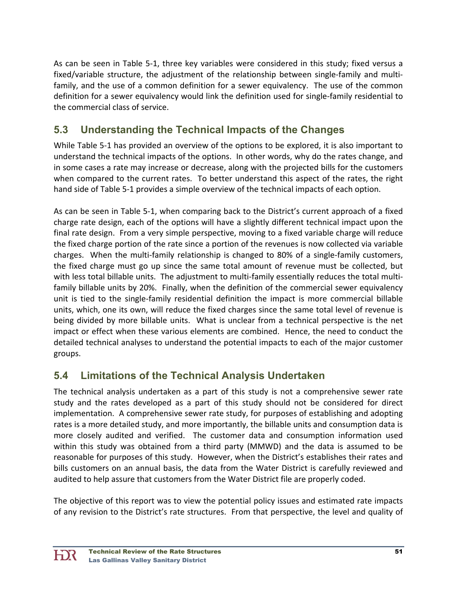As can be seen in Table 5‐1, three key variables were considered in this study; fixed versus a fixed/variable structure, the adjustment of the relationship between single-family and multifamily, and the use of a common definition for a sewer equivalency. The use of the common definition for a sewer equivalency would link the definition used for single‐family residential to the commercial class of service.

# **5.3 Understanding the Technical Impacts of the Changes**

While Table 5‐1 has provided an overview of the options to be explored, it is also important to understand the technical impacts of the options. In other words, why do the rates change, and in some cases a rate may increase or decrease, along with the projected bills for the customers when compared to the current rates. To better understand this aspect of the rates, the right hand side of Table 5‐1 provides a simple overview of the technical impacts of each option.

As can be seen in Table 5‐1, when comparing back to the District's current approach of a fixed charge rate design, each of the options will have a slightly different technical impact upon the final rate design. From a very simple perspective, moving to a fixed variable charge will reduce the fixed charge portion of the rate since a portion of the revenues is now collected via variable charges. When the multi‐family relationship is changed to 80% of a single‐family customers, the fixed charge must go up since the same total amount of revenue must be collected, but with less total billable units. The adjustment to multi-family essentially reduces the total multifamily billable units by 20%. Finally, when the definition of the commercial sewer equivalency unit is tied to the single‐family residential definition the impact is more commercial billable units, which, one its own, will reduce the fixed charges since the same total level of revenue is being divided by more billable units. What is unclear from a technical perspective is the net impact or effect when these various elements are combined. Hence, the need to conduct the detailed technical analyses to understand the potential impacts to each of the major customer groups.

# **5.4 Limitations of the Technical Analysis Undertaken**

The technical analysis undertaken as a part of this study is not a comprehensive sewer rate study and the rates developed as a part of this study should not be considered for direct implementation. A comprehensive sewer rate study, for purposes of establishing and adopting rates is a more detailed study, and more importantly, the billable units and consumption data is more closely audited and verified. The customer data and consumption information used within this study was obtained from a third party (MMWD) and the data is assumed to be reasonable for purposes of this study. However, when the District's establishes their rates and bills customers on an annual basis, the data from the Water District is carefully reviewed and audited to help assure that customers from the Water District file are properly coded.

The objective of this report was to view the potential policy issues and estimated rate impacts of any revision to the District's rate structures. From that perspective, the level and quality of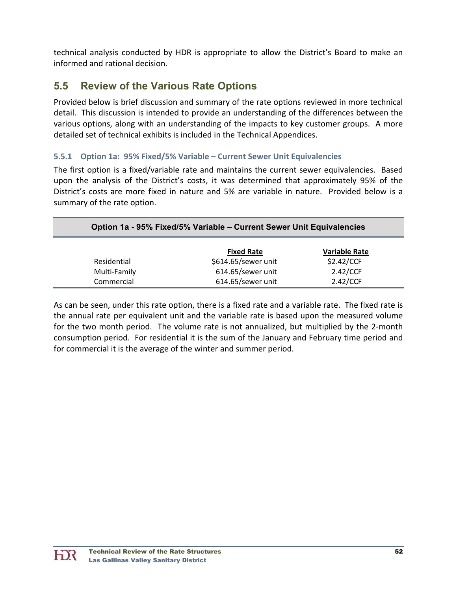technical analysis conducted by HDR is appropriate to allow the District's Board to make an informed and rational decision.

# **5.5 Review of the Various Rate Options**

Provided below is brief discussion and summary of the rate options reviewed in more technical detail. This discussion is intended to provide an understanding of the differences between the various options, along with an understanding of the impacts to key customer groups. A more detailed set of technical exhibits is included in the Technical Appendices.

#### **5.5.1 Option 1a: 95% Fixed/5% Variable – Current Sewer Unit Equivalencies**

The first option is a fixed/variable rate and maintains the current sewer equivalencies. Based upon the analysis of the District's costs, it was determined that approximately 95% of the District's costs are more fixed in nature and 5% are variable in nature. Provided below is a summary of the rate option.

|              | Option 1a - 95% Fixed/5% Variable - Current Sewer Unit Equivalencies |                      |  |  |  |  |  |
|--------------|----------------------------------------------------------------------|----------------------|--|--|--|--|--|
|              | <b>Fixed Rate</b>                                                    | <b>Variable Rate</b> |  |  |  |  |  |
| Residential  | \$614.65/sewer unit                                                  | \$2.42/CCF           |  |  |  |  |  |
| Multi-Family | 614.65/sewer unit                                                    | 2.42/CCF             |  |  |  |  |  |
| Commercial   | 614.65/sewer unit                                                    | 2.42/CCF             |  |  |  |  |  |

As can be seen, under this rate option, there is a fixed rate and a variable rate. The fixed rate is the annual rate per equivalent unit and the variable rate is based upon the measured volume for the two month period. The volume rate is not annualized, but multiplied by the 2‐month consumption period. For residential it is the sum of the January and February time period and for commercial it is the average of the winter and summer period.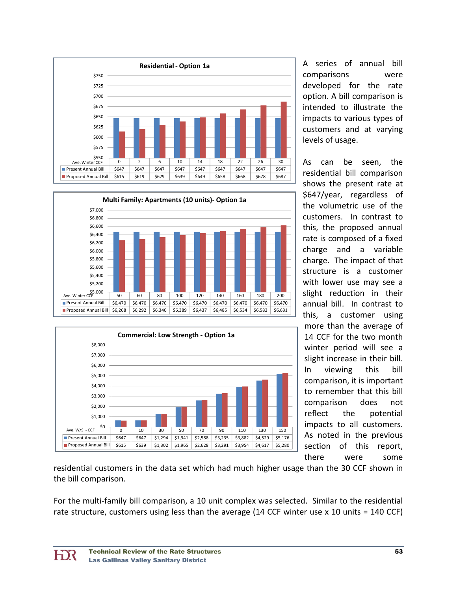





A series of annual bill comparisons were developed for the rate option. A bill comparison is intended to illustrate the impacts to various types of customers and at varying levels of usage.

As can be seen, the residential bill comparison shows the present rate at \$647/year, regardless of the volumetric use of the customers. In contrast to this, the proposed annual rate is composed of a fixed charge and a variable charge. The impact of that structure is a customer with lower use may see a slight reduction in their annual bill. In contrast to this, a customer using more than the average of 14 CCF for the two month winter period will see a slight increase in their bill. In viewing this bill comparison, it is important to remember that this bill comparison does not reflect the potential impacts to all customers. As noted in the previous section of this report, there were some

residential customers in the data set which had much higher usage than the 30 CCF shown in the bill comparison.

For the multi-family bill comparison, a 10 unit complex was selected. Similar to the residential rate structure, customers using less than the average (14 CCF winter use x 10 units = 140 CCF)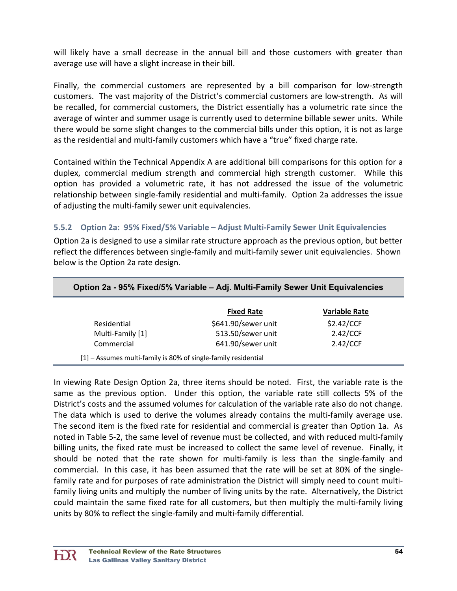will likely have a small decrease in the annual bill and those customers with greater than average use will have a slight increase in their bill.

Finally, the commercial customers are represented by a bill comparison for low-strength customers. The vast majority of the District's commercial customers are low‐strength. As will be recalled, for commercial customers, the District essentially has a volumetric rate since the average of winter and summer usage is currently used to determine billable sewer units. While there would be some slight changes to the commercial bills under this option, it is not as large as the residential and multi-family customers which have a "true" fixed charge rate.

Contained within the Technical Appendix A are additional bill comparisons for this option for a duplex, commercial medium strength and commercial high strength customer. While this option has provided a volumetric rate, it has not addressed the issue of the volumetric relationship between single‐family residential and multi‐family. Option 2a addresses the issue of adjusting the multi‐family sewer unit equivalencies.

#### **5.5.2 Option 2a: 95% Fixed/5% Variable – Adjust Multi‐Family Sewer Unit Equivalencies**

Option 2a is designed to use a similar rate structure approach as the previous option, but better reflect the differences between single‐family and multi‐family sewer unit equivalencies. Shown below is the Option 2a rate design.

|                  | <b>Fixed Rate</b>   | <b>Variable Rate</b> |
|------------------|---------------------|----------------------|
| Residential      | \$641.90/sewer unit | \$2.42/CCF           |
| Multi-Family [1] | 513.50/sewer unit   | 2.42/CCF             |
| Commercial       | 641.90/sewer unit   | 2.42/CCF             |

#### **Option 2a - 95% Fixed/5% Variable – Adj. Multi-Family Sewer Unit Equivalencies**

In viewing Rate Design Option 2a, three items should be noted. First, the variable rate is the same as the previous option. Under this option, the variable rate still collects 5% of the District's costs and the assumed volumes for calculation of the variable rate also do not change. The data which is used to derive the volumes already contains the multi-family average use. The second item is the fixed rate for residential and commercial is greater than Option 1a. As noted in Table 5‐2, the same level of revenue must be collected, and with reduced multi‐family billing units, the fixed rate must be increased to collect the same level of revenue. Finally, it should be noted that the rate shown for multi-family is less than the single-family and commercial. In this case, it has been assumed that the rate will be set at 80% of the single‐ family rate and for purposes of rate administration the District will simply need to count multifamily living units and multiply the number of living units by the rate. Alternatively, the District could maintain the same fixed rate for all customers, but then multiply the multi‐family living units by 80% to reflect the single‐family and multi‐family differential.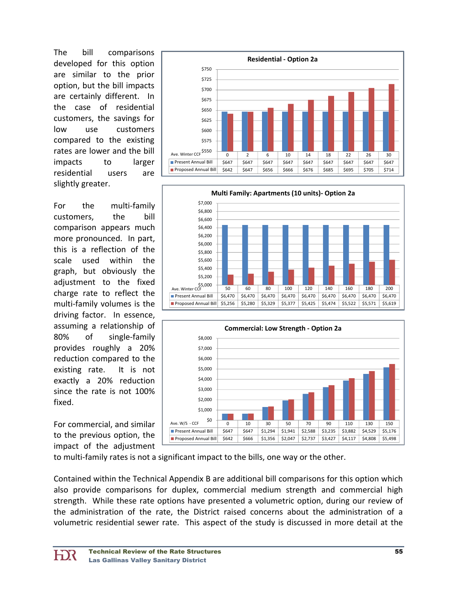The bill comparisons developed for this option are similar to the prior option, but the bill impacts are certainly different. In the case of residential customers, the savings for low use customers compared to the existing rates are lower and the bill impacts to larger residential users are slightly greater.

For the multi-family customers, the bill comparison appears much more pronounced. In part, this is a reflection of the scale used within the graph, but obviously the adjustment to the fixed charge rate to reflect the multi‐family volumes is the driving factor. In essence, assuming a relationship of 80% of single-family provides roughly a 20% reduction compared to the existing rate. It is not exactly a 20% reduction since the rate is not 100% fixed.

For commercial, and similar to the previous option, the impact of the adjustment







to multi‐family rates is not a significant impact to the bills, one way or the other.

Contained within the Technical Appendix B are additional bill comparisons for this option which also provide comparisons for duplex, commercial medium strength and commercial high strength. While these rate options have presented a volumetric option, during our review of the administration of the rate, the District raised concerns about the administration of a volumetric residential sewer rate. This aspect of the study is discussed in more detail at the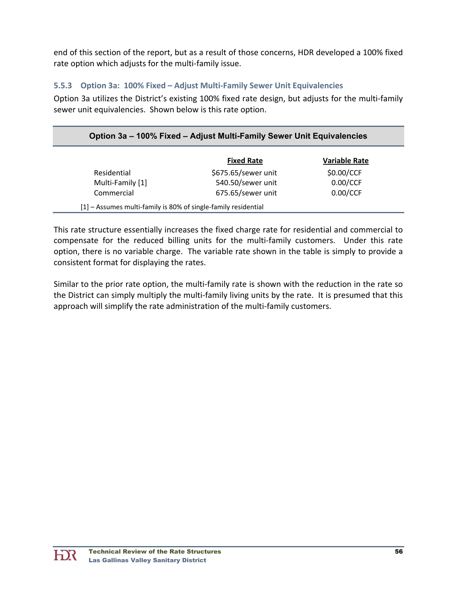end of this section of the report, but as a result of those concerns, HDR developed a 100% fixed rate option which adjusts for the multi-family issue.

#### **5.5.3 Option 3a: 100% Fixed – Adjust Multi‐Family Sewer Unit Equivalencies**

Option 3a utilizes the District's existing 100% fixed rate design, but adjusts for the multi‐family sewer unit equivalencies. Shown below is this rate option.

| Option 3a – 100% Fixed – Adjust Multi-Family Sewer Unit Equivalencies |                     |                      |  |  |  |
|-----------------------------------------------------------------------|---------------------|----------------------|--|--|--|
|                                                                       | <b>Fixed Rate</b>   | <b>Variable Rate</b> |  |  |  |
| Residential                                                           | \$675.65/sewer unit | \$0.00/CCF           |  |  |  |
| Multi-Family [1]                                                      | 540.50/sewer unit   | 0.00/CCF             |  |  |  |
| Commercial                                                            | 675.65/sewer unit   | 0.00/CCF             |  |  |  |

This rate structure essentially increases the fixed charge rate for residential and commercial to compensate for the reduced billing units for the multi-family customers. Under this rate option, there is no variable charge. The variable rate shown in the table is simply to provide a consistent format for displaying the rates.

Similar to the prior rate option, the multi-family rate is shown with the reduction in the rate so the District can simply multiply the multi-family living units by the rate. It is presumed that this approach will simplify the rate administration of the multi-family customers.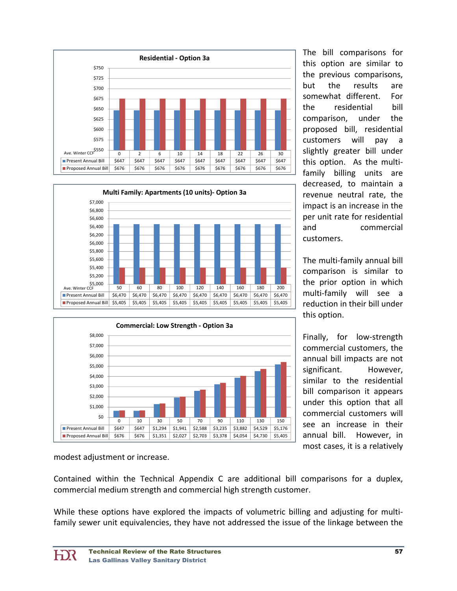





The bill comparisons for this option are similar to the previous comparisons, but the results are somewhat different. For the residential bill comparison, under the proposed bill, residential customers will pay a slightly greater bill under this option. As the multifamily billing units are decreased, to maintain a revenue neutral rate, the impact is an increase in the per unit rate for residential and commercial customers.

The multi‐family annual bill comparison is similar to the prior option in which multi‐family will see a reduction in their bill under this option.

Finally, for low-strength commercial customers, the annual bill impacts are not significant. However, similar to the residential bill comparison it appears under this option that all commercial customers will see an increase in their annual bill. However, in most cases, it is a relatively

modest adjustment or increase.

Contained within the Technical Appendix C are additional bill comparisons for a duplex, commercial medium strength and commercial high strength customer.

While these options have explored the impacts of volumetric billing and adjusting for multifamily sewer unit equivalencies, they have not addressed the issue of the linkage between the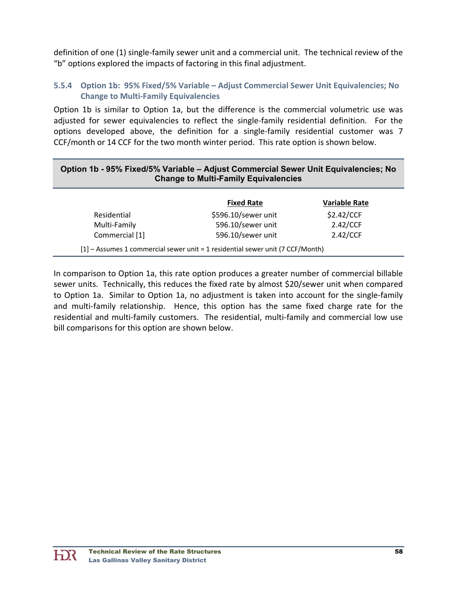definition of one (1) single‐family sewer unit and a commercial unit. The technical review of the "b" options explored the impacts of factoring in this final adjustment.

#### **5.5.4 Option 1b: 95% Fixed/5% Variable – Adjust Commercial Sewer Unit Equivalencies; No Change to Multi‐Family Equivalencies**

Option 1b is similar to Option 1a, but the difference is the commercial volumetric use was adjusted for sewer equivalencies to reflect the single-family residential definition. For the options developed above, the definition for a single‐family residential customer was 7 CCF/month or 14 CCF for the two month winter period. This rate option is shown below.

#### **Option 1b - 95% Fixed/5% Variable – Adjust Commercial Sewer Unit Equivalencies; No Change to Multi-Family Equivalencies**

|                | <b>Fixed Rate</b>   | <b>Variable Rate</b> |
|----------------|---------------------|----------------------|
| Residential    | \$596.10/sewer unit | \$2.42/CCF           |
| Multi-Family   | 596.10/sewer unit   | 2.42/CCF             |
| Commercial [1] | 596.10/sewer unit   | 2.42/CCF             |

In comparison to Option 1a, this rate option produces a greater number of commercial billable sewer units. Technically, this reduces the fixed rate by almost \$20/sewer unit when compared to Option 1a. Similar to Option 1a, no adjustment is taken into account for the single‐family and multi-family relationship. Hence, this option has the same fixed charge rate for the residential and multi-family customers. The residential, multi-family and commercial low use bill comparisons for this option are shown below.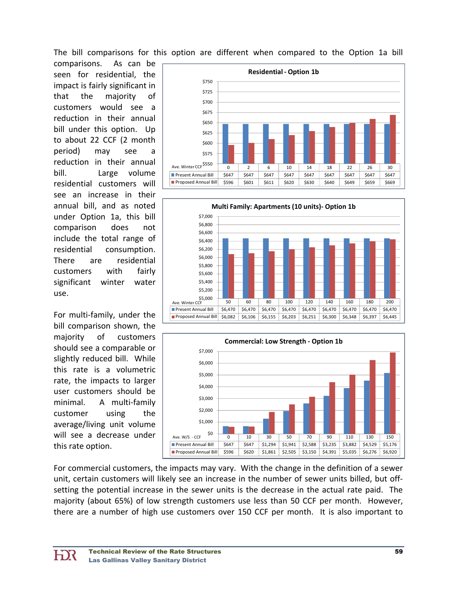The bill comparisons for this option are different when compared to the Option 1a bill

comparisons. As can be seen for residential, the impact is fairly significant in that the majority of customers would see a reduction in their annual bill under this option. Up to about 22 CCF (2 month period) may see reduction in their annual bill. Large volume residential customers will see an increase in their annual bill, and as noted under Option 1a, this bill comparison does not include the total range of residential consumption. There are residential customers with fairly significant winter water use.

For multi‐family, under the bill comparison shown, the majority of customers should see a comparable or slightly reduced bill. While this rate is a volumetric rate, the impacts to larger user customers should be minimal. A multi-family customer using the average/living unit volume will see a decrease under this rate option.







For commercial customers, the impacts may vary. With the change in the definition of a sewer unit, certain customers will likely see an increase in the number of sewer units billed, but off‐ setting the potential increase in the sewer units is the decrease in the actual rate paid. The majority (about 65%) of low strength customers use less than 50 CCF per month. However, there are a number of high use customers over 150 CCF per month. It is also important to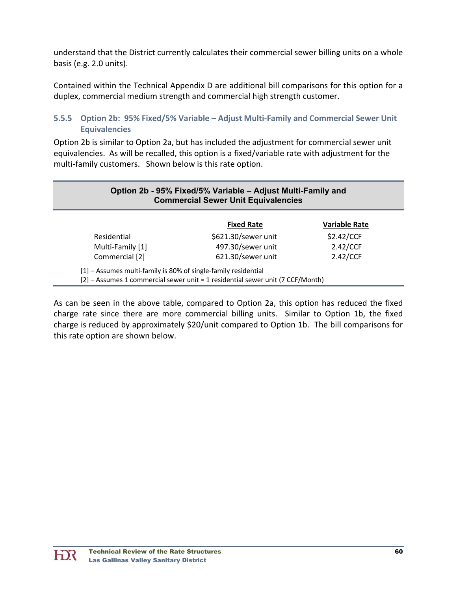understand that the District currently calculates their commercial sewer billing units on a whole basis (e.g. 2.0 units).

Contained within the Technical Appendix D are additional bill comparisons for this option for a duplex, commercial medium strength and commercial high strength customer.

#### **5.5.5 Option 2b: 95% Fixed/5% Variable – Adjust Multi‐Family and Commercial Sewer Unit Equivalencies**

Option 2b is similar to Option 2a, but has included the adjustment for commercial sewer unit equivalencies. As will be recalled, this option is a fixed/variable rate with adjustment for the multi-family customers. Shown below is this rate option.

| Option 2b - 95% Fixed/5% Variable - Adjust Multi-Family and<br><b>Commercial Sewer Unit Equivalencies</b> |                                                                                |                      |  |  |  |  |
|-----------------------------------------------------------------------------------------------------------|--------------------------------------------------------------------------------|----------------------|--|--|--|--|
|                                                                                                           | <b>Fixed Rate</b>                                                              | <b>Variable Rate</b> |  |  |  |  |
| Residential                                                                                               | \$621.30/sewer unit                                                            | \$2.42/CCF           |  |  |  |  |
| Multi-Family [1]                                                                                          | 497.30/sewer unit                                                              | 2.42/CCF             |  |  |  |  |
| Commercial [2]                                                                                            | 621.30/sewer unit                                                              | 2.42/CCF             |  |  |  |  |
| [1] - Assumes multi-family is 80% of single-family residential                                            | [2] - Assumes 1 commercial sewer unit = 1 residential sewer unit (7 CCF/Month) |                      |  |  |  |  |

As can be seen in the above table, compared to Option 2a, this option has reduced the fixed charge rate since there are more commercial billing units. Similar to Option 1b, the fixed charge is reduced by approximately \$20/unit compared to Option 1b. The bill comparisons for this rate option are shown below.

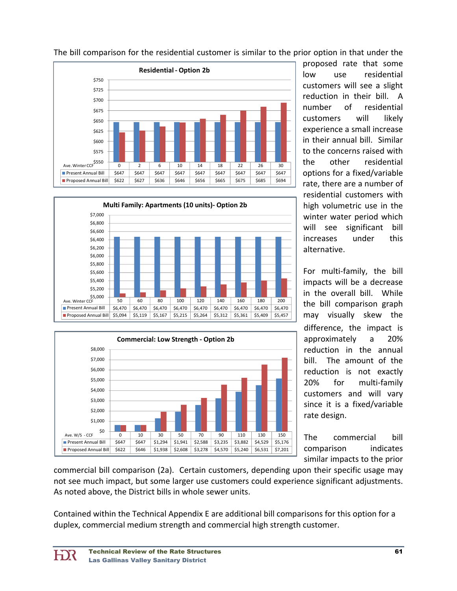

The bill comparison for the residential customer is similar to the prior option in that under the





proposed rate that some low use residential customers will see a slight reduction in their bill. A number of residential customers will likely experience a small increase in their annual bill. Similar to the concerns raised with the other residential options for a fixed/variable rate, there are a number of residential customers with high volumetric use in the winter water period which will see significant bill increases under this alternative.

For multi‐family, the bill impacts will be a decrease in the overall bill. While the bill comparison graph may visually skew the difference, the impact is approximately a 20% reduction in the annual bill. The amount of the reduction is not exactly 20% for multi‐family customers and will vary since it is a fixed/variable rate design.

The commercial bill comparison indicates similar impacts to the prior

commercial bill comparison (2a). Certain customers, depending upon their specific usage may not see much impact, but some larger use customers could experience significant adjustments. As noted above, the District bills in whole sewer units.

Contained within the Technical Appendix E are additional bill comparisons for this option for a duplex, commercial medium strength and commercial high strength customer.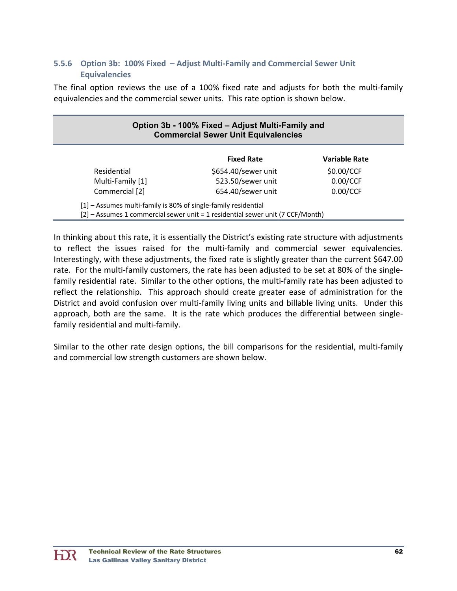#### **5.5.6 Option 3b: 100% Fixed – Adjust Multi‐Family and Commercial Sewer Unit Equivalencies**

The final option reviews the use of a 100% fixed rate and adjusts for both the multi‐family equivalencies and the commercial sewer units. This rate option is shown below.

| Option 3b - 100% Fixed – Adjust Multi-Family and<br><b>Commercial Sewer Unit Equivalencies</b>                                                   |                     |                      |  |  |  |  |
|--------------------------------------------------------------------------------------------------------------------------------------------------|---------------------|----------------------|--|--|--|--|
|                                                                                                                                                  | <b>Fixed Rate</b>   | <b>Variable Rate</b> |  |  |  |  |
| Residential                                                                                                                                      | \$654.40/sewer unit | \$0.00/CCF           |  |  |  |  |
| Multi-Family [1]                                                                                                                                 | 523.50/sewer unit   | 0.00/CCF             |  |  |  |  |
| Commercial [2]                                                                                                                                   | 654.40/sewer unit   | 0.00/CCF             |  |  |  |  |
| [1] - Assumes multi-family is 80% of single-family residential<br>[2] - Assumes 1 commercial sewer unit = 1 residential sewer unit (7 CCF/Month) |                     |                      |  |  |  |  |

In thinking about this rate, it is essentially the District's existing rate structure with adjustments to reflect the issues raised for the multi-family and commercial sewer equivalencies. Interestingly, with these adjustments, the fixed rate is slightly greater than the current \$647.00 rate. For the multi-family customers, the rate has been adjusted to be set at 80% of the singlefamily residential rate. Similar to the other options, the multi-family rate has been adjusted to reflect the relationship. This approach should create greater ease of administration for the District and avoid confusion over multi‐family living units and billable living units. Under this approach, both are the same. It is the rate which produces the differential between singlefamily residential and multi-family.

Similar to the other rate design options, the bill comparisons for the residential, multi-family and commercial low strength customers are shown below.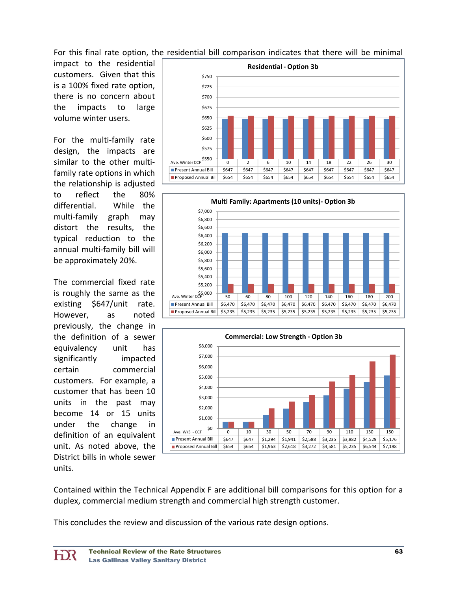For this final rate option, the residential bill comparison indicates that there will be minimal

impact to the residential customers. Given that this is a 100% fixed rate option, there is no concern about the impacts to large volume winter users.

For the multi-family rate design, the impacts are similar to the other multi‐ family rate options in which the relationship is adjusted to reflect the 80% differential. While the multi‐family graph may distort the results, the typical reduction to the annual multi‐family bill will be approximately 20%.

The commercial fixed rate is roughly the same as the existing \$647/unit rate. However, as noted previously, the change in the definition of a sewer equivalency unit has significantly impacted certain commercial customers. For example, a customer that has been 10 units in the past may become 14 or 15 units under the change in definition of an equivalent unit. As noted above, the District bills in whole sewer units.







Contained within the Technical Appendix F are additional bill comparisons for this option for a duplex, commercial medium strength and commercial high strength customer.

This concludes the review and discussion of the various rate design options.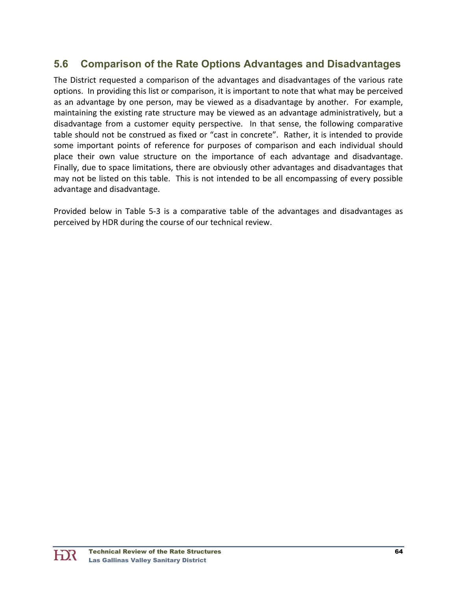### **5.6 Comparison of the Rate Options Advantages and Disadvantages**

The District requested a comparison of the advantages and disadvantages of the various rate options. In providing this list or comparison, it is important to note that what may be perceived as an advantage by one person, may be viewed as a disadvantage by another. For example, maintaining the existing rate structure may be viewed as an advantage administratively, but a disadvantage from a customer equity perspective. In that sense, the following comparative table should not be construed as fixed or "cast in concrete". Rather, it is intended to provide some important points of reference for purposes of comparison and each individual should place their own value structure on the importance of each advantage and disadvantage. Finally, due to space limitations, there are obviously other advantages and disadvantages that may not be listed on this table. This is not intended to be all encompassing of every possible advantage and disadvantage.

Provided below in Table 5‐3 is a comparative table of the advantages and disadvantages as perceived by HDR during the course of our technical review.

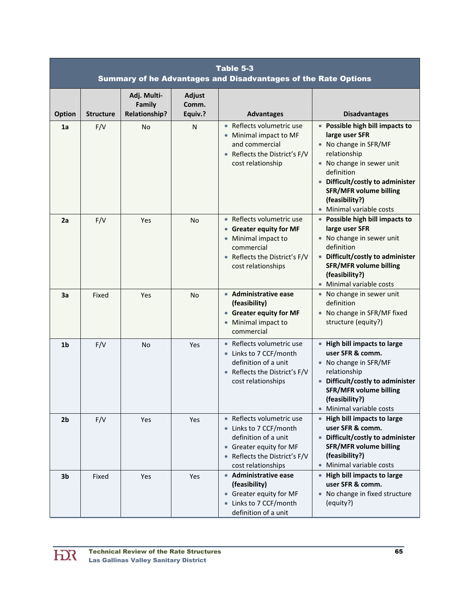|                |                  |                                               |                                   | Table 5-3<br>Summary of he Advantages and Disadvantages of the Rate Options                                                                                                   |                                                                                                                                                                                                                                                        |
|----------------|------------------|-----------------------------------------------|-----------------------------------|-------------------------------------------------------------------------------------------------------------------------------------------------------------------------------|--------------------------------------------------------------------------------------------------------------------------------------------------------------------------------------------------------------------------------------------------------|
| <b>Option</b>  | <b>Structure</b> | Adj. Multi-<br>Family<br><b>Relationship?</b> | <b>Adjust</b><br>Comm.<br>Equiv.? | <b>Advantages</b>                                                                                                                                                             | <b>Disadvantages</b>                                                                                                                                                                                                                                   |
| 1a             | F/V              | <b>No</b>                                     | N                                 | • Reflects volumetric use<br>Minimal impact to MF<br>and commercial<br>Reflects the District's F/V<br>cost relationship                                                       | • Possible high bill impacts to<br>large user SFR<br>• No change in SFR/MF<br>relationship<br>• No change in sewer unit<br>definition<br>• Difficult/costly to administer<br><b>SFR/MFR volume billing</b><br>(feasibility?)<br>Minimal variable costs |
| 2a             | F/V              | Yes                                           | <b>No</b>                         | Reflects volumetric use<br>$\bullet$<br><b>Greater equity for MF</b><br>$\bullet$<br>Minimal impact to<br>commercial<br>Reflects the District's F/V<br>cost relationships     | • Possible high bill impacts to<br>large user SFR<br>• No change in sewer unit<br>definition<br>• Difficult/costly to administer<br><b>SFR/MFR volume billing</b><br>(feasibility?)<br>• Minimal variable costs                                        |
| 3a             | Fixed            | Yes                                           | No.                               | • Administrative ease<br>(feasibility)<br><b>Greater equity for MF</b><br>$\bullet$<br>Minimal impact to<br>$\bullet$<br>commercial                                           | • No change in sewer unit<br>definition<br>• No change in SFR/MF fixed<br>structure (equity?)                                                                                                                                                          |
| 1 <sub>b</sub> | F/V              | No                                            | Yes                               | Reflects volumetric use<br>• Links to 7 CCF/month<br>definition of a unit<br>• Reflects the District's F/V<br>cost relationships                                              | • High bill impacts to large<br>user SFR & comm.<br>• No change in SFR/MF<br>relationship<br>• Difficult/costly to administer<br><b>SFR/MFR volume billing</b><br>(feasibility?)<br>• Minimal variable costs                                           |
| 2 <sub>b</sub> | F/V              | Yes                                           | Yes                               | Reflects volumetric use<br>• Links to 7 CCF/month<br>definition of a unit<br><b>Greater equity for MF</b><br>$\bullet$<br>• Reflects the District's F/V<br>cost relationships | • High bill impacts to large<br>user SFR & comm.<br>• Difficult/costly to administer<br><b>SFR/MFR volume billing</b><br>(feasibility?)<br>Minimal variable costs                                                                                      |
| 3 <sub>b</sub> | Fixed            | Yes                                           | Yes                               | • Administrative ease<br>(feasibility)<br>• Greater equity for MF<br>Links to 7 CCF/month<br>definition of a unit                                                             | • High bill impacts to large<br>user SFR & comm.<br>• No change in fixed structure<br>(equity?)                                                                                                                                                        |

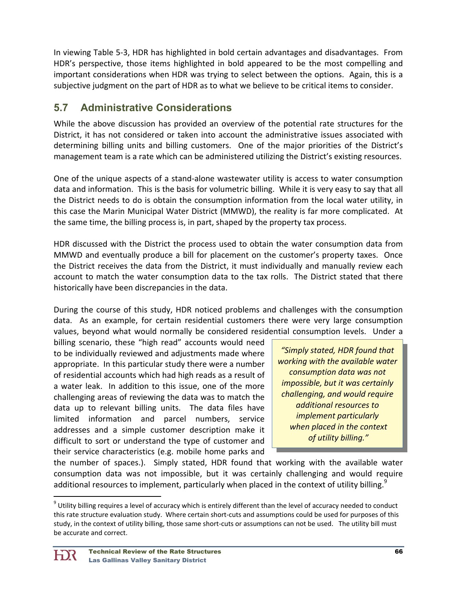In viewing Table 5‐3, HDR has highlighted in bold certain advantages and disadvantages. From HDR's perspective, those items highlighted in bold appeared to be the most compelling and important considerations when HDR was trying to select between the options. Again, this is a subjective judgment on the part of HDR as to what we believe to be critical items to consider.

# **5.7 Administrative Considerations**

While the above discussion has provided an overview of the potential rate structures for the District, it has not considered or taken into account the administrative issues associated with determining billing units and billing customers. One of the major priorities of the District's management team is a rate which can be administered utilizing the District's existing resources.

One of the unique aspects of a stand‐alone wastewater utility is access to water consumption data and information. This is the basis for volumetric billing. While it is very easy to say that all the District needs to do is obtain the consumption information from the local water utility, in this case the Marin Municipal Water District (MMWD), the reality is far more complicated. At the same time, the billing process is, in part, shaped by the property tax process.

HDR discussed with the District the process used to obtain the water consumption data from MMWD and eventually produce a bill for placement on the customer's property taxes. Once the District receives the data from the District, it must individually and manually review each account to match the water consumption data to the tax rolls. The District stated that there historically have been discrepancies in the data.

During the course of this study, HDR noticed problems and challenges with the consumption data. As an example, for certain residential customers there were very large consumption values, beyond what would normally be considered residential consumption levels. Under a

billing scenario, these "high read" accounts would need to be individually reviewed and adjustments made where appropriate. In this particular study there were a number of residential accounts which had high reads as a result of a water leak. In addition to this issue, one of the more challenging areas of reviewing the data was to match the data up to relevant billing units. The data files have limited information and parcel numbers, service addresses and a simple customer description make it difficult to sort or understand the type of customer and their service characteristics (e.g. mobile home parks and

*"Simply stated, HDR found that working with the available water consumption data was not impossible, but it was certainly challenging, and would require additional resources to implement particularly when placed in the context of utility billing."*

the number of spaces.). Simply stated, HDR found that working with the available water consumption data was not impossible, but it was certainly challenging and would require additional resources to implement, particularly when placed in the context of utility billing.<sup>9</sup>

 $9$  Utility billing requires a level of accuracy which is entirely different than the level of accuracy needed to conduct this rate structure evaluation study. Where certain short‐cuts and assumptions could be used for purposes of this study, in the context of utility billing, those same short‐cuts or assumptions can not be used. The utility bill must be accurate and correct.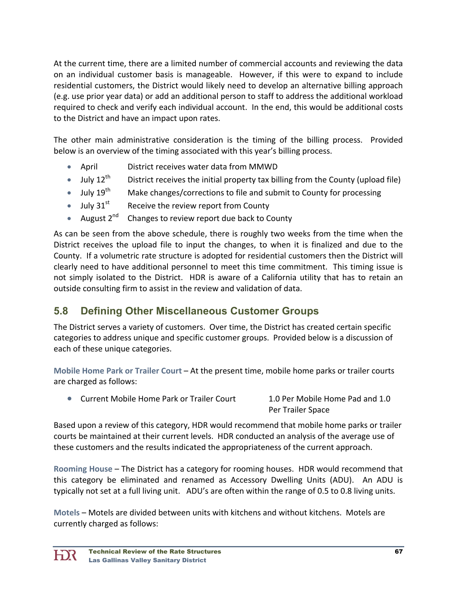At the current time, there are a limited number of commercial accounts and reviewing the data on an individual customer basis is manageable. However, if this were to expand to include residential customers, the District would likely need to develop an alternative billing approach (e.g. use prior year data) or add an additional person to staff to address the additional workload required to check and verify each individual account. In the end, this would be additional costs to the District and have an impact upon rates.

The other main administrative consideration is the timing of the billing process. Provided below is an overview of the timing associated with this year's billing process.

- April District receives water data from MMWD
- $\bullet$  July 12<sup>th</sup> District receives the initial property tax billing from the County (upload file)
- $\bullet$  July 19<sup>th</sup> Make changes/corrections to file and submit to County for processing
- $\bullet$  July 31<sup>st</sup> Receive the review report from County
- August  $2^{nd}$  Changes to review report due back to County

As can be seen from the above schedule, there is roughly two weeks from the time when the District receives the upload file to input the changes, to when it is finalized and due to the County. If a volumetric rate structure is adopted for residential customers then the District will clearly need to have additional personnel to meet this time commitment. This timing issue is not simply isolated to the District. HDR is aware of a California utility that has to retain an outside consulting firm to assist in the review and validation of data.

# **5.8 Defining Other Miscellaneous Customer Groups**

The District serves a variety of customers. Over time, the District has created certain specific categories to address unique and specific customer groups. Provided below is a discussion of each of these unique categories.

**Mobile Home Park or Trailer Court** – At the present time, mobile home parks or trailer courts are charged as follows:

 Current Mobile Home Park or Trailer Court 1.0 Per Mobile Home Pad and 1.0 Per Trailer Space

Based upon a review of this category, HDR would recommend that mobile home parks or trailer courts be maintained at their current levels. HDR conducted an analysis of the average use of these customers and the results indicated the appropriateness of the current approach.

**Rooming House** – The District has a category for rooming houses. HDR would recommend that this category be eliminated and renamed as Accessory Dwelling Units (ADU). An ADU is typically not set at a full living unit. ADU's are often within the range of 0.5 to 0.8 living units.

**Motels** – Motels are divided between units with kitchens and without kitchens. Motels are currently charged as follows: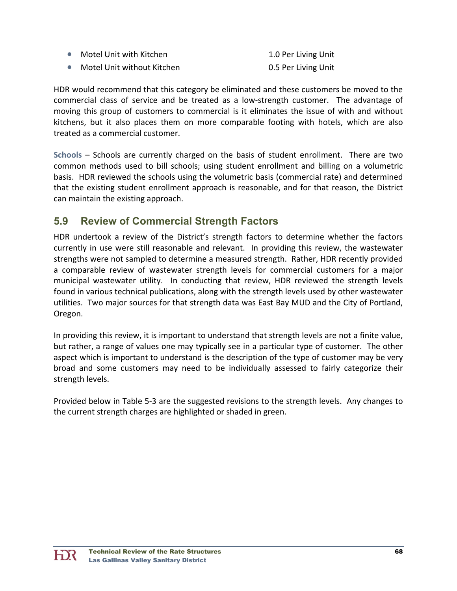| $\bullet$ | Motel Unit with Kitchen    | 1.0 Per Living Unit |
|-----------|----------------------------|---------------------|
| $\bullet$ | Motel Unit without Kitchen | 0.5 Per Living Unit |

HDR would recommend that this category be eliminated and these customers be moved to the commercial class of service and be treated as a low‐strength customer. The advantage of moving this group of customers to commercial is it eliminates the issue of with and without kitchens, but it also places them on more comparable footing with hotels, which are also treated as a commercial customer.

**Schools** – Schools are currently charged on the basis of student enrollment. There are two common methods used to bill schools; using student enrollment and billing on a volumetric basis. HDR reviewed the schools using the volumetric basis (commercial rate) and determined that the existing student enrollment approach is reasonable, and for that reason, the District can maintain the existing approach.

### **5.9 Review of Commercial Strength Factors**

HDR undertook a review of the District's strength factors to determine whether the factors currently in use were still reasonable and relevant. In providing this review, the wastewater strengths were not sampled to determine a measured strength. Rather, HDR recently provided a comparable review of wastewater strength levels for commercial customers for a major municipal wastewater utility. In conducting that review, HDR reviewed the strength levels found in various technical publications, along with the strength levels used by other wastewater utilities. Two major sources for that strength data was East Bay MUD and the City of Portland, Oregon.

In providing this review, it is important to understand that strength levels are not a finite value, but rather, a range of values one may typically see in a particular type of customer. The other aspect which is important to understand is the description of the type of customer may be very broad and some customers may need to be individually assessed to fairly categorize their strength levels.

Provided below in Table 5‐3 are the suggested revisions to the strength levels. Any changes to the current strength charges are highlighted or shaded in green.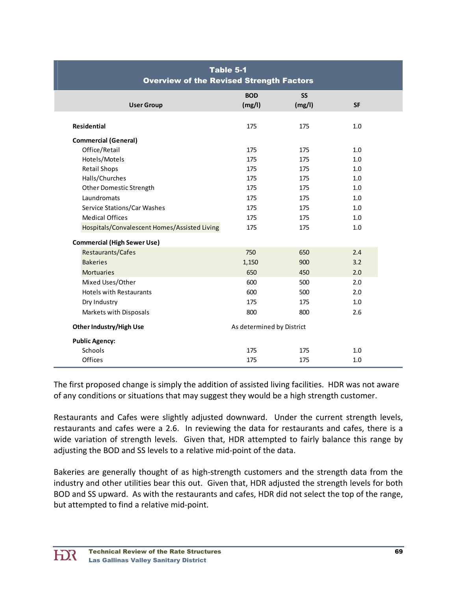| Table 5-1<br><b>Overview of the Revised Strength Factors</b> |                           |                     |           |  |
|--------------------------------------------------------------|---------------------------|---------------------|-----------|--|
| <b>User Group</b>                                            | <b>BOD</b><br>(mg/l)      | <b>SS</b><br>(mg/l) | <b>SF</b> |  |
| <b>Residential</b>                                           | 175                       | 175                 | 1.0       |  |
| <b>Commercial (General)</b>                                  |                           |                     |           |  |
| Office/Retail                                                | 175                       | 175                 | 1.0       |  |
| Hotels/Motels                                                | 175                       | 175                 | 1.0       |  |
| <b>Retail Shops</b>                                          | 175                       | 175                 | 1.0       |  |
| Halls/Churches                                               | 175                       | 175                 | 1.0       |  |
| Other Domestic Strength                                      | 175                       | 175                 | 1.0       |  |
| Laundromats                                                  | 175                       | 175                 | 1.0       |  |
| Service Stations/Car Washes                                  | 175                       | 175                 | 1.0       |  |
| <b>Medical Offices</b>                                       | 175                       | 175                 | 1.0       |  |
| Hospitals/Convalescent Homes/Assisted Living                 | 175                       | 175                 | 1.0       |  |
| <b>Commercial (High Sewer Use)</b>                           |                           |                     |           |  |
| Restaurants/Cafes                                            | 750                       | 650                 | 2.4       |  |
| <b>Bakeries</b>                                              | 1,150                     | 900                 | 3.2       |  |
| <b>Mortuaries</b>                                            | 650                       | 450                 | 2.0       |  |
| Mixed Uses/Other                                             | 600                       | 500                 | 2.0       |  |
| <b>Hotels with Restaurants</b>                               | 600                       | 500                 | 2.0       |  |
| Dry Industry                                                 | 175                       | 175                 | 1.0       |  |
| Markets with Disposals                                       | 800                       | 800                 | 2.6       |  |
| Other Industry/High Use                                      | As determined by District |                     |           |  |
| <b>Public Agency:</b>                                        |                           |                     |           |  |
| Schools                                                      | 175                       | 175                 | 1.0       |  |
| Offices                                                      | 175                       | 175                 | 1.0       |  |

The first proposed change is simply the addition of assisted living facilities. HDR was not aware of any conditions or situations that may suggest they would be a high strength customer.

Restaurants and Cafes were slightly adjusted downward. Under the current strength levels, restaurants and cafes were a 2.6. In reviewing the data for restaurants and cafes, there is a wide variation of strength levels. Given that, HDR attempted to fairly balance this range by adjusting the BOD and SS levels to a relative mid‐point of the data.

Bakeries are generally thought of as high‐strength customers and the strength data from the industry and other utilities bear this out. Given that, HDR adjusted the strength levels for both BOD and SS upward. As with the restaurants and cafes, HDR did not select the top of the range, but attempted to find a relative mid‐point.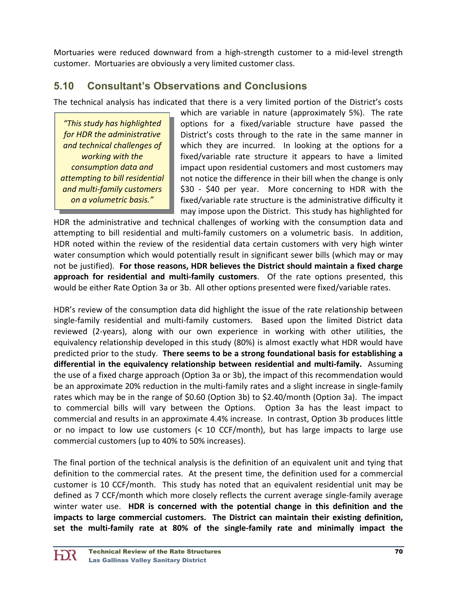Mortuaries were reduced downward from a high‐strength customer to a mid‐level strength customer. Mortuaries are obviously a very limited customer class.

# **5.10 Consultant's Observations and Conclusions**

The technical analysis has indicated that there is a very limited portion of the District's costs

*"This study has highlighted for HDR the administrative and technical challenges of working with the consumption data and attempting to bill residential and multi‐family customers on a volumetric basis."*

which are variable in nature (approximately 5%). The rate options for a fixed/variable structure have passed the District's costs through to the rate in the same manner in which they are incurred. In looking at the options for a fixed/variable rate structure it appears to have a limited impact upon residential customers and most customers may not notice the difference in their bill when the change is only \$30 - \$40 per year. More concerning to HDR with the fixed/variable rate structure is the administrative difficulty it may impose upon the District. This study has highlighted for

HDR the administrative and technical challenges of working with the consumption data and attempting to bill residential and multi-family customers on a volumetric basis. In addition, HDR noted within the review of the residential data certain customers with very high winter water consumption which would potentially result in significant sewer bills (which may or may not be justified). **For those reasons, HDR believes the District should maintain a fixed charge approach for residential and multi‐family customers**. Of the rate options presented, this would be either Rate Option 3a or 3b. All other options presented were fixed/variable rates.

HDR's review of the consumption data did highlight the issue of the rate relationship between single-family residential and multi-family customers. Based upon the limited District data reviewed (2‐years), along with our own experience in working with other utilities, the equivalency relationship developed in this study (80%) is almost exactly what HDR would have predicted prior to the study. **There seems to be a strong foundational basis for establishing a differential in the equivalency relationship between residential and multi‐family.** Assuming the use of a fixed charge approach (Option 3a or 3b), the impact of this recommendation would be an approximate 20% reduction in the multi-family rates and a slight increase in single-family rates which may be in the range of \$0.60 (Option 3b) to \$2.40/month (Option 3a). The impact to commercial bills will vary between the Options. Option 3a has the least impact to commercial and results in an approximate 4.4% increase. In contrast, Option 3b produces little or no impact to low use customers (< 10 CCF/month), but has large impacts to large use commercial customers (up to 40% to 50% increases).

The final portion of the technical analysis is the definition of an equivalent unit and tying that definition to the commercial rates. At the present time, the definition used for a commercial customer is 10 CCF/month. This study has noted that an equivalent residential unit may be defined as 7 CCF/month which more closely reflects the current average single‐family average winter water use. **HDR is concerned with the potential change in this definition and the impacts to large commercial customers. The District can maintain their existing definition, set the multi‐family rate at 80% of the single‐family rate and minimally impact the**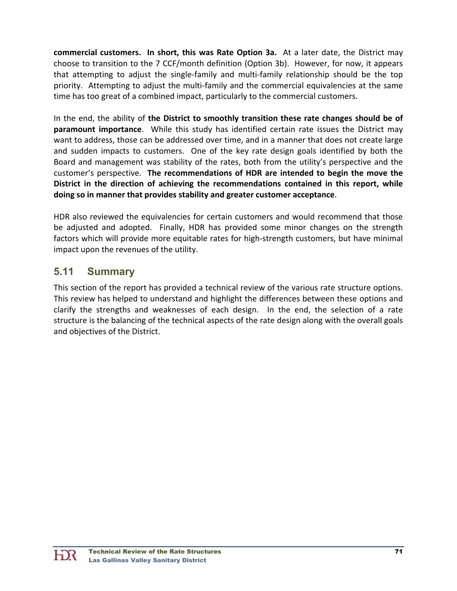**commercial customers. In short, this was Rate Option 3a.** At a later date, the District may choose to transition to the 7 CCF/month definition (Option 3b). However, for now, it appears that attempting to adjust the single‐family and multi‐family relationship should be the top priority. Attempting to adjust the multi-family and the commercial equivalencies at the same time has too great of a combined impact, particularly to the commercial customers.

In the end, the ability of **the District to smoothly transition these rate changes should be of paramount importance**. While this study has identified certain rate issues the District may want to address, those can be addressed over time, and in a manner that does not create large and sudden impacts to customers. One of the key rate design goals identified by both the Board and management was stability of the rates, both from the utility's perspective and the customer's perspective. **The recommendations of HDR are intended to begin the move the District in the direction of achieving the recommendations contained in this report, while doing so in manner that provides stability and greater customer acceptance**.

HDR also reviewed the equivalencies for certain customers and would recommend that those be adjusted and adopted. Finally, HDR has provided some minor changes on the strength factors which will provide more equitable rates for high-strength customers, but have minimal impact upon the revenues of the utility.

# **5.11 Summary**

This section of the report has provided a technical review of the various rate structure options. This review has helped to understand and highlight the differences between these options and clarify the strengths and weaknesses of each design. In the end, the selection of a rate structure is the balancing of the technical aspects of the rate design along with the overall goals and objectives of the District.

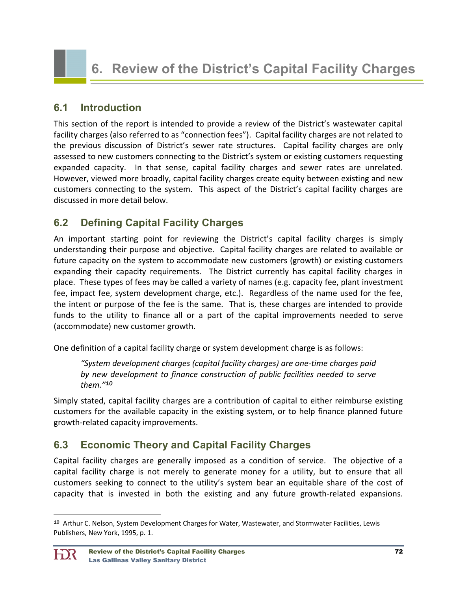# **6. Review of the District's Capital Facility Charges**

### **6.1 Introduction**

This section of the report is intended to provide a review of the District's wastewater capital facility charges (also referred to as "connection fees"). Capital facility charges are not related to the previous discussion of District's sewer rate structures. Capital facility charges are only assessed to new customers connecting to the District's system or existing customers requesting expanded capacity. In that sense, capital facility charges and sewer rates are unrelated. However, viewed more broadly, capital facility charges create equity between existing and new customers connecting to the system. This aspect of the District's capital facility charges are discussed in more detail below.

# **6.2 Defining Capital Facility Charges**

An important starting point for reviewing the District's capital facility charges is simply understanding their purpose and objective. Capital facility charges are related to available or future capacity on the system to accommodate new customers (growth) or existing customers expanding their capacity requirements. The District currently has capital facility charges in place. These types of fees may be called a variety of names (e.g. capacity fee, plant investment fee, impact fee, system development charge, etc.). Regardless of the name used for the fee, the intent or purpose of the fee is the same. That is, these charges are intended to provide funds to the utility to finance all or a part of the capital improvements needed to serve (accommodate) new customer growth.

One definition of a capital facility charge or system development charge is as follows:

*"System development charges (capital facility charges) are one‐time charges paid by new development to finance construction of public facilities needed to serve them."<sup>10</sup>*

Simply stated, capital facility charges are a contribution of capital to either reimburse existing customers for the available capacity in the existing system, or to help finance planned future growth‐related capacity improvements.

## **6.3 Economic Theory and Capital Facility Charges**

Capital facility charges are generally imposed as a condition of service. The objective of a capital facility charge is not merely to generate money for a utility, but to ensure that all customers seeking to connect to the utility's system bear an equitable share of the cost of capacity that is invested in both the existing and any future growth‐related expansions.

<sup>10</sup> Arthur C. Nelson, System Development Charges for Water, Wastewater, and Stormwater Facilities, Lewis Publishers, New York, 1995, p. 1.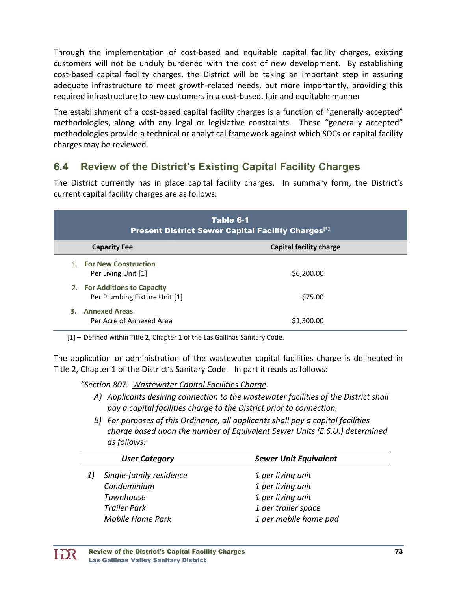Through the implementation of cost‐based and equitable capital facility charges, existing customers will not be unduly burdened with the cost of new development. By establishing cost-based capital facility charges, the District will be taking an important step in assuring adequate infrastructure to meet growth‐related needs, but more importantly, providing this required infrastructure to new customers in a cost‐based, fair and equitable manner

The establishment of a cost-based capital facility charges is a function of "generally accepted" methodologies, along with any legal or legislative constraints. These "generally accepted" methodologies provide a technical or analytical framework against which SDCs or capital facility charges may be reviewed.

# **6.4 Review of the District's Existing Capital Facility Charges**

The District currently has in place capital facility charges. In summary form, the District's current capital facility charges are as follows:

| Table 6-1<br><b>Present District Sewer Capital Facility Charges</b> <sup>[1]</sup> |                                |  |
|------------------------------------------------------------------------------------|--------------------------------|--|
| <b>Capacity Fee</b>                                                                | <b>Capital facility charge</b> |  |
| 1. For New Construction<br>Per Living Unit [1]                                     | \$6,200.00                     |  |
| 2. For Additions to Capacity<br>Per Plumbing Fixture Unit [1]                      | \$75.00                        |  |
| <b>Annexed Areas</b><br>3.<br>Per Acre of Annexed Area                             | \$1,300.00                     |  |

[1] – Defined within Title 2, Chapter 1 of the Las Gallinas Sanitary Code.

The application or administration of the wastewater capital facilities charge is delineated in Title 2, Chapter 1 of the District's Sanitary Code. In part it reads as follows:

*"Section 807. Wastewater Capital Facilities Charge.*

- *A) Applicants desiring connection to the wastewater facilities of the District shall pay a capital facilities charge to the District prior to connection.*
- *B) For purposes of this Ordinance, all applicants shall pay a capital facilities charge based upon the number of Equivalent Sewer Units (E.S.U.) determined as follows:*

| <b>User Category</b>    | <b>Sewer Unit Equivalent</b> |
|-------------------------|------------------------------|
| Single-family residence | 1 per living unit            |
| Condominium             | 1 per living unit            |
| Townhouse               | 1 per living unit            |
| <b>Trailer Park</b>     | 1 per trailer space          |
| <b>Mobile Home Park</b> | 1 per mobile home pad        |

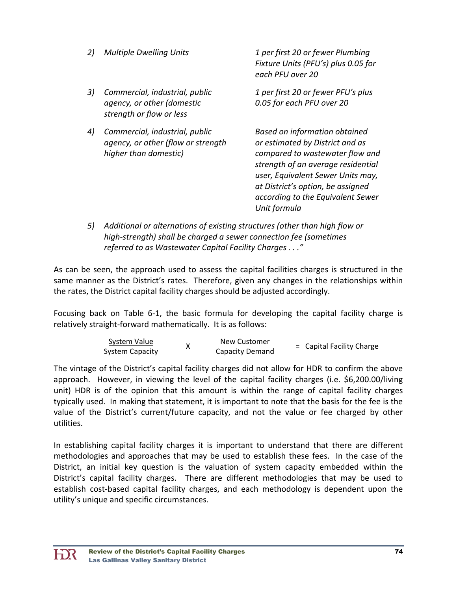| 2) | <b>Multiple Dwelling Units</b>                                                                | 1 per first 20 or fewer Plumbing<br>Fixture Units (PFU's) plus 0.05 for<br>each PFU over 20                                                                                                                                                                              |
|----|-----------------------------------------------------------------------------------------------|--------------------------------------------------------------------------------------------------------------------------------------------------------------------------------------------------------------------------------------------------------------------------|
| 3) | Commercial, industrial, public<br>agency, or other (domestic<br>strength or flow or less      | 1 per first 20 or fewer PFU's plus<br>0.05 for each PFU over 20                                                                                                                                                                                                          |
| 4) | Commercial, industrial, public<br>agency, or other (flow or strength<br>higher than domestic) | Based on information obtained<br>or estimated by District and as<br>compared to wastewater flow and<br>strength of an average residential<br>user, Equivalent Sewer Units may,<br>at District's option, be assigned<br>according to the Equivalent Sewer<br>Unit formula |
| 5) | Additional or alternations of existing structures (other than high flow or                    |                                                                                                                                                                                                                                                                          |

 *high‐strength) shall be charged a sewer connection fee (sometimes referred to as Wastewater Capital Facility Charges . . ."*

As can be seen, the approach used to assess the capital facilities charges is structured in the same manner as the District's rates. Therefore, given any changes in the relationships within the rates, the District capital facility charges should be adjusted accordingly.

Focusing back on Table 6‐1, the basic formula for developing the capital facility charge is relatively straight‐forward mathematically. It is as follows:

| System Value    | New Customer           | = Capital Facility Charge |
|-----------------|------------------------|---------------------------|
| System Capacity | <b>Capacity Demand</b> |                           |

The vintage of the District's capital facility charges did not allow for HDR to confirm the above approach. However, in viewing the level of the capital facility charges (i.e. \$6,200.00/living unit) HDR is of the opinion that this amount is within the range of capital facility charges typically used. In making that statement, it is important to note that the basis for the fee is the value of the District's current/future capacity, and not the value or fee charged by other utilities.

In establishing capital facility charges it is important to understand that there are different methodologies and approaches that may be used to establish these fees. In the case of the District, an initial key question is the valuation of system capacity embedded within the District's capital facility charges. There are different methodologies that may be used to establish cost‐based capital facility charges, and each methodology is dependent upon the utility's unique and specific circumstances.

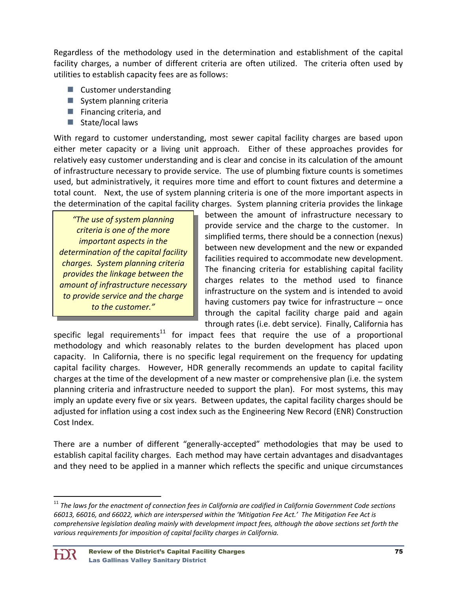Regardless of the methodology used in the determination and establishment of the capital facility charges, a number of different criteria are often utilized. The criteria often used by utilities to establish capacity fees are as follows:

- Customer understanding
- System planning criteria
- $\blacksquare$  Financing criteria, and
- $\blacksquare$  State/local laws

With regard to customer understanding, most sewer capital facility charges are based upon either meter capacity or a living unit approach. Either of these approaches provides for relatively easy customer understanding and is clear and concise in its calculation of the amount of infrastructure necessary to provide service. The use of plumbing fixture counts is sometimes used, but administratively, it requires more time and effort to count fixtures and determine a total count. Next, the use of system planning criteria is one of the more important aspects in the determination of the capital facility charges. System planning criteria provides the linkage

*"The use of system planning criteria is one of the more important aspects in the determination of the capital facility charges. System planning criteria provides the linkage between the amount of infrastructure necessary to provide service and the charge to the customer."*

between the amount of infrastructure necessary to provide service and the charge to the customer. In simplified terms, there should be a connection (nexus) between new development and the new or expanded facilities required to accommodate new development. The financing criteria for establishing capital facility charges relates to the method used to finance infrastructure on the system and is intended to avoid having customers pay twice for infrastructure – once through the capital facility charge paid and again through rates (i.e. debt service). Finally, California has

specific legal requirements<sup>11</sup> for impact fees that require the use of a proportional methodology and which reasonably relates to the burden development has placed upon capacity. In California, there is no specific legal requirement on the frequency for updating capital facility charges. However, HDR generally recommends an update to capital facility charges at the time of the development of a new master or comprehensive plan (i.e. the system planning criteria and infrastructure needed to support the plan). For most systems, this may imply an update every five or six years. Between updates, the capital facility charges should be adjusted for inflation using a cost index such as the Engineering New Record (ENR) Construction Cost Index.

There are a number of different "generally‐accepted" methodologies that may be used to establish capital facility charges. Each method may have certain advantages and disadvantages and they need to be applied in a manner which reflects the specific and unique circumstances

<sup>&</sup>lt;sup>11</sup> The laws for the enactment of connection fees in California are codified in California Government Code sections 66013, 66016, and 66022, which are interspersed within the 'Mitigation Fee Act.' The Mitigation Fee Act is *comprehensive legislation dealing mainly with development impact fees, although the above sections set forth the various requirements for imposition of capital facility charges in California.*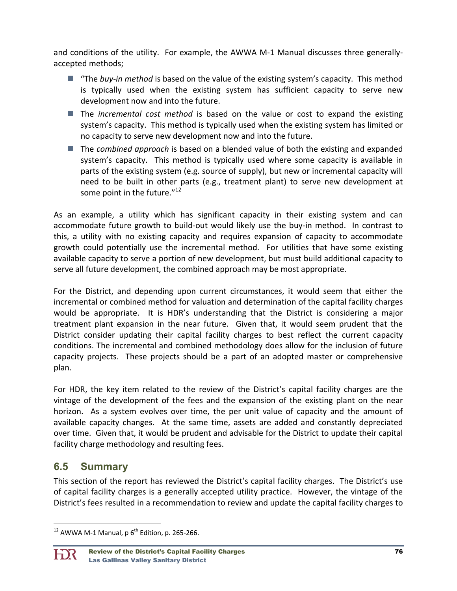and conditions of the utility. For example, the AWWA M-1 Manual discusses three generallyaccepted methods;

- "The *buy-in method* is based on the value of the existing system's capacity. This method is typically used when the existing system has sufficient capacity to serve new development now and into the future.
- The *incremental cost method* is based on the value or cost to expand the existing system's capacity. This method is typically used when the existing system has limited or no capacity to serve new development now and into the future.
- The *combined approach* is based on a blended value of both the existing and expanded system's capacity. This method is typically used where some capacity is available in parts of the existing system (e.g. source of supply), but new or incremental capacity will need to be built in other parts (e.g., treatment plant) to serve new development at some point in the future. $12$

As an example, a utility which has significant capacity in their existing system and can accommodate future growth to build‐out would likely use the buy‐in method. In contrast to this, a utility with no existing capacity and requires expansion of capacity to accommodate growth could potentially use the incremental method. For utilities that have some existing available capacity to serve a portion of new development, but must build additional capacity to serve all future development, the combined approach may be most appropriate.

For the District, and depending upon current circumstances, it would seem that either the incremental or combined method for valuation and determination of the capital facility charges would be appropriate. It is HDR's understanding that the District is considering a major treatment plant expansion in the near future. Given that, it would seem prudent that the District consider updating their capital facility charges to best reflect the current capacity conditions. The incremental and combined methodology does allow for the inclusion of future capacity projects. These projects should be a part of an adopted master or comprehensive plan.

For HDR, the key item related to the review of the District's capital facility charges are the vintage of the development of the fees and the expansion of the existing plant on the near horizon. As a system evolves over time, the per unit value of capacity and the amount of available capacity changes. At the same time, assets are added and constantly depreciated over time. Given that, it would be prudent and advisable for the District to update their capital facility charge methodology and resulting fees.

# **6.5 Summary**

This section of the report has reviewed the District's capital facility charges. The District's use of capital facility charges is a generally accepted utility practice. However, the vintage of the District's fees resulted in a recommendation to review and update the capital facility charges to

  $12$  AWWA M-1 Manual, p  $6^{th}$  Edition, p. 265-266.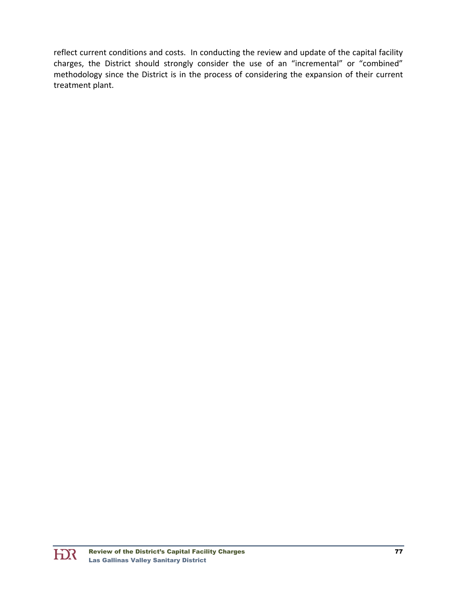reflect current conditions and costs. In conducting the review and update of the capital facility charges, the District should strongly consider the use of an "incremental" or "combined" methodology since the District is in the process of considering the expansion of their current treatment plant.

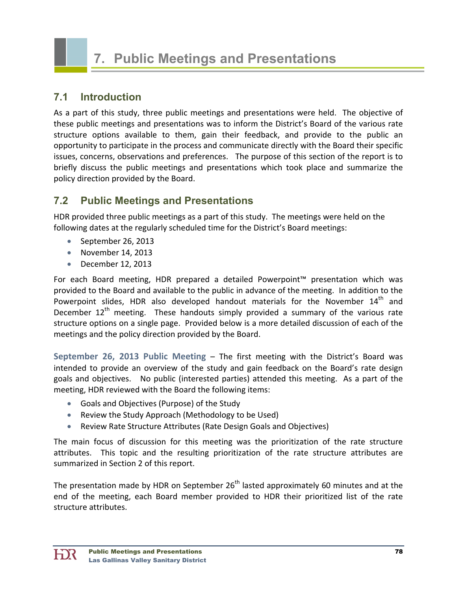

### **7.1 Introduction**

As a part of this study, three public meetings and presentations were held. The objective of these public meetings and presentations was to inform the District's Board of the various rate structure options available to them, gain their feedback, and provide to the public an opportunity to participate in the process and communicate directly with the Board their specific issues, concerns, observations and preferences. The purpose of this section of the report is to briefly discuss the public meetings and presentations which took place and summarize the policy direction provided by the Board.

# **7.2 Public Meetings and Presentations**

HDR provided three public meetings as a part of this study. The meetings were held on the following dates at the regularly scheduled time for the District's Board meetings:

- September 26, 2013
- November 14, 2013
- December 12, 2013

For each Board meeting, HDR prepared a detailed Powerpoint™ presentation which was provided to the Board and available to the public in advance of the meeting. In addition to the Powerpoint slides, HDR also developed handout materials for the November  $14<sup>th</sup>$  and December  $12<sup>th</sup>$  meeting. These handouts simply provided a summary of the various rate structure options on a single page. Provided below is a more detailed discussion of each of the meetings and the policy direction provided by the Board.

**September 26, 2013 Public Meeting** – The first meeting with the District's Board was intended to provide an overview of the study and gain feedback on the Board's rate design goals and objectives. No public (interested parties) attended this meeting. As a part of the meeting, HDR reviewed with the Board the following items:

- Goals and Objectives (Purpose) of the Study
- Review the Study Approach (Methodology to be Used)
- Review Rate Structure Attributes (Rate Design Goals and Objectives)

The main focus of discussion for this meeting was the prioritization of the rate structure attributes. This topic and the resulting prioritization of the rate structure attributes are summarized in Section 2 of this report.

The presentation made by HDR on September  $26<sup>th</sup>$  lasted approximately 60 minutes and at the end of the meeting, each Board member provided to HDR their prioritized list of the rate structure attributes.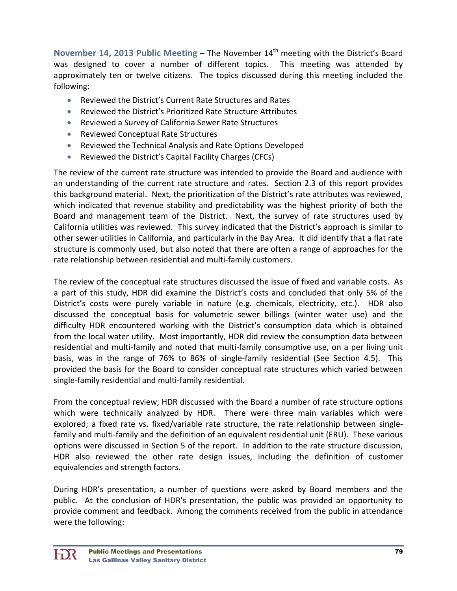**November 14, 2013 Public Meeting – The November 14<sup>th</sup> meeting with the District's Board** was designed to cover a number of different topics. This meeting was attended by approximately ten or twelve citizens. The topics discussed during this meeting included the following:

- Reviewed the District's Current Rate Structures and Rates
- Reviewed the District's Prioritized Rate Structure Attributes
- Reviewed a Survey of California Sewer Rate Structures
- Reviewed Conceptual Rate Structures
- Reviewed the Technical Analysis and Rate Options Developed
- Reviewed the District's Capital Facility Charges (CFCs)

The review of the current rate structure was intended to provide the Board and audience with an understanding of the current rate structure and rates. Section 2.3 of this report provides this background material. Next, the prioritization of the District's rate attributes was reviewed, which indicated that revenue stability and predictability was the highest priority of both the Board and management team of the District. Next, the survey of rate structures used by California utilities was reviewed. This survey indicated that the District's approach is similar to other sewer utilities in California, and particularly in the Bay Area. It did identify that a flat rate structure is commonly used, but also noted that there are often a range of approaches for the rate relationship between residential and multi‐family customers.

The review of the conceptual rate structures discussed the issue of fixed and variable costs. As a part of this study, HDR did examine the District's costs and concluded that only 5% of the District's costs were purely variable in nature (e.g. chemicals, electricity, etc.). HDR also discussed the conceptual basis for volumetric sewer billings (winter water use) and the difficulty HDR encountered working with the District's consumption data which is obtained from the local water utility. Most importantly, HDR did review the consumption data between residential and multi‐family and noted that multi‐family consumptive use, on a per living unit basis, was in the range of 76% to 86% of single‐family residential (See Section 4.5). This provided the basis for the Board to consider conceptual rate structures which varied between single‐family residential and multi‐family residential.

From the conceptual review, HDR discussed with the Board a number of rate structure options which were technically analyzed by HDR. There were three main variables which were explored; a fixed rate vs. fixed/variable rate structure, the rate relationship between singlefamily and multi-family and the definition of an equivalent residential unit (ERU). These various options were discussed in Section 5 of the report. In addition to the rate structure discussion, HDR also reviewed the other rate design issues, including the definition of customer equivalencies and strength factors.

During HDR's presentation, a number of questions were asked by Board members and the public. At the conclusion of HDR's presentation, the public was provided an opportunity to provide comment and feedback. Among the comments received from the public in attendance were the following: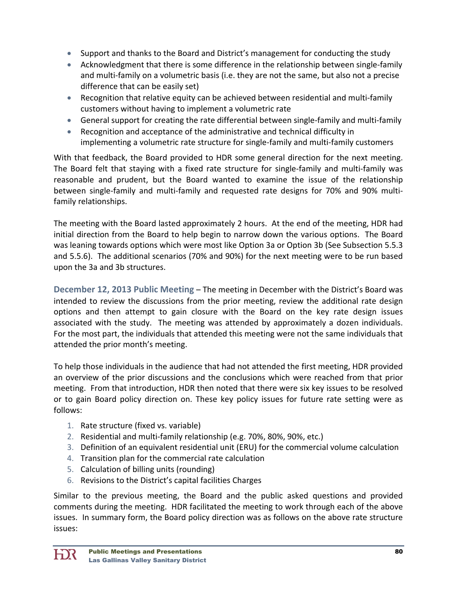- Support and thanks to the Board and District's management for conducting the study
- Acknowledgment that there is some difference in the relationship between single-family and multi‐family on a volumetric basis (i.e. they are not the same, but also not a precise difference that can be easily set)
- Recognition that relative equity can be achieved between residential and multi-family customers without having to implement a volumetric rate
- General support for creating the rate differential between single‐family and multi‐family
- Recognition and acceptance of the administrative and technical difficulty in implementing a volumetric rate structure for single‐family and multi‐family customers

With that feedback, the Board provided to HDR some general direction for the next meeting. The Board felt that staying with a fixed rate structure for single-family and multi-family was reasonable and prudent, but the Board wanted to examine the issue of the relationship between single-family and multi-family and requested rate designs for 70% and 90% multifamily relationships.

The meeting with the Board lasted approximately 2 hours. At the end of the meeting, HDR had initial direction from the Board to help begin to narrow down the various options. The Board was leaning towards options which were most like Option 3a or Option 3b (See Subsection 5.5.3 and 5.5.6). The additional scenarios (70% and 90%) for the next meeting were to be run based upon the 3a and 3b structures.

**December 12, 2013 Public Meeting** – The meeting in December with the District's Board was intended to review the discussions from the prior meeting, review the additional rate design options and then attempt to gain closure with the Board on the key rate design issues associated with the study. The meeting was attended by approximately a dozen individuals. For the most part, the individuals that attended this meeting were not the same individuals that attended the prior month's meeting.

To help those individuals in the audience that had not attended the first meeting, HDR provided an overview of the prior discussions and the conclusions which were reached from that prior meeting. From that introduction, HDR then noted that there were six key issues to be resolved or to gain Board policy direction on. These key policy issues for future rate setting were as follows:

- 1. Rate structure (fixed vs. variable)
- 2. Residential and multi‐family relationship (e.g. 70%, 80%, 90%, etc.)
- 3. Definition of an equivalent residential unit (ERU) for the commercial volume calculation
- 4. Transition plan for the commercial rate calculation
- 5. Calculation of billing units (rounding)
- 6. Revisions to the District's capital facilities Charges

Similar to the previous meeting, the Board and the public asked questions and provided comments during the meeting. HDR facilitated the meeting to work through each of the above issues. In summary form, the Board policy direction was as follows on the above rate structure issues: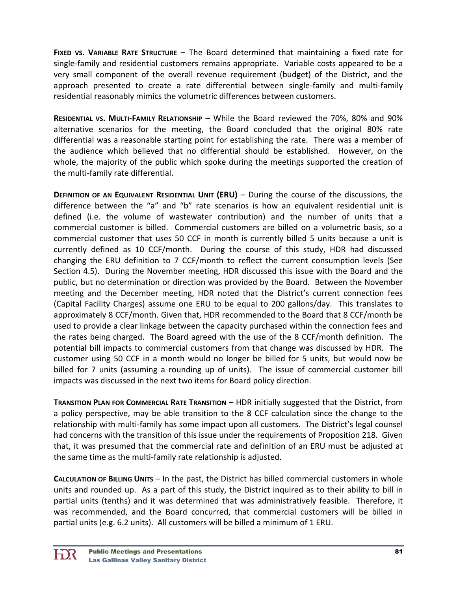**FIXED VS. VARIABLE RATE STRUCTURE** – The Board determined that maintaining a fixed rate for single‐family and residential customers remains appropriate. Variable costs appeared to be a very small component of the overall revenue requirement (budget) of the District, and the approach presented to create a rate differential between single-family and multi-family residential reasonably mimics the volumetric differences between customers.

**RESIDENTIAL VS. MULTI‐FAMILY RELATIONSHIP** – While the Board reviewed the 70%, 80% and 90% alternative scenarios for the meeting, the Board concluded that the original 80% rate differential was a reasonable starting point for establishing the rate. There was a member of the audience which believed that no differential should be established. However, on the whole, the majority of the public which spoke during the meetings supported the creation of the multi‐family rate differential.

**DEFINITION OF AN EQUIVALENT RESIDENTIAL UNIT (ERU)** – During the course of the discussions, the difference between the "a" and "b" rate scenarios is how an equivalent residential unit is defined (i.e. the volume of wastewater contribution) and the number of units that a commercial customer is billed. Commercial customers are billed on a volumetric basis, so a commercial customer that uses 50 CCF in month is currently billed 5 units because a unit is currently defined as 10 CCF/month. During the course of this study, HDR had discussed changing the ERU definition to 7 CCF/month to reflect the current consumption levels (See Section 4.5). During the November meeting, HDR discussed this issue with the Board and the public, but no determination or direction was provided by the Board. Between the November meeting and the December meeting, HDR noted that the District's current connection fees (Capital Facility Charges) assume one ERU to be equal to 200 gallons/day. This translates to approximately 8 CCF/month. Given that, HDR recommended to the Board that 8 CCF/month be used to provide a clear linkage between the capacity purchased within the connection fees and the rates being charged. The Board agreed with the use of the 8 CCF/month definition. The potential bill impacts to commercial customers from that change was discussed by HDR. The customer using 50 CCF in a month would no longer be billed for 5 units, but would now be billed for 7 units (assuming a rounding up of units). The issue of commercial customer bill impacts was discussed in the next two items for Board policy direction.

**TRANSITION PLAN FOR COMMERCIAL RATE TRANSITION** – HDR initially suggested that the District, from a policy perspective, may be able transition to the 8 CCF calculation since the change to the relationship with multi‐family has some impact upon all customers. The District's legal counsel had concerns with the transition of this issue under the requirements of Proposition 218. Given that, it was presumed that the commercial rate and definition of an ERU must be adjusted at the same time as the multi‐family rate relationship is adjusted.

**CALCULATION OF BILLING UNITS** – In the past, the District has billed commercial customers in whole units and rounded up. As a part of this study, the District inquired as to their ability to bill in partial units (tenths) and it was determined that was administratively feasible. Therefore, it was recommended, and the Board concurred, that commercial customers will be billed in partial units (e.g. 6.2 units). All customers will be billed a minimum of 1 ERU.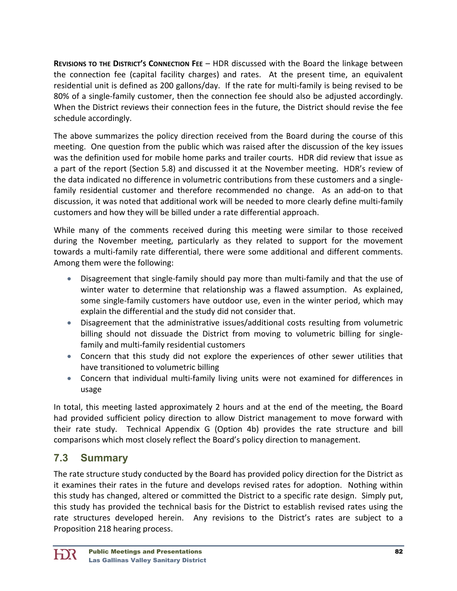**REVISIONS TO THE DISTRICT'S CONNECTION FEE** – HDR discussed with the Board the linkage between the connection fee (capital facility charges) and rates. At the present time, an equivalent residential unit is defined as 200 gallons/day. If the rate for multi-family is being revised to be 80% of a single-family customer, then the connection fee should also be adjusted accordingly. When the District reviews their connection fees in the future, the District should revise the fee schedule accordingly.

The above summarizes the policy direction received from the Board during the course of this meeting. One question from the public which was raised after the discussion of the key issues was the definition used for mobile home parks and trailer courts. HDR did review that issue as a part of the report (Section 5.8) and discussed it at the November meeting. HDR's review of the data indicated no difference in volumetric contributions from these customers and a single‐ family residential customer and therefore recommended no change. As an add-on to that discussion, it was noted that additional work will be needed to more clearly define multi‐family customers and how they will be billed under a rate differential approach.

While many of the comments received during this meeting were similar to those received during the November meeting, particularly as they related to support for the movement towards a multi‐family rate differential, there were some additional and different comments. Among them were the following:

- Disagreement that single‐family should pay more than multi‐family and that the use of winter water to determine that relationship was a flawed assumption. As explained, some single‐family customers have outdoor use, even in the winter period, which may explain the differential and the study did not consider that.
- Disagreement that the administrative issues/additional costs resulting from volumetric billing should not dissuade the District from moving to volumetric billing for single‐ family and multi‐family residential customers
- Concern that this study did not explore the experiences of other sewer utilities that have transitioned to volumetric billing
- Concern that individual multi-family living units were not examined for differences in usage

In total, this meeting lasted approximately 2 hours and at the end of the meeting, the Board had provided sufficient policy direction to allow District management to move forward with their rate study. Technical Appendix G (Option 4b) provides the rate structure and bill comparisons which most closely reflect the Board's policy direction to management.

# **7.3 Summary**

The rate structure study conducted by the Board has provided policy direction for the District as it examines their rates in the future and develops revised rates for adoption. Nothing within this study has changed, altered or committed the District to a specific rate design. Simply put, this study has provided the technical basis for the District to establish revised rates using the rate structures developed herein. Any revisions to the District's rates are subject to a Proposition 218 hearing process.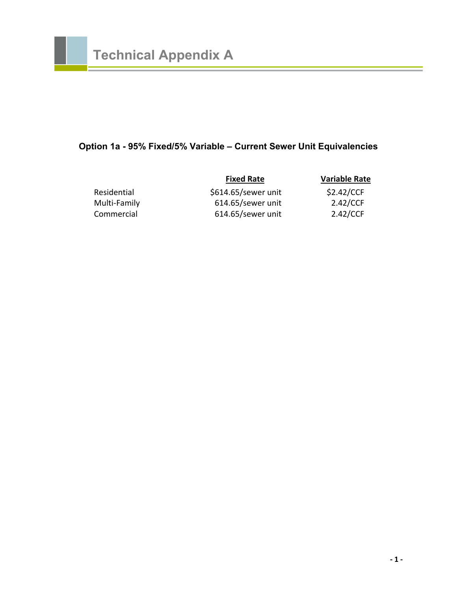# **Option 1a - 95% Fixed/5% Variable – Current Sewer Unit Equivalencies**

|              | <b>Fixed Rate</b>   | <b>Variable Rate</b> |
|--------------|---------------------|----------------------|
| Residential  | \$614.65/sewer unit | \$2.42/CCF           |
| Multi-Family | 614.65/sewer unit   | 2.42/CCF             |
| Commercial   | 614.65/sewer unit   | 2.42/CCF             |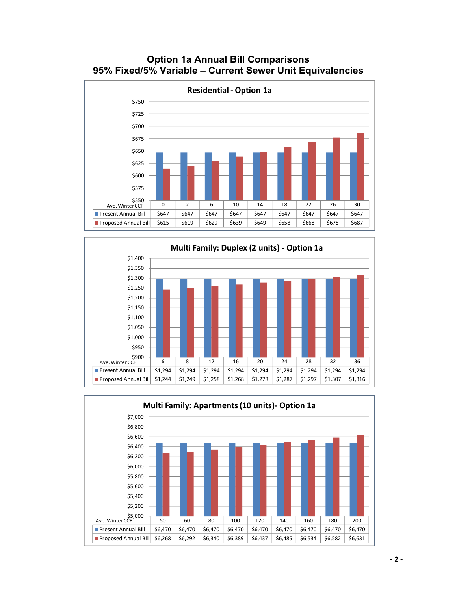





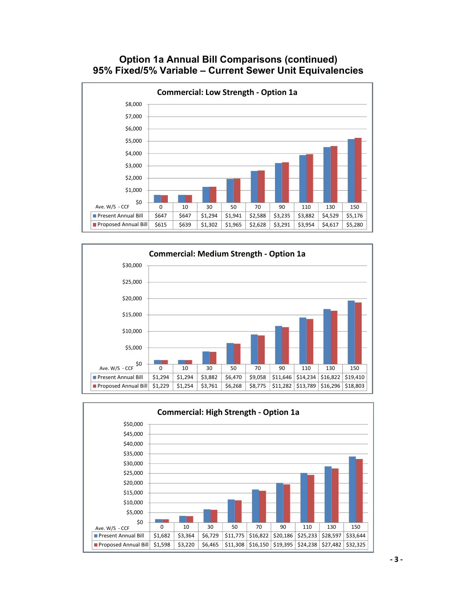#### **Option 1a Annual Bill Comparisons (continued) 95% Fixed/5% Variable – Current Sewer Unit Equivalencies**





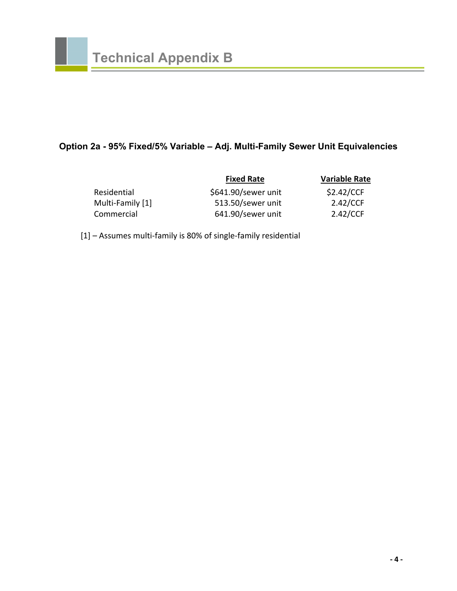# **Option 2a - 95% Fixed/5% Variable – Adj. Multi-Family Sewer Unit Equivalencies**

|                  | <b>Fixed Rate</b>   | <b>Variable Rate</b> |
|------------------|---------------------|----------------------|
| Residential      | \$641.90/sewer unit | \$2.42/CCF           |
| Multi-Family [1] | 513.50/sewer unit   | 2.42/CCF             |
| Commercial       | 641.90/sewer unit   | 2.42/CCF             |

[1] – Assumes multi‐family is 80% of single‐family residential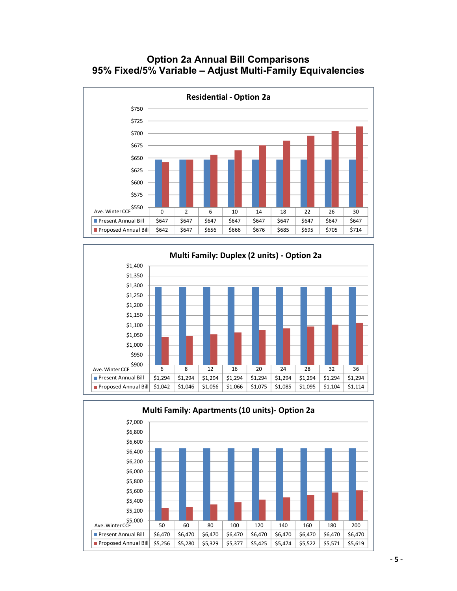#### **Option 2a Annual Bill Comparisons 95% Fixed/5% Variable – Adjust Multi-Family Equivalencies**





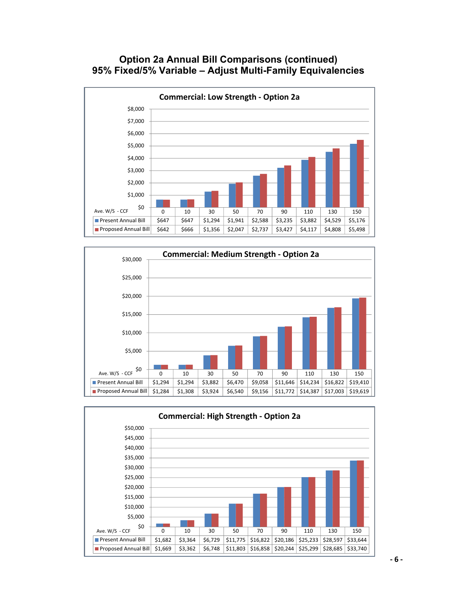#### **Option 2a Annual Bill Comparisons (continued) 95% Fixed/5% Variable – Adjust Multi-Family Equivalencies**





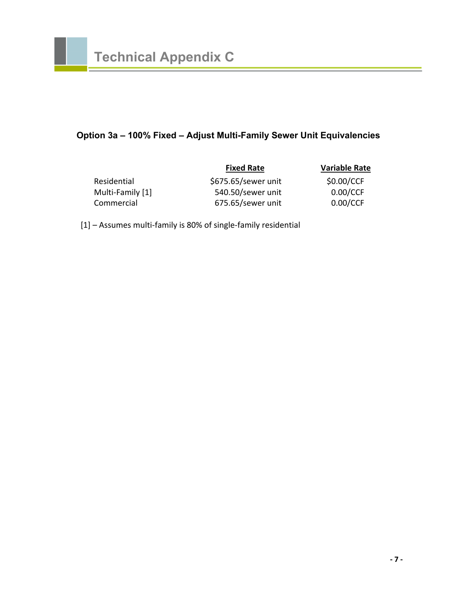### **Option 3a – 100% Fixed – Adjust Multi-Family Sewer Unit Equivalencies**

|                  | <b>Fixed Rate</b>   | <b>Variable Rate</b> |
|------------------|---------------------|----------------------|
| Residential      | \$675.65/sewer unit | \$0.00/CCF           |
| Multi-Family [1] | 540.50/sewer unit   | 0.00/CCF             |
| Commercial       | 675.65/sewer unit   | 0.00/CCF             |

[1] – Assumes multi‐family is 80% of single‐family residential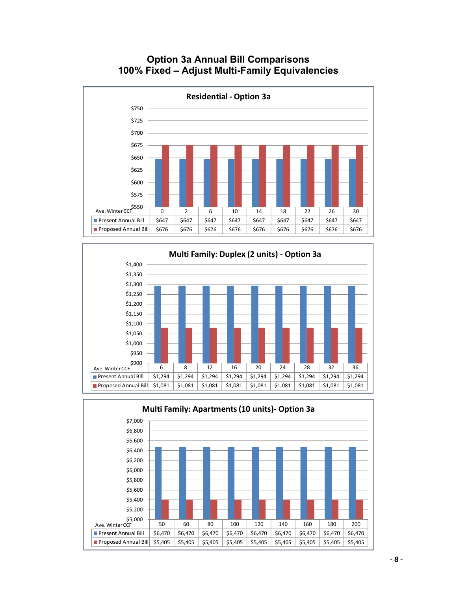

### **Option 3a Annual Bill Comparisons 100% Fixed – Adjust Multi-Family Equivalencies**



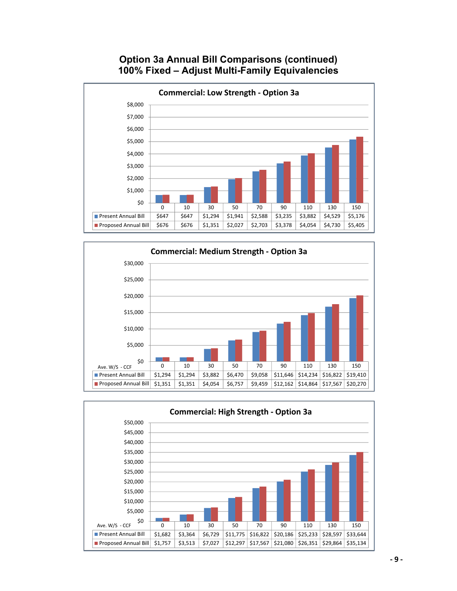### **Option 3a Annual Bill Comparisons (continued) 100% Fixed – Adjust Multi-Family Equivalencies**





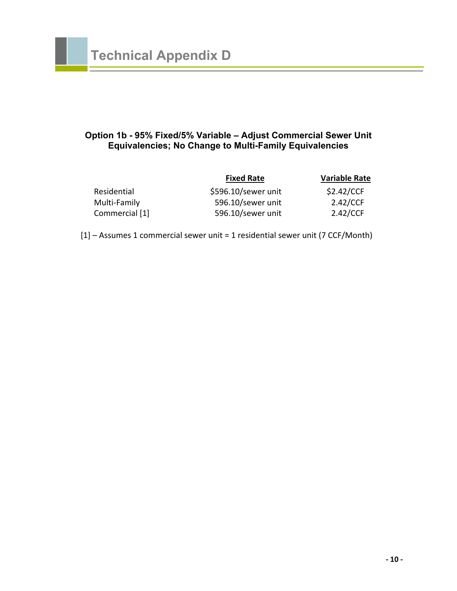#### **Option 1b - 95% Fixed/5% Variable – Adjust Commercial Sewer Unit Equivalencies; No Change to Multi-Family Equivalencies**

|                | <b>Fixed Rate</b>   | <b>Variable Rate</b> |
|----------------|---------------------|----------------------|
| Residential    | \$596.10/sewer unit | \$2.42/CCF           |
| Multi-Family   | 596.10/sewer unit   | 2.42/CCF             |
| Commercial [1] | 596.10/sewer unit   | 2.42/CCF             |

[1] – Assumes 1 commercial sewer unit = 1 residential sewer unit (7 CCF/Month)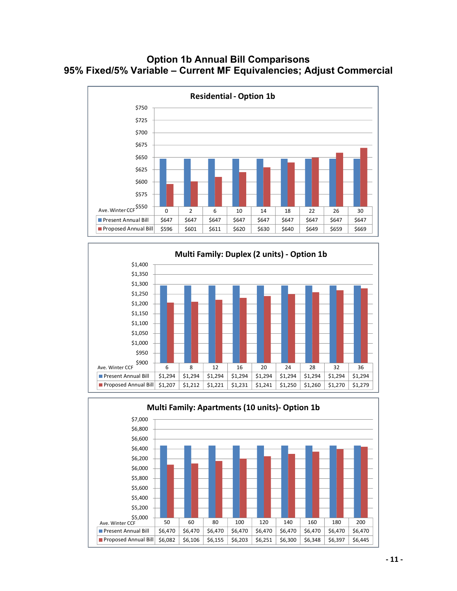#### **Option 1b Annual Bill Comparisons 95% Fixed/5% Variable – Current MF Equivalencies; Adjust Commercial**





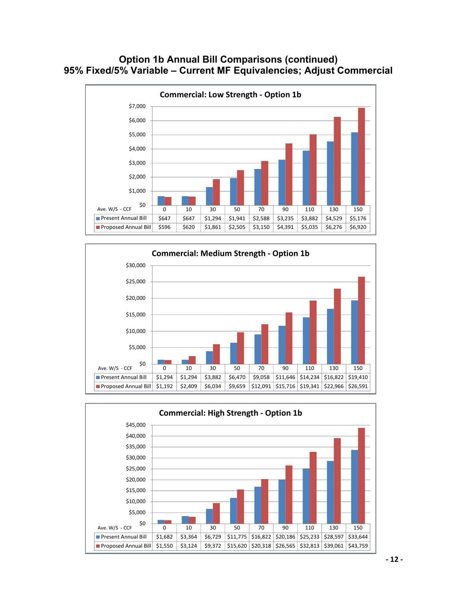#### **Option 1b Annual Bill Comparisons (continued) 95% Fixed/5% Variable – Current MF Equivalencies; Adjust Commercial**





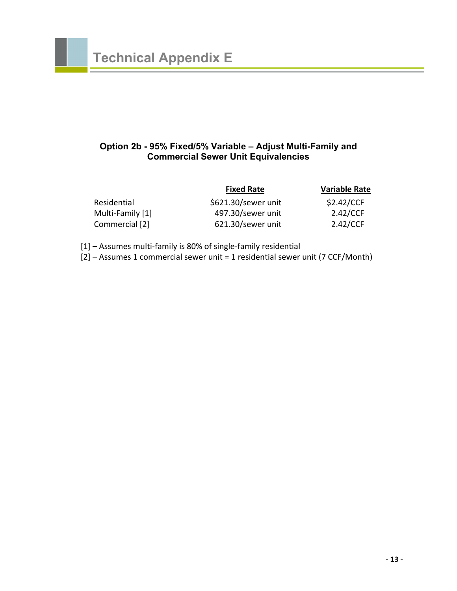#### **Option 2b - 95% Fixed/5% Variable – Adjust Multi-Family and Commercial Sewer Unit Equivalencies**

|                  | <b>Fixed Rate</b>   | <b>Variable Rate</b> |
|------------------|---------------------|----------------------|
| Residential      | \$621.30/sewer unit | \$2.42/CCF           |
| Multi-Family [1] | 497.30/sewer unit   | 2.42/CCF             |
| Commercial [2]   | 621.30/sewer unit   | 2.42/CCF             |

[1] – Assumes multi‐family is 80% of single‐family residential

[2] – Assumes 1 commercial sewer unit = 1 residential sewer unit (7 CCF/Month)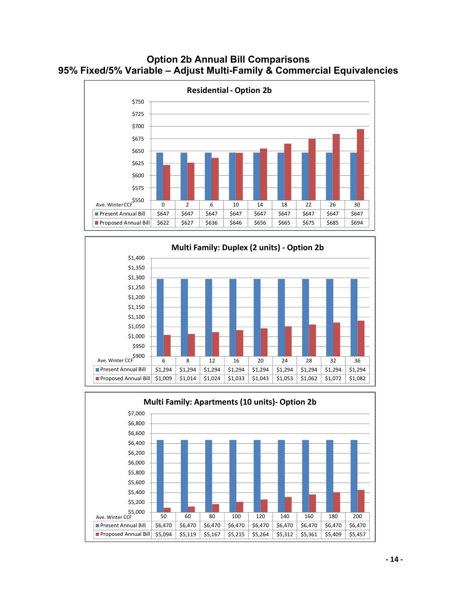### **Option 2b Annual Bill Comparisons 95% Fixed/5% Variable – Adjust Multi-Family & Commercial Equivalencies**





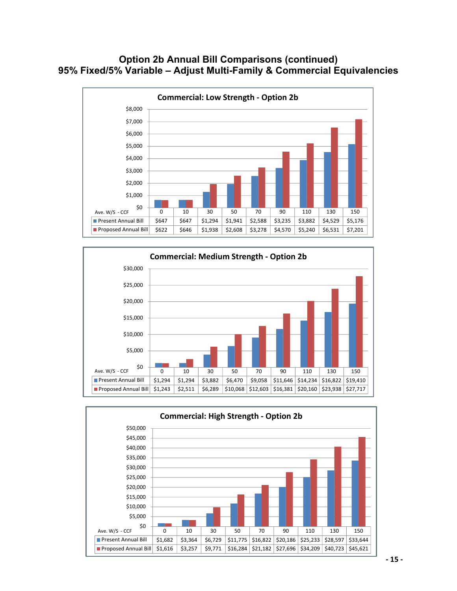### **Option 2b Annual Bill Comparisons (continued) 95% Fixed/5% Variable – Adjust Multi-Family & Commercial Equivalencies**





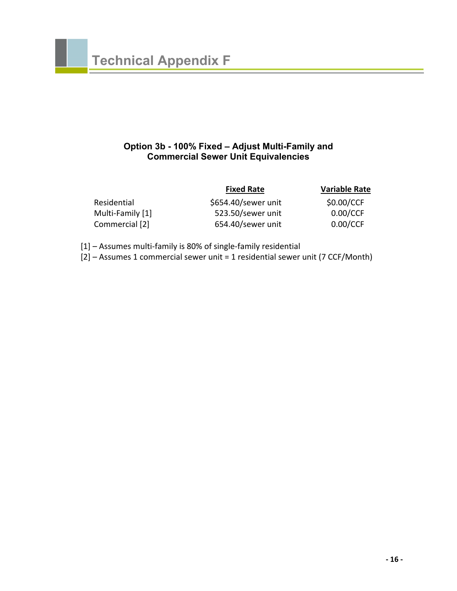#### **Option 3b - 100% Fixed – Adjust Multi-Family and Commercial Sewer Unit Equivalencies**

|                  | <b>Fixed Rate</b>   | <b>Variable Rate</b> |
|------------------|---------------------|----------------------|
| Residential      | \$654.40/sewer unit | \$0.00/CCF           |
| Multi-Family [1] | 523.50/sewer unit   | 0.00/CCF             |
| Commercial [2]   | 654.40/sewer unit   | 0.00/CCF             |

[1] – Assumes multi‐family is 80% of single‐family residential

[2] – Assumes 1 commercial sewer unit = 1 residential sewer unit (7 CCF/Month)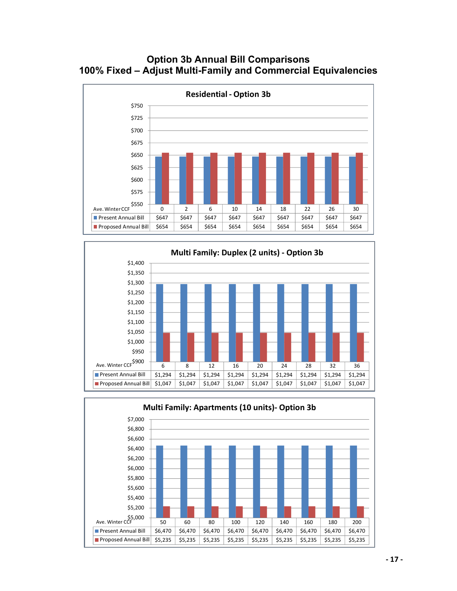### **Option 3b Annual Bill Comparisons 100% Fixed – Adjust Multi-Family and Commercial Equivalencies**





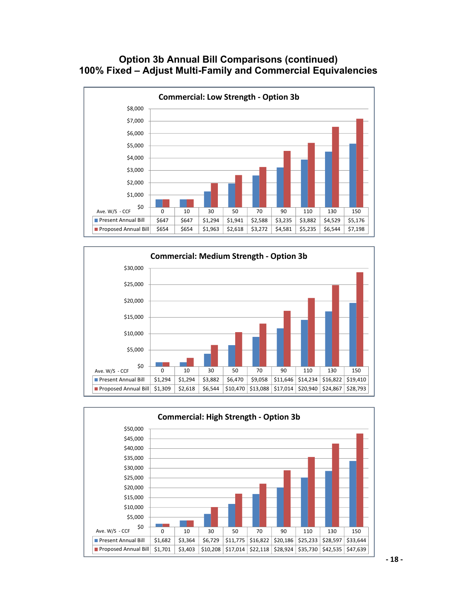### **Option 3b Annual Bill Comparisons (continued) 100% Fixed – Adjust Multi-Family and Commercial Equivalencies**





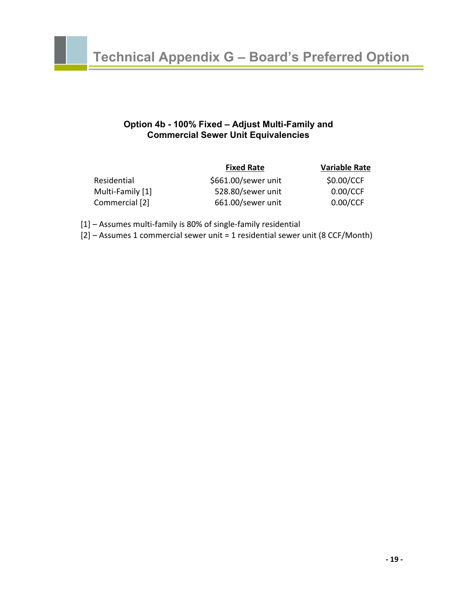#### **Option 4b - 100% Fixed – Adjust Multi-Family and Commercial Sewer Unit Equivalencies**

| <b>Fixed Rate</b>   | <b>Variable Rate</b> |
|---------------------|----------------------|
| \$661.00/sewer unit | \$0.00/CCF           |
| 528.80/sewer unit   | 0.00/CCF             |
| 661.00/sewer unit   | 0.00/CCF             |
|                     |                      |

[1] – Assumes multi‐family is 80% of single‐family residential

[2] – Assumes 1 commercial sewer unit = 1 residential sewer unit (8 CCF/Month)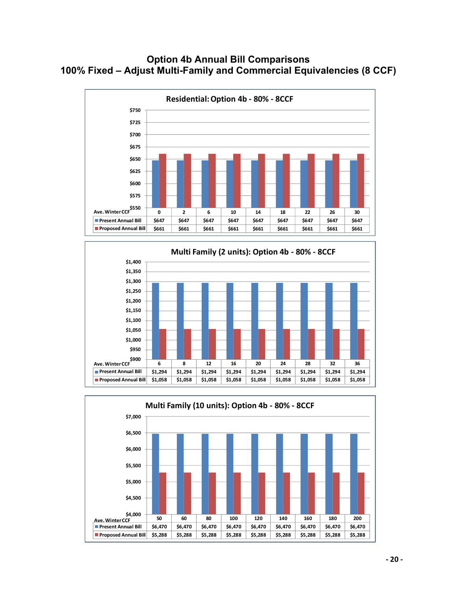### **Option 4b Annual Bill Comparisons 100% Fixed – Adjust Multi-Family and Commercial Equivalencies (8 CCF)**